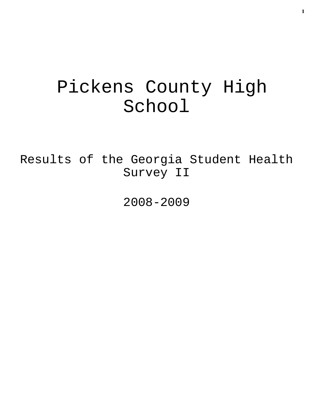# Pickens County High School

Results of the Georgia Student Health Survey II

2008-2009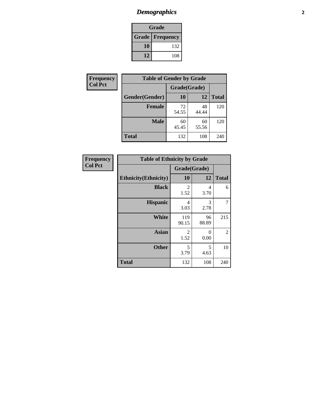# *Demographics* **2**

| Grade                    |     |  |  |
|--------------------------|-----|--|--|
| <b>Grade   Frequency</b> |     |  |  |
| 10                       | 132 |  |  |
| 12                       | 108 |  |  |

| Frequency      | <b>Table of Gender by Grade</b> |              |             |              |  |  |
|----------------|---------------------------------|--------------|-------------|--------------|--|--|
| <b>Col Pct</b> |                                 | Grade(Grade) |             |              |  |  |
|                | Gender(Gender)                  | 10           | 12          | <b>Total</b> |  |  |
|                | <b>Female</b>                   | 72<br>54.55  | 48<br>44.44 | 120          |  |  |
|                | <b>Male</b>                     | 60<br>45.45  | 60<br>55.56 | 120          |  |  |
|                | <b>Total</b>                    | 132          | 108         | 240          |  |  |

| <b>Frequency</b> |  |
|------------------|--|
| Col Pct          |  |

| <b>Table of Ethnicity by Grade</b> |                        |             |              |  |  |  |
|------------------------------------|------------------------|-------------|--------------|--|--|--|
|                                    | Grade(Grade)           |             |              |  |  |  |
| <b>Ethnicity</b> (Ethnicity)       | 10                     | 12          | <b>Total</b> |  |  |  |
| <b>Black</b>                       | 2<br>1.52              | 4<br>3.70   | 6            |  |  |  |
| <b>Hispanic</b>                    | 4<br>3.03              | 3<br>2.78   | 7            |  |  |  |
| White                              | 119<br>90.15           | 96<br>88.89 | 215          |  |  |  |
| <b>Asian</b>                       | $\overline{2}$<br>1.52 | 0<br>0.00   | 2            |  |  |  |
| <b>Other</b>                       | 5<br>3.79              | 5<br>4.63   | 10           |  |  |  |
| <b>Total</b>                       | 132                    | 108         | 240          |  |  |  |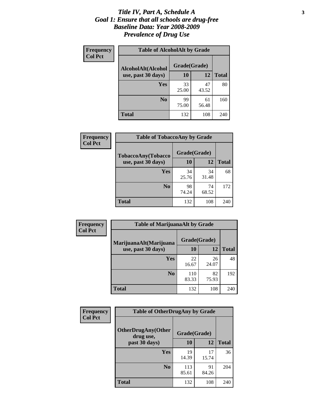#### *Title IV, Part A, Schedule A* **3** *Goal 1: Ensure that all schools are drug-free Baseline Data: Year 2008-2009 Prevalence of Drug Use*

| Frequency<br><b>Col Pct</b> | <b>Table of AlcoholAlt by Grade</b> |              |             |              |  |  |
|-----------------------------|-------------------------------------|--------------|-------------|--------------|--|--|
|                             | AlcoholAlt(Alcohol                  | Grade(Grade) |             |              |  |  |
|                             | use, past 30 days)                  | 10           | 12          | <b>Total</b> |  |  |
|                             | Yes                                 | 33<br>25.00  | 47<br>43.52 | 80           |  |  |
|                             | N <sub>0</sub>                      | 99<br>75.00  | 61<br>56.48 | 160          |  |  |
|                             | <b>Total</b>                        | 132          | 108         | 240          |  |  |

| Frequency      | <b>Table of TobaccoAny by Grade</b> |              |             |              |  |
|----------------|-------------------------------------|--------------|-------------|--------------|--|
| <b>Col Pct</b> | TobaccoAny(Tobacco                  | Grade(Grade) |             |              |  |
|                | use, past 30 days)                  | 10           | 12          | <b>Total</b> |  |
|                | <b>Yes</b>                          | 34<br>25.76  | 34<br>31.48 | 68           |  |
|                | N <sub>0</sub>                      | 98<br>74.24  | 74<br>68.52 | 172          |  |
|                | Total                               | 132          | 108         | 240          |  |

| Frequency<br><b>Col Pct</b> | <b>Table of MarijuanaAlt by Grade</b> |              |             |              |  |  |
|-----------------------------|---------------------------------------|--------------|-------------|--------------|--|--|
|                             | MarijuanaAlt(Marijuana                | Grade(Grade) |             |              |  |  |
|                             | use, past 30 days)                    | <b>10</b>    | 12          | <b>Total</b> |  |  |
|                             | <b>Yes</b>                            | 22<br>16.67  | 26<br>24.07 | 48           |  |  |
|                             | N <sub>0</sub>                        | 110<br>83.33 | 82<br>75.93 | 192          |  |  |
|                             | <b>Total</b>                          | 132          | 108         | 240          |  |  |

| Frequency      | <b>Table of OtherDrugAny by Grade</b>  |              |             |              |  |
|----------------|----------------------------------------|--------------|-------------|--------------|--|
| <b>Col Pct</b> | <b>OtherDrugAny(Other</b><br>drug use, | Grade(Grade) |             |              |  |
|                | past 30 days)                          | 10           | 12          | <b>Total</b> |  |
|                | Yes                                    | 19<br>14.39  | 17<br>15.74 | 36           |  |
|                | N <sub>0</sub>                         | 113<br>85.61 | 91<br>84.26 | 204          |  |
|                | <b>Total</b>                           | 132          | 108         | 240          |  |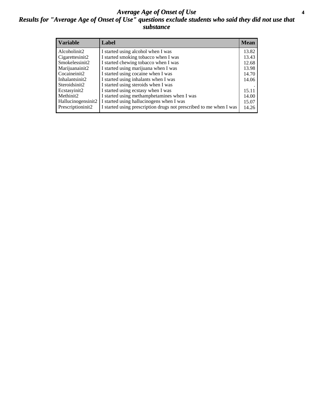#### *Average Age of Onset of Use* **4** *Results for "Average Age of Onset of Use" questions exclude students who said they did not use that substance*

| <b>Variable</b>    | Label                                                              | <b>Mean</b> |
|--------------------|--------------------------------------------------------------------|-------------|
| Alcoholinit2       | I started using alcohol when I was                                 | 13.82       |
| Cigarettesinit2    | I started smoking tobacco when I was                               | 13.43       |
| Smokelessinit2     | I started chewing tobacco when I was                               | 12.68       |
| Marijuanainit2     | I started using marijuana when I was                               | 13.98       |
| Cocaineinit2       | I started using cocaine when I was                                 | 14.70       |
| Inhalantsinit2     | I started using inhalants when I was                               | 14.06       |
| Steroidsinit2      | I started using steroids when I was                                |             |
| Ecstasyinit2       | I started using ecstasy when I was                                 | 15.11       |
| Methinit2          | I started using methamphetamines when I was                        | 14.00       |
| Hallucinogensinit2 | I started using hallucinogens when I was                           | 15.07       |
| Prescriptioninit2  | I started using prescription drugs not prescribed to me when I was | 14.26       |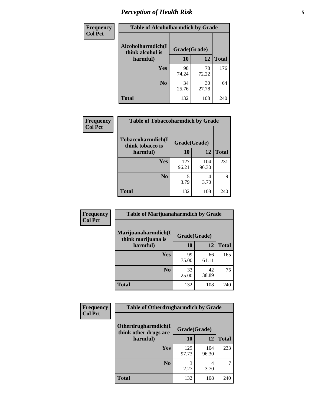# *Perception of Health Risk* **5**

| Frequency      | <b>Table of Alcoholharmdich by Grade</b> |              |             |              |  |
|----------------|------------------------------------------|--------------|-------------|--------------|--|
| <b>Col Pct</b> | Alcoholharmdich(I<br>think alcohol is    | Grade(Grade) |             |              |  |
|                | harmful)                                 | 10           | 12          | <b>Total</b> |  |
|                | Yes                                      | 98<br>74.24  | 78<br>72.22 | 176          |  |
|                | N <sub>0</sub>                           | 34<br>25.76  | 30<br>27.78 | 64           |  |
|                | <b>Total</b>                             | 132          | 108         | 240          |  |

| Frequency      | <b>Table of Tobaccoharmdich by Grade</b> |              |              |              |  |
|----------------|------------------------------------------|--------------|--------------|--------------|--|
| <b>Col Pct</b> | Tobaccoharmdich(I<br>think tobacco is    | Grade(Grade) |              |              |  |
|                | harmful)                                 | 10           | 12           | <b>Total</b> |  |
|                | Yes                                      | 127<br>96.21 | 104<br>96.30 | 231          |  |
|                | N <sub>0</sub>                           | 3.79         | 4<br>3.70    |              |  |
|                | Total                                    | 132          | 108          | 240          |  |

| Frequency      | <b>Table of Marijuanaharmdich by Grade</b> |              |             |              |  |  |
|----------------|--------------------------------------------|--------------|-------------|--------------|--|--|
| <b>Col Pct</b> | Marijuanaharmdich(I<br>think marijuana is  | Grade(Grade) |             |              |  |  |
|                | harmful)                                   | 10           | 12          | <b>Total</b> |  |  |
|                | Yes                                        | 99<br>75.00  | 66<br>61.11 | 165          |  |  |
|                | N <sub>0</sub>                             | 33<br>25.00  | 42<br>38.89 | 75           |  |  |
|                | <b>Total</b>                               | 132          | 108         | 240          |  |  |

| <b>Frequency</b> | <b>Table of Otherdrugharmdich by Grade</b>   |              |              |              |  |  |  |
|------------------|----------------------------------------------|--------------|--------------|--------------|--|--|--|
| <b>Col Pct</b>   | Otherdrugharmdich(I<br>think other drugs are | Grade(Grade) |              |              |  |  |  |
|                  | harmful)                                     | 10           | 12           | <b>Total</b> |  |  |  |
|                  | <b>Yes</b>                                   | 129<br>97.73 | 104<br>96.30 | 233          |  |  |  |
|                  | N <sub>0</sub>                               | 2.27         | 4<br>3.70    |              |  |  |  |
|                  | <b>Total</b>                                 | 132          | 108          | 240          |  |  |  |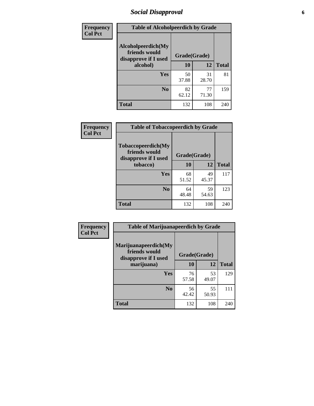# *Social Disapproval* **6**

| Frequency      | <b>Table of Alcoholpeerdich by Grade</b>                    |              |             |              |
|----------------|-------------------------------------------------------------|--------------|-------------|--------------|
| <b>Col Pct</b> | Alcoholpeerdich(My<br>friends would<br>disapprove if I used | Grade(Grade) |             |              |
|                | alcohol)                                                    | 10           | 12          | <b>Total</b> |
|                | Yes                                                         | 50<br>37.88  | 31<br>28.70 | 81           |
|                | N <sub>0</sub>                                              | 82<br>62.12  | 77<br>71.30 | 159          |
|                | Total                                                       | 132          | 108         | 240          |

| <b>Frequency</b> |
|------------------|
| <b>Col Pct</b>   |

|                                                             | <b>Table of Tobaccopeerdich by Grade</b> |             |              |  |  |  |
|-------------------------------------------------------------|------------------------------------------|-------------|--------------|--|--|--|
| Tobaccopeerdich(My<br>friends would<br>disapprove if I used | Grade(Grade)                             |             |              |  |  |  |
| tobacco)                                                    | 10                                       | 12          | <b>Total</b> |  |  |  |
| Yes                                                         | 68<br>51.52                              | 49<br>45.37 | 117          |  |  |  |
| N <sub>0</sub>                                              | 64<br>48.48                              | 59<br>54.63 | 123          |  |  |  |
| <b>Total</b>                                                | 132                                      | 108         | 240          |  |  |  |

| <b>Frequency</b> | <b>Table of Marijuanapeerdich by Grade</b>                    |              |             |              |  |  |  |
|------------------|---------------------------------------------------------------|--------------|-------------|--------------|--|--|--|
| <b>Col Pct</b>   | Marijuanapeerdich(My<br>friends would<br>disapprove if I used | Grade(Grade) |             |              |  |  |  |
|                  | marijuana)                                                    | 10           | 12          | <b>Total</b> |  |  |  |
|                  | <b>Yes</b>                                                    | 76<br>57.58  | 53<br>49.07 | 129          |  |  |  |
|                  | N <sub>0</sub>                                                | 56<br>42.42  | 55<br>50.93 | 111          |  |  |  |
|                  | <b>Total</b>                                                  | 132          | 108         | 240          |  |  |  |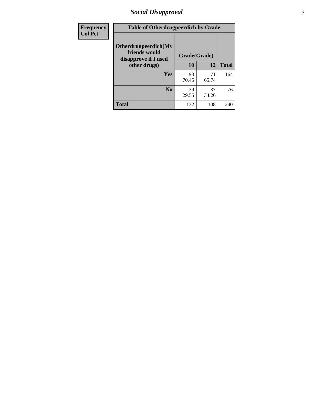# *Social Disapproval* **7**

| Frequency      | <b>Table of Otherdrugpeerdich by Grade</b>                    |              |             |              |  |  |  |  |
|----------------|---------------------------------------------------------------|--------------|-------------|--------------|--|--|--|--|
| <b>Col Pct</b> | Otherdrugpeerdich(My<br>friends would<br>disapprove if I used | Grade(Grade) |             |              |  |  |  |  |
|                | other drugs)                                                  | 10           | 12          | <b>Total</b> |  |  |  |  |
|                | Yes                                                           | 93<br>70.45  | 71<br>65.74 | 164          |  |  |  |  |
|                | N <sub>0</sub>                                                | 39<br>29.55  | 37<br>34.26 | 76           |  |  |  |  |
|                | <b>Total</b>                                                  | 132          | 108         | 240          |  |  |  |  |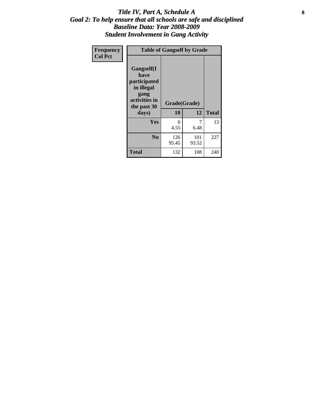#### Title IV, Part A, Schedule A **8** *Goal 2: To help ensure that all schools are safe and disciplined Baseline Data: Year 2008-2009 Student Involvement in Gang Activity*

| Frequency      |                                                                                                   | <b>Table of Gangself by Grade</b> |              |              |  |
|----------------|---------------------------------------------------------------------------------------------------|-----------------------------------|--------------|--------------|--|
| <b>Col Pct</b> | Gangself(I<br>have<br>participated<br>in illegal<br>gang<br>activities in<br>the past 30<br>days) | Grade(Grade)<br>10                | 12           | <b>Total</b> |  |
|                | Yes                                                                                               | 6<br>4.55                         | 7<br>6.48    | 13           |  |
|                | N <sub>0</sub>                                                                                    | 126<br>95.45                      | 101<br>93.52 | 227          |  |
|                | <b>Total</b>                                                                                      | 132                               | 108          | 240          |  |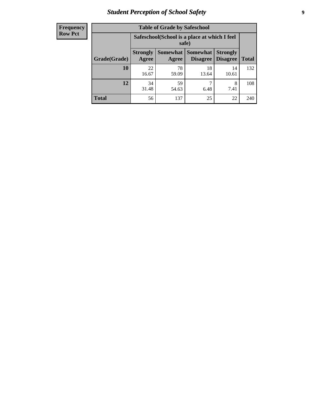# *Student Perception of School Safety* **9**

| <b>Frequency</b><br>Row Pct |
|-----------------------------|
|                             |

| <b>Table of Grade by Safeschool</b> |                          |                                                        |                             |                                    |              |  |  |
|-------------------------------------|--------------------------|--------------------------------------------------------|-----------------------------|------------------------------------|--------------|--|--|
|                                     |                          | Safeschool (School is a place at which I feel<br>safe) |                             |                                    |              |  |  |
| Grade(Grade)                        | <b>Strongly</b><br>Agree | Somewhat  <br>Agree                                    | <b>Somewhat</b><br>Disagree | <b>Strongly</b><br><b>Disagree</b> | <b>Total</b> |  |  |
| 10                                  | 22<br>16.67              | 78<br>59.09                                            | 18<br>13.64                 | 14<br>10.61                        | 132          |  |  |
| 12                                  | 34<br>31.48              | 59<br>54.63                                            | ┑<br>6.48                   | 8<br>7.41                          | 108          |  |  |
| <b>Total</b>                        | 56                       | 137                                                    | 25                          | 22                                 | 240          |  |  |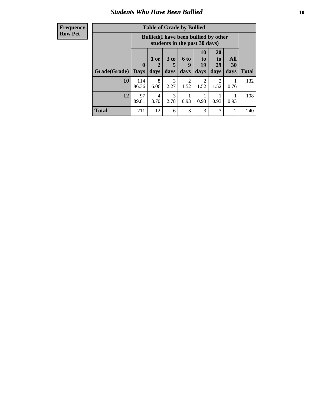### *Students Who Have Been Bullied* **10**

#### **Frequency Row Pct**

| <b>Table of Grade by Bullied</b> |                             |                                                                               |                              |                        |                        |                        |                   |              |
|----------------------------------|-----------------------------|-------------------------------------------------------------------------------|------------------------------|------------------------|------------------------|------------------------|-------------------|--------------|
|                                  |                             | <b>Bullied</b> (I have been bullied by other<br>students in the past 30 days) |                              |                        |                        |                        |                   |              |
| Grade(Grade)                     | $\mathbf{0}$<br><b>Days</b> | 1 or<br>days                                                                  | 3 <sub>to</sub><br>5<br>days | 6 to<br>9<br>days      | 10<br>to<br>19<br>days | 20<br>to<br>29<br>days | All<br>30<br>days | <b>Total</b> |
| 10                               | 114<br>86.36                | 8<br>6.06                                                                     | 3<br>2.27                    | $\overline{2}$<br>1.52 | 2<br>1.52              | $\overline{2}$<br>1.52 | 0.76              | 132          |
| 12                               | 97<br>89.81                 | 4<br>3.70                                                                     | 3<br>2.78                    | 0.93                   | 0.93                   | 0.93                   | 0.93              | 108          |
| <b>Total</b>                     | 211                         | 12                                                                            | 6                            | 3                      | 3                      | 3                      | $\overline{c}$    | 240          |

 $\blacksquare$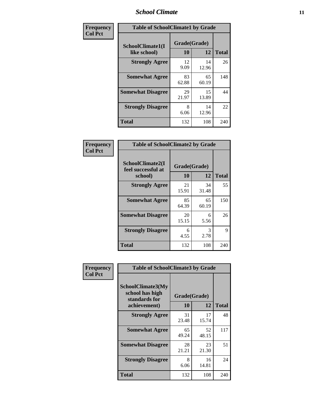#### *School Climate* **11**

| Frequency      | <b>Table of SchoolClimate1 by Grade</b> |                    |             |              |  |  |
|----------------|-----------------------------------------|--------------------|-------------|--------------|--|--|
| <b>Col Pct</b> | SchoolClimate1(I<br>like school)        | Grade(Grade)<br>10 | 12          | <b>Total</b> |  |  |
|                | <b>Strongly Agree</b>                   | 12<br>9.09         | 14<br>12.96 | 26           |  |  |
|                | <b>Somewhat Agree</b>                   | 83<br>62.88        | 65<br>60.19 | 148          |  |  |
|                | <b>Somewhat Disagree</b>                | 29<br>21.97        | 15<br>13.89 | 44           |  |  |
|                | <b>Strongly Disagree</b>                | 8<br>6.06          | 14<br>12.96 | 22           |  |  |
|                | <b>Total</b>                            | 132                | 108         | 240          |  |  |

| Frequency<br>Col Pct |  |
|----------------------|--|

| <b>Table of SchoolClimate2 by Grade</b>           |             |                    |              |  |  |
|---------------------------------------------------|-------------|--------------------|--------------|--|--|
| SchoolClimate2(I<br>feel successful at<br>school) | 10          | Grade(Grade)<br>12 | <b>Total</b> |  |  |
| <b>Strongly Agree</b>                             | 21<br>15.91 | 34<br>31.48        | 55           |  |  |
| <b>Somewhat Agree</b>                             | 85<br>64.39 | 65<br>60.19        | 150          |  |  |
| <b>Somewhat Disagree</b>                          | 20<br>15.15 | 6<br>5.56          | 26           |  |  |
| <b>Strongly Disagree</b>                          | 6<br>4.55   | 3<br>2.78          | 9            |  |  |
| <b>Total</b>                                      | 132         | 108                | 240          |  |  |

| Frequency      | <b>Table of SchoolClimate3 by Grade</b>                      |              |             |              |
|----------------|--------------------------------------------------------------|--------------|-------------|--------------|
| <b>Col Pct</b> | <b>SchoolClimate3(My</b><br>school has high<br>standards for | Grade(Grade) |             |              |
|                | achievement)                                                 | 10           | 12          | <b>Total</b> |
|                | <b>Strongly Agree</b>                                        | 31<br>23.48  | 17<br>15.74 | 48           |
|                | <b>Somewhat Agree</b>                                        | 65<br>49.24  | 52<br>48.15 | 117          |
|                | <b>Somewhat Disagree</b>                                     | 28<br>21.21  | 23<br>21.30 | 51           |
|                | <b>Strongly Disagree</b>                                     | 8<br>6.06    | 16<br>14.81 | 24           |
|                | Total                                                        | 132          | 108         | 240          |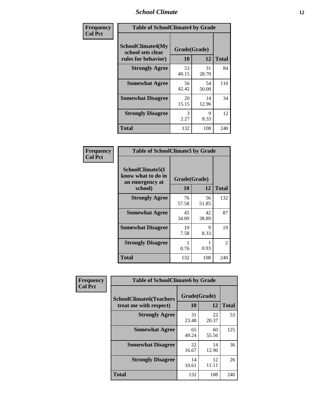#### *School Climate* **12**

| Frequency      |                                                               | <b>Table of SchoolClimate4 by Grade</b> |             |              |  |
|----------------|---------------------------------------------------------------|-----------------------------------------|-------------|--------------|--|
| <b>Col Pct</b> | SchoolClimate4(My<br>school sets clear<br>rules for behavior) | Grade(Grade)<br>10                      | 12          | <b>Total</b> |  |
|                | <b>Strongly Agree</b>                                         | 53<br>40.15                             | 31<br>28.70 | 84           |  |
|                | <b>Somewhat Agree</b>                                         | 56<br>42.42                             | 54<br>50.00 | 110          |  |
|                | <b>Somewhat Disagree</b>                                      | 20<br>15.15                             | 14<br>12.96 | 34           |  |
|                | <b>Strongly Disagree</b>                                      | 3<br>2.27                               | 9<br>8.33   | 12           |  |
|                | <b>Total</b>                                                  | 132                                     | 108         | 240          |  |

| <b>Table of SchoolClimate5 by Grade</b>                   |              |             |              |  |
|-----------------------------------------------------------|--------------|-------------|--------------|--|
| SchoolClimate5(I<br>know what to do in<br>an emergency at | Grade(Grade) |             |              |  |
| school)                                                   | 10           | 12          | <b>Total</b> |  |
| <b>Strongly Agree</b>                                     | 76<br>57.58  | 56<br>51.85 | 132          |  |
| <b>Somewhat Agree</b>                                     | 45<br>34.09  | 42<br>38.89 | 87           |  |
| <b>Somewhat Disagree</b>                                  | 10<br>7.58   | 9<br>8.33   | 19           |  |
| <b>Strongly Disagree</b>                                  | 0.76         | 0.93        | 2            |  |
| <b>Total</b>                                              | 132          | 108         | 240          |  |

| Frequency      | <b>Table of SchoolClimate6 by Grade</b>                  |                    |             |              |
|----------------|----------------------------------------------------------|--------------------|-------------|--------------|
| <b>Col Pct</b> | <b>SchoolClimate6(Teachers</b><br>treat me with respect) | Grade(Grade)<br>10 | 12          | <b>Total</b> |
|                | <b>Strongly Agree</b>                                    | 31<br>23.48        | 22<br>20.37 | 53           |
|                | <b>Somewhat Agree</b>                                    | 65<br>49.24        | 60<br>55.56 | 125          |
|                | <b>Somewhat Disagree</b>                                 | 22<br>16.67        | 14<br>12.96 | 36           |
|                | <b>Strongly Disagree</b>                                 | 14<br>10.61        | 12<br>11.11 | 26           |
|                | <b>Total</b>                                             | 132                | 108         | 240          |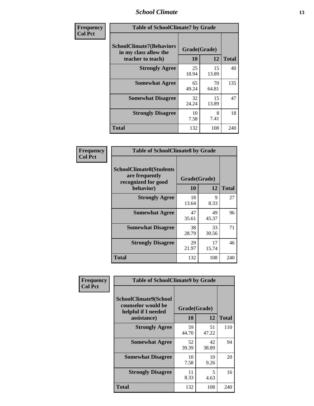#### *School Climate* **13**

| Frequency      | <b>Table of SchoolClimate7 by Grade</b>                                       |                           |             |              |
|----------------|-------------------------------------------------------------------------------|---------------------------|-------------|--------------|
| <b>Col Pct</b> | <b>SchoolClimate7(Behaviors</b><br>in my class allow the<br>teacher to teach) | Grade(Grade)<br><b>10</b> | 12          | <b>Total</b> |
|                | <b>Strongly Agree</b>                                                         | 25<br>18.94               | 15<br>13.89 | 40           |
|                | <b>Somewhat Agree</b>                                                         | 65<br>49.24               | 70<br>64.81 | 135          |
|                | <b>Somewhat Disagree</b>                                                      | 32<br>24.24               | 15<br>13.89 | 47           |
|                | <b>Strongly Disagree</b>                                                      | 10<br>7.58                | 8<br>7.41   | 18           |
|                | <b>Total</b>                                                                  | 132                       | 108         | 240          |

| Frequency      | <b>Table of SchoolClimate8 by Grade</b>                                              |                    |             |              |
|----------------|--------------------------------------------------------------------------------------|--------------------|-------------|--------------|
| <b>Col Pct</b> | <b>SchoolClimate8(Students</b><br>are frequently<br>recognized for good<br>behavior) | Grade(Grade)<br>10 | 12          | <b>Total</b> |
|                | <b>Strongly Agree</b>                                                                | 18<br>13.64        | 9<br>8.33   | 27           |
|                | <b>Somewhat Agree</b>                                                                | 47<br>35.61        | 49<br>45.37 | 96           |
|                | <b>Somewhat Disagree</b>                                                             | 38<br>28.79        | 33<br>30.56 | 71           |
|                | <b>Strongly Disagree</b>                                                             | 29<br>21.97        | 17<br>15.74 | 46           |
|                | <b>Total</b>                                                                         | 132                | 108         | 240          |

| Frequency      | <b>Table of SchoolClimate9 by Grade</b>                                           |                    |             |              |
|----------------|-----------------------------------------------------------------------------------|--------------------|-------------|--------------|
| <b>Col Pct</b> | SchoolClimate9(School<br>counselor would be<br>helpful if I needed<br>assistance) | Grade(Grade)<br>10 | 12          | <b>Total</b> |
|                | <b>Strongly Agree</b>                                                             | 59<br>44.70        | 51<br>47.22 | 110          |
|                | <b>Somewhat Agree</b>                                                             | 52<br>39.39        | 42<br>38.89 | 94           |
|                | <b>Somewhat Disagree</b>                                                          | 10<br>7.58         | 10<br>9.26  | 20           |
|                | <b>Strongly Disagree</b>                                                          | 11<br>8.33         | 5<br>4.63   | 16           |
|                | Total                                                                             | 132                | 108         | 240          |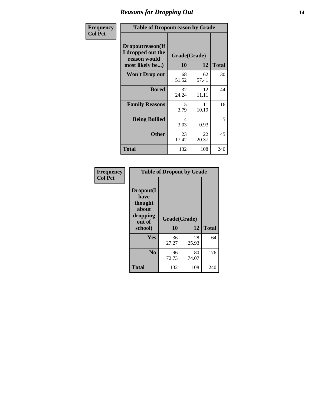### *Reasons for Dropping Out* **14**

| Frequency      | <b>Table of Dropoutreason by Grade</b>                                   |             |                    |              |
|----------------|--------------------------------------------------------------------------|-------------|--------------------|--------------|
| <b>Col Pct</b> | Dropoutreason(If<br>I dropped out the<br>reason would<br>most likely be) | 10          | Grade(Grade)<br>12 | <b>Total</b> |
|                | Won't Drop out                                                           | 68<br>51.52 | 62<br>57.41        | 130          |
|                | <b>Bored</b>                                                             | 32<br>24.24 | 12<br>11.11        | 44           |
|                | <b>Family Reasons</b>                                                    | 5<br>3.79   | 11<br>10.19        | 16           |
|                | <b>Being Bullied</b>                                                     | 4<br>3.03   | 0.93               | 5            |
|                | <b>Other</b>                                                             | 23<br>17.42 | 22<br>20.37        | 45           |
|                | <b>Total</b>                                                             | 132         | 108                | 240          |

| Frequency      | <b>Table of Dropout by Grade</b>                            |                    |              |     |  |
|----------------|-------------------------------------------------------------|--------------------|--------------|-----|--|
| <b>Col Pct</b> | Dropout(I<br>have<br>thought<br>about<br>dropping<br>out of | Grade(Grade)<br>10 | <b>Total</b> |     |  |
|                | school)                                                     |                    | 12           |     |  |
|                | Yes                                                         | 36<br>27.27        | 28<br>25.93  | 64  |  |
|                | N <sub>0</sub>                                              | 96<br>72.73        | 80<br>74.07  | 176 |  |
|                | <b>Total</b>                                                | 132                | 108          | 240 |  |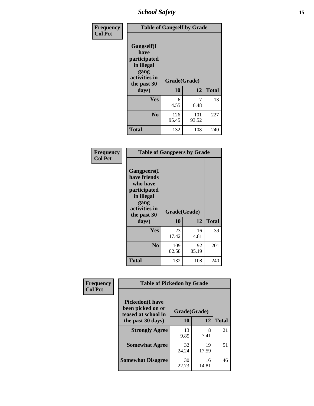*School Safety* **15**

| Frequency      | <b>Table of Gangself by Grade</b>                                                                 |                          |              |              |
|----------------|---------------------------------------------------------------------------------------------------|--------------------------|--------------|--------------|
| <b>Col Pct</b> | Gangself(I<br>have<br>participated<br>in illegal<br>gang<br>activities in<br>the past 30<br>days) | Grade(Grade)<br>10<br>12 |              | <b>Total</b> |
|                | Yes                                                                                               | 6                        | 7            | 13           |
|                |                                                                                                   | 4.55                     | 6.48         |              |
|                | N <sub>o</sub>                                                                                    | 126<br>95.45             | 101<br>93.52 | 227          |
|                | <b>Total</b>                                                                                      | 132                      | 108          | 240          |

| Frequency      | <b>Table of Gangpeers by Grade</b>                                                                                             |                    |             |              |
|----------------|--------------------------------------------------------------------------------------------------------------------------------|--------------------|-------------|--------------|
| <b>Col Pct</b> | <b>Gangpeers</b> (I<br>have friends<br>who have<br>participated<br>in illegal<br>gang<br>activities in<br>the past 30<br>days) | Grade(Grade)<br>10 | 12          | <b>Total</b> |
|                | Yes                                                                                                                            | 23<br>17.42        | 16<br>14.81 | 39           |
|                | N <sub>0</sub>                                                                                                                 | 109<br>82.58       | 92<br>85.19 | 201          |
|                | <b>Total</b>                                                                                                                   | 132                | 108         | 240          |

| Frequency      | <b>Table of Pickedon by Grade</b>                                  |              |             |              |  |  |  |  |  |
|----------------|--------------------------------------------------------------------|--------------|-------------|--------------|--|--|--|--|--|
| <b>Col Pct</b> | <b>Pickedon(I have</b><br>been picked on or<br>teased at school in | Grade(Grade) |             |              |  |  |  |  |  |
|                | the past 30 days)                                                  | 10           | 12          | <b>Total</b> |  |  |  |  |  |
|                | <b>Strongly Agree</b>                                              | 13<br>9.85   | 8<br>7.41   | 21           |  |  |  |  |  |
|                | <b>Somewhat Agree</b>                                              | 32<br>24.24  | 19<br>17.59 | 51           |  |  |  |  |  |
|                | <b>Somewhat Disagree</b>                                           | 30<br>22.73  | 16<br>14.81 | 46           |  |  |  |  |  |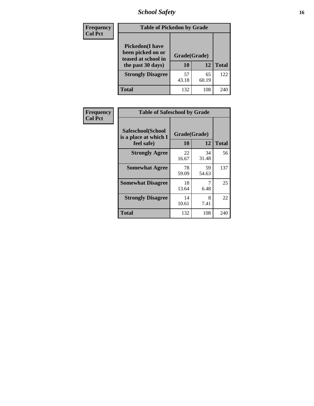# *School Safety* **16**

| <b>Frequency</b> |                                                                                          | <b>Table of Pickedon by Grade</b> |              |     |  |  |  |  |  |  |  |
|------------------|------------------------------------------------------------------------------------------|-----------------------------------|--------------|-----|--|--|--|--|--|--|--|
| <b>Col Pct</b>   | <b>Pickedon</b> (I have<br>been picked on or<br>teased at school in<br>the past 30 days) | Grade(Grade)<br>10                | <b>Total</b> |     |  |  |  |  |  |  |  |
|                  | <b>Strongly Disagree</b>                                                                 | 57<br>43.18                       | 65<br>60.19  | 122 |  |  |  |  |  |  |  |
|                  | Total                                                                                    | 132                               | 108          | 240 |  |  |  |  |  |  |  |

| Frequency      | <b>Table of Safeschool by Grade</b>                      |                    |              |     |
|----------------|----------------------------------------------------------|--------------------|--------------|-----|
| <b>Col Pct</b> | Safeschool(School<br>is a place at which I<br>feel safe) | Grade(Grade)<br>10 | <b>Total</b> |     |
|                | <b>Strongly Agree</b>                                    | 22<br>16.67        | 34<br>31.48  | 56  |
|                | <b>Somewhat Agree</b>                                    | 78<br>59.09        | 59<br>54.63  | 137 |
|                | <b>Somewhat Disagree</b>                                 | 18<br>13.64        | 6.48         | 25  |
|                | <b>Strongly Disagree</b>                                 | 14<br>10.61        | 8<br>7.41    | 22  |
|                | <b>Total</b>                                             | 132                | 108          | 240 |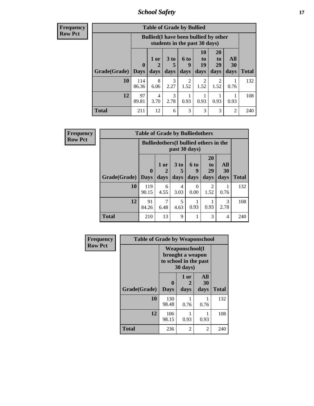*School Safety* **17**

| <b>Frequency</b> |  |
|------------------|--|
| <b>Row Pct</b>   |  |

| V | <b>Table of Grade by Bullied</b> |                        |                                                                               |                         |                          |                        |                               |                          |              |  |  |  |
|---|----------------------------------|------------------------|-------------------------------------------------------------------------------|-------------------------|--------------------------|------------------------|-------------------------------|--------------------------|--------------|--|--|--|
|   |                                  |                        | <b>Bullied</b> (I have been bullied by other<br>students in the past 30 days) |                         |                          |                        |                               |                          |              |  |  |  |
|   | Grade(Grade)                     | $\mathbf{0}$<br>  Days | 1 or<br>2<br>days                                                             | 3 <sub>to</sub><br>days | <b>6 to</b><br>9<br>days | 10<br>to<br>19<br>days | <b>20</b><br>to<br>29<br>days | All<br><b>30</b><br>days | <b>Total</b> |  |  |  |
|   | 10                               | 114<br>86.36           | 8<br>6.06                                                                     | 3<br>2.27               | 2<br>1.52                | $\overline{2}$<br>1.52 | $\mathfrak{D}$<br>1.52        | 0.76                     | 132          |  |  |  |
|   | 12                               | 97<br>89.81            | 4<br>3.70                                                                     | 3<br>2.78               | 0.93                     | 0.93                   | 0.93                          | 0.93                     | 108          |  |  |  |
|   | <b>Total</b>                     | 211                    | 12                                                                            | 6                       | 3                        | 3                      | 3                             | $\overline{2}$           | 240          |  |  |  |

| Frequency      |                     | <b>Table of Grade by Bulliedothers</b>        |              |              |                   |                                           |                   |              |
|----------------|---------------------|-----------------------------------------------|--------------|--------------|-------------------|-------------------------------------------|-------------------|--------------|
| <b>Row Pct</b> |                     | <b>Bulliedothers</b> (I bullied others in the |              |              |                   |                                           |                   |              |
|                | Grade(Grade)   Days | $\bf{0}$                                      | 1 or<br>days | 3 to<br>days | 6 to<br>9<br>days | <b>20</b><br>t <sub>o</sub><br>29<br>days | All<br>30<br>days | <b>Total</b> |
|                | 10                  | 119<br>90.15                                  | 6<br>4.55    | 4<br>3.03    | 0<br>0.00         | 2<br>1.52                                 | 0.76              | 132          |
|                | 12                  | 91<br>84.26                                   | 6.48         | 5<br>4.63    | 0.93              | 0.93                                      | 3<br>2.78         | 108          |
|                | <b>Total</b>        | 210                                           | 13           | 9            |                   | 3                                         | 4                 | 240          |

| Frequency      | <b>Table of Grade by Weaponschool</b> |                                                                                 |                   |                   |              |  |  |  |  |  |
|----------------|---------------------------------------|---------------------------------------------------------------------------------|-------------------|-------------------|--------------|--|--|--|--|--|
| <b>Row Pct</b> |                                       | <b>Weaponschool</b> (I<br>brought a weapon<br>to school in the past<br>30 days) |                   |                   |              |  |  |  |  |  |
|                | Grade(Grade)                          | $\bf{0}$<br><b>Days</b>                                                         | 1 or<br>2<br>days | All<br>30<br>days | <b>Total</b> |  |  |  |  |  |
|                | 10                                    | 130<br>98.48                                                                    | 0.76              | 0.76              | 132          |  |  |  |  |  |
|                | 12                                    | 106<br>98.15                                                                    | 0.93              | 0.93              | 108          |  |  |  |  |  |
|                | <b>Total</b>                          | 236                                                                             | 2                 | 2                 | 240          |  |  |  |  |  |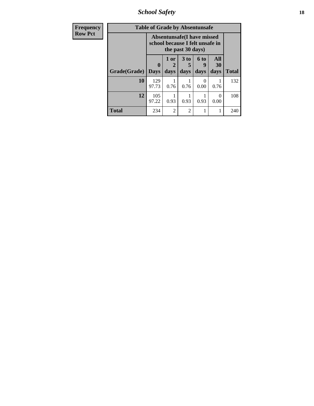*School Safety* **18**

| <b>Frequency</b> |              | <b>Table of Grade by Absentunsafe</b>                          |                |                         |                   |                   |              |
|------------------|--------------|----------------------------------------------------------------|----------------|-------------------------|-------------------|-------------------|--------------|
| <b>Row Pct</b>   |              | Absentunsafe (I have missed<br>school because I felt unsafe in |                |                         |                   |                   |              |
|                  | Grade(Grade) | $\bf{0}$<br><b>Days</b>                                        | 1 or<br>days   | 3 <sub>to</sub><br>days | 6 to<br>9<br>days | All<br>30<br>days | <b>Total</b> |
|                  | 10           | 129                                                            |                |                         | $\theta$          |                   | 132          |
|                  |              | 97.73                                                          | 0.76           | 0.76                    | 0.00              | 0.76              |              |
|                  | 12           | 105<br>97.22                                                   | 0.93           | 0.93                    | 0.93              | $\theta$<br>0.00  | 108          |
|                  | <b>Total</b> | 234                                                            | $\overline{2}$ | $\overline{c}$          |                   |                   | 240          |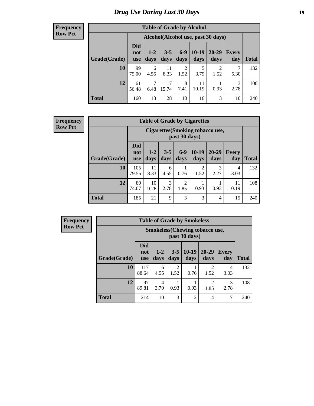# *Drug Use During Last 30 Days* **19**

#### **Frequency Row Pct**

| <b>Table of Grade by Alcohol</b> |                                 |                                     |                 |               |                 |                        |              |       |  |  |  |
|----------------------------------|---------------------------------|-------------------------------------|-----------------|---------------|-----------------|------------------------|--------------|-------|--|--|--|
|                                  |                                 | Alcohol (Alcohol use, past 30 days) |                 |               |                 |                        |              |       |  |  |  |
| Grade(Grade)                     | <b>Did</b><br>not<br><b>use</b> | $1 - 2$<br>days                     | $3 - 5$<br>days | $6-9$<br>days | $10-19$<br>days | 20-29<br>days          | Every<br>day | Total |  |  |  |
| 10                               | 99<br>75.00                     | 6<br>4.55                           | 11<br>8.33      | 2<br>1.52     | 5<br>3.79       | $\overline{2}$<br>1.52 | 7<br>5.30    | 132   |  |  |  |
| 12                               | 61<br>56.48                     | 7<br>6.48                           | 17<br>15.74     | 8<br>7.41     | 11<br>10.19     | 0.93                   | 3<br>2.78    | 108   |  |  |  |
| <b>Total</b>                     | 160                             | 13                                  | 28              | 10            | 16              | 3                      | 10           | 240   |  |  |  |

#### **Frequency Row Pct**

| <b>Table of Grade by Cigarettes</b> |                                 |                                                          |                 |                        |                        |               |              |              |  |  |
|-------------------------------------|---------------------------------|----------------------------------------------------------|-----------------|------------------------|------------------------|---------------|--------------|--------------|--|--|
|                                     |                                 | <b>Cigarettes</b> (Smoking tobacco use,<br>past 30 days) |                 |                        |                        |               |              |              |  |  |
| Grade(Grade)                        | <b>Did</b><br>not<br><b>use</b> | $1-2$<br>days                                            | $3 - 5$<br>days | $6-9$<br>days          | $10-19$<br>days        | 20-29<br>days | Every<br>day | <b>Total</b> |  |  |
| 10                                  | 105<br>79.55                    | 11<br>8.33                                               | 6<br>4.55       | 0.76                   | $\overline{2}$<br>1.52 | 3<br>2.27     | 4<br>3.03    | 132          |  |  |
| 12                                  | 80<br>74.07                     | 10<br>9.26                                               | 3<br>2.78       | $\overline{2}$<br>1.85 | 0.93                   | 0.93          | 11<br>10.19  | 108          |  |  |
| <b>Total</b>                        | 185                             | 21                                                       | 9               | 3                      | 3                      | 4             | 15           | 240          |  |  |

**Frequency Row Pct**

| <b>Table of Grade by Smokeless</b> |                                 |                                                        |                        |                 |                        |                     |              |  |  |  |
|------------------------------------|---------------------------------|--------------------------------------------------------|------------------------|-----------------|------------------------|---------------------|--------------|--|--|--|
|                                    |                                 | <b>Smokeless</b> (Chewing tobaccouse,<br>past 30 days) |                        |                 |                        |                     |              |  |  |  |
| Grade(Grade)                       | <b>Did</b><br>not<br><b>use</b> | $1-2$<br>days                                          | $3-5$<br>days          | $10-19$<br>days | $20 - 29$<br>days      | <b>Every</b><br>day | <b>Total</b> |  |  |  |
| 10                                 | 117<br>88.64                    | 6<br>4.55                                              | $\overline{2}$<br>1.52 | 0.76            | $\mathfrak{D}$<br>1.52 | 4<br>3.03           | 132          |  |  |  |
| 12                                 | 97<br>89.81                     | 4<br>3.70                                              | 0.93                   | 0.93            | $\overline{c}$<br>1.85 | 3<br>2.78           | 108          |  |  |  |
| <b>Total</b>                       | 214                             | 10                                                     | 3                      | 2               | 4                      |                     | 240          |  |  |  |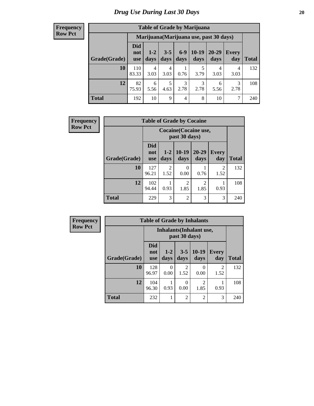#### **Frequency Row Pct**

 $\overline{\phantom{a}}$ 

| <b>Table of Grade by Marijuana</b> |                          |                                         |                 |               |                 |               |                     |       |  |  |  |
|------------------------------------|--------------------------|-----------------------------------------|-----------------|---------------|-----------------|---------------|---------------------|-------|--|--|--|
|                                    |                          | Marijuana (Marijuana use, past 30 days) |                 |               |                 |               |                     |       |  |  |  |
| Grade(Grade)                       | Did<br>not<br><b>use</b> | $1 - 2$<br>days                         | $3 - 5$<br>days | $6-9$<br>days | $10-19$<br>days | 20-29<br>days | <b>Every</b><br>day | Total |  |  |  |
| 10                                 | 110<br>83.33             | 4<br>3.03                               | 4<br>3.03       | 0.76          | 5<br>3.79       | 4<br>3.03     | 4<br>3.03           | 132   |  |  |  |
| 12                                 | 82<br>75.93              | 6<br>5.56                               | 5<br>4.63       | 3<br>2.78     | 3<br>2.78       | 6<br>5.56     | 3<br>2.78           | 108   |  |  |  |
| <b>Total</b>                       | 192                      | 10                                      | 9               | 4             | 8               | 10            | 7                   | 240   |  |  |  |

| <b>Frequency</b> | <b>Table of Grade by Cocaine</b> |                                        |                 |                        |                        |                       |       |
|------------------|----------------------------------|----------------------------------------|-----------------|------------------------|------------------------|-----------------------|-------|
| <b>Row Pct</b>   |                                  | Cocaine (Cocaine use,<br>past 30 days) |                 |                        |                        |                       |       |
|                  | Grade(Grade)                     | <b>Did</b><br>not<br><b>use</b>        | $1 - 2$<br>days | $10-19$<br>days        | $20 - 29$<br>days      | <b>Every</b><br>day   | Total |
|                  | 10                               | 127<br>96.21                           | 2<br>1.52       | 0<br>0.00              | 0.76                   | $\mathcal{L}$<br>1.52 | 132   |
|                  | 12                               | 102<br>94.44                           | 0.93            | $\overline{c}$<br>1.85 | $\mathfrak{D}$<br>1.85 | 0.93                  | 108   |
|                  | <b>Total</b>                     | 229                                    | 3               | $\overline{2}$         | 3                      | 3                     | 240   |

| Frequency      |              |                                 |                  |                | <b>Table of Grade by Inhalants</b> |                        |              |
|----------------|--------------|---------------------------------|------------------|----------------|------------------------------------|------------------------|--------------|
| <b>Row Pct</b> |              |                                 |                  | past 30 days)  | Inhalants (Inhalant use,           |                        |              |
|                | Grade(Grade) | <b>Did</b><br>not<br><b>use</b> | $1-2$<br>days    | $3-5$<br>days  | $10-19$<br>days                    | Every<br>day           | <b>Total</b> |
|                | 10           | 128<br>96.97                    | $\Omega$<br>0.00 | 2<br>1.52      | 0.00                               | $\overline{2}$<br>1.52 | 132          |
|                | 12           | 104<br>96.30                    | 0.93             | 0<br>0.00      | $\mathcal{D}$<br>1.85              | 0.93                   | 108          |
|                | <b>Total</b> | 232                             |                  | $\overline{2}$ | $\mathfrak{D}$                     | 3                      | 240          |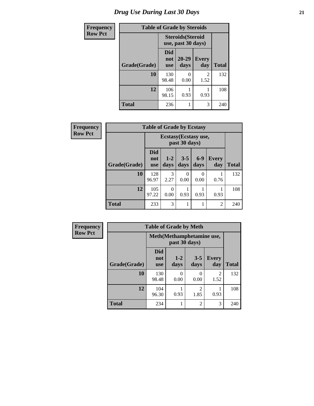# *Drug Use During Last 30 Days* **21**

| <b>Frequency</b> |              |                                                | <b>Table of Grade by Steroids</b> |                        |              |
|------------------|--------------|------------------------------------------------|-----------------------------------|------------------------|--------------|
| <b>Row Pct</b>   |              | <b>Steroids</b> (Steroid<br>use, past 30 days) |                                   |                        |              |
|                  | Grade(Grade) | Did<br>not<br><b>use</b>                       | 20-29<br>days                     | <b>Every</b><br>day    | <b>Total</b> |
|                  | 10           | 130<br>98.48                                   | $\mathbf{\Omega}$<br>0.00         | $\mathfrak{D}$<br>1.52 | 132          |
|                  | 12           | 106<br>98.15                                   | 0.93                              | 0.93                   | 108          |
|                  | <b>Total</b> | 236                                            |                                   | 3                      | 240          |

| <b>Frequency</b> | <b>Table of Grade by Ecstasy</b>       |                                 |                  |                 |               |                     |              |
|------------------|----------------------------------------|---------------------------------|------------------|-----------------|---------------|---------------------|--------------|
| <b>Row Pct</b>   | Ecstasy (Ecstasy use,<br>past 30 days) |                                 |                  |                 |               |                     |              |
|                  | Grade(Grade)                           | <b>Did</b><br>not<br><b>use</b> | $1 - 2$<br>days  | $3 - 5$<br>days | $6-9$<br>days | <b>Every</b><br>day | <b>Total</b> |
|                  | 10                                     | 128<br>96.97                    | 3<br>2.27        | 0<br>0.00       | 0<br>0.00     | 0.76                | 132          |
|                  | 12                                     | 105<br>97.22                    | $\Omega$<br>0.00 | 0.93            | 0.93          | 0.93                | 108          |
|                  | <b>Total</b>                           | 233                             | 3                |                 |               | 2                   | 240          |

| <b>Frequency</b> |              | <b>Table of Grade by Meth</b>   |               |                        |                        |              |  |  |
|------------------|--------------|---------------------------------|---------------|------------------------|------------------------|--------------|--|--|
| <b>Row Pct</b>   |              | Meth (Methamphetamine use,      |               |                        |                        |              |  |  |
|                  | Grade(Grade) | <b>Did</b><br>not<br><b>use</b> | $1-2$<br>days | $3 - 5$<br>days        | <b>Every</b><br>day    | <b>Total</b> |  |  |
|                  | 10           | 130<br>98.48                    | 0<br>0.00     | 0<br>0.00              | $\overline{2}$<br>1.52 | 132          |  |  |
|                  | 12           | 104<br>96.30                    | 0.93          | $\overline{2}$<br>1.85 | 0.93                   | 108          |  |  |
|                  | <b>Total</b> | 234                             | 1             | $\overline{c}$         | 3                      | 240          |  |  |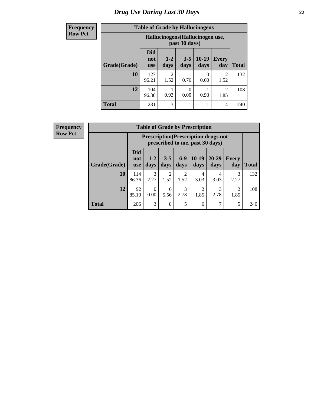# *Drug Use During Last 30 Days* **22**

| <b>Frequency</b> |              | <b>Table of Grade by Hallucinogens</b><br>Hallucinogens (Hallucinogen use,<br>past 30 days) |                        |                  |                 |                        |              |
|------------------|--------------|---------------------------------------------------------------------------------------------|------------------------|------------------|-----------------|------------------------|--------------|
| <b>Row Pct</b>   |              |                                                                                             |                        |                  |                 |                        |              |
|                  | Grade(Grade) | <b>Did</b><br>not<br><b>use</b>                                                             | $1-2$<br>days          | $3 - 5$<br>days  | $10-19$<br>days | <b>Every</b><br>day    | <b>Total</b> |
|                  | 10           | 127<br>96.21                                                                                | $\mathfrak{D}$<br>1.52 | 0.76             | 0<br>0.00       | $\mathfrak{D}$<br>1.52 | 132          |
|                  | 12           | 104<br>96.30                                                                                | 0.93                   | $\Omega$<br>0.00 | 0.93            | 1.85                   | 108          |
|                  | <b>Total</b> | 231                                                                                         | 3                      |                  | 1               | 4                      | 240          |

| <b>Frequency</b> |
|------------------|
| <b>Row Pct</b>   |

| <b>Table of Grade by Prescription</b> |                          |                                                                                |                        |                        |                 |                   |                        |              |
|---------------------------------------|--------------------------|--------------------------------------------------------------------------------|------------------------|------------------------|-----------------|-------------------|------------------------|--------------|
|                                       |                          | <b>Prescription</b> (Prescription drugs not<br>prescribed to me, past 30 days) |                        |                        |                 |                   |                        |              |
| Grade(Grade)                          | Did<br>not<br><b>use</b> | $1 - 2$<br>days                                                                | $3 - 5$<br>days        | $6-9$<br>days          | $10-19$<br>days | $20 - 29$<br>days | Every<br>day           | <b>Total</b> |
| 10                                    | 114<br>86.36             | 3<br>2.27                                                                      | $\overline{2}$<br>1.52 | $\overline{2}$<br>1.52 | 4<br>3.03       | 4<br>3.03         | 3<br>2.27              | 132          |
| 12                                    | 92<br>85.19              | 0.00                                                                           | 6<br>5.56              | 3<br>2.78              | 2<br>1.85       | 3<br>2.78         | $\mathfrak{D}$<br>1.85 | 108          |
| <b>Total</b>                          | 206                      | 3                                                                              | 8                      | 5                      | 6               | 7                 | 5                      | 240          |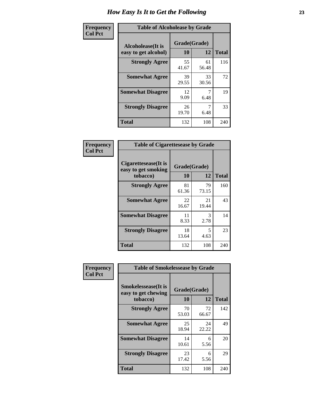| Frequency      | <b>Table of Alcoholease by Grade</b>              |                    |             |              |  |  |
|----------------|---------------------------------------------------|--------------------|-------------|--------------|--|--|
| <b>Col Pct</b> | <b>Alcoholease</b> (It is<br>easy to get alcohol) | Grade(Grade)<br>10 | 12          | <b>Total</b> |  |  |
|                | <b>Strongly Agree</b>                             | 55<br>41.67        | 61<br>56.48 | 116          |  |  |
|                | <b>Somewhat Agree</b>                             | 39<br>29.55        | 33<br>30.56 | 72           |  |  |
|                | <b>Somewhat Disagree</b>                          | 12<br>9.09         | 7<br>6.48   | 19           |  |  |
|                | <b>Strongly Disagree</b>                          | 26<br>19.70        | 6.48        | 33           |  |  |
|                | <b>Total</b>                                      | 132                | 108         | 240          |  |  |

| Frequency      | <b>Table of Cigarettesease by Grade</b>                  |                    |                       |              |  |
|----------------|----------------------------------------------------------|--------------------|-----------------------|--------------|--|
| <b>Col Pct</b> | Cigarettesease (It is<br>easy to get smoking<br>tobacco) | Grade(Grade)<br>10 | 12                    | <b>Total</b> |  |
|                | <b>Strongly Agree</b>                                    | 81<br>61.36        | 79<br>73.15           | 160          |  |
|                | <b>Somewhat Agree</b>                                    | 22<br>16.67        | 21<br>19.44           | 43           |  |
|                | <b>Somewhat Disagree</b>                                 | 11<br>8.33         | $\mathcal{R}$<br>2.78 | 14           |  |
|                | <b>Strongly Disagree</b>                                 | 18<br>13.64        | 5<br>4.63             | 23           |  |
|                | <b>Total</b>                                             | 132                | 108                   | 240          |  |

| Frequency      | <b>Table of Smokelessease by Grade</b>                         |                           |             |              |
|----------------|----------------------------------------------------------------|---------------------------|-------------|--------------|
| <b>Col Pct</b> | <b>Smokelessease</b> (It is<br>easy to get chewing<br>tobacco) | Grade(Grade)<br><b>10</b> | 12          | <b>Total</b> |
|                | <b>Strongly Agree</b>                                          | 70<br>53.03               | 72<br>66.67 | 142          |
|                | <b>Somewhat Agree</b>                                          | 25<br>18.94               | 24<br>22.22 | 49           |
|                | <b>Somewhat Disagree</b>                                       | 14<br>10.61               | 6<br>5.56   | 20           |
|                | <b>Strongly Disagree</b>                                       | 23<br>17.42               | 6<br>5.56   | 29           |
|                | <b>Total</b>                                                   | 132                       | 108         | 240          |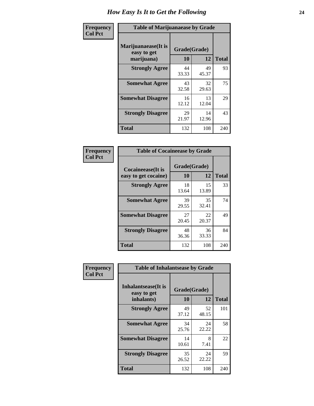| Frequency      | <b>Table of Marijuanaease by Grade</b>            |                           |             |              |  |  |
|----------------|---------------------------------------------------|---------------------------|-------------|--------------|--|--|
| <b>Col Pct</b> | Marijuanaease (It is<br>easy to get<br>marijuana) | Grade(Grade)<br><b>10</b> | 12          | <b>Total</b> |  |  |
|                | <b>Strongly Agree</b>                             | 44<br>33.33               | 49<br>45.37 | 93           |  |  |
|                | <b>Somewhat Agree</b>                             | 43<br>32.58               | 32<br>29.63 | 75           |  |  |
|                | <b>Somewhat Disagree</b>                          | 16<br>12.12               | 13<br>12.04 | 29           |  |  |
|                | <b>Strongly Disagree</b>                          | 29<br>21.97               | 14<br>12.96 | 43           |  |  |
|                | <b>Total</b>                                      | 132                       | 108         | 240          |  |  |

| <b>Table of Cocaineease by Grade</b>      |             |                    |     |  |  |  |  |  |  |  |  |
|-------------------------------------------|-------------|--------------------|-----|--|--|--|--|--|--|--|--|
| Cocaineease(It is<br>easy to get cocaine) | 10          | Grade(Grade)<br>12 |     |  |  |  |  |  |  |  |  |
| <b>Strongly Agree</b>                     | 18<br>13.64 | 15<br>13.89        | 33  |  |  |  |  |  |  |  |  |
| <b>Somewhat Agree</b>                     | 39<br>29.55 | 35<br>32.41        | 74  |  |  |  |  |  |  |  |  |
| <b>Somewhat Disagree</b>                  | 27<br>20.45 | 22<br>20.37        | 49  |  |  |  |  |  |  |  |  |
| <b>Strongly Disagree</b>                  | 48<br>36.36 | 36<br>33.33        | 84  |  |  |  |  |  |  |  |  |
| <b>Total</b>                              | 132         | 108                | 240 |  |  |  |  |  |  |  |  |

| Frequency      | <b>Table of Inhalantsease by Grade</b>                   |                    |              |     |
|----------------|----------------------------------------------------------|--------------------|--------------|-----|
| <b>Col Pct</b> | <b>Inhalantsease</b> (It is<br>easy to get<br>inhalants) | Grade(Grade)<br>10 | <b>Total</b> |     |
|                | <b>Strongly Agree</b>                                    | 49<br>37.12        | 52<br>48.15  | 101 |
|                | <b>Somewhat Agree</b>                                    | 34<br>25.76        | 24<br>22.22  | 58  |
|                | <b>Somewhat Disagree</b>                                 | 14<br>10.61        | 8<br>7.41    | 22  |
|                | <b>Strongly Disagree</b>                                 | 35<br>26.52        | 24<br>22.22  | 59  |
|                | <b>Total</b>                                             | 132                | 108          | 240 |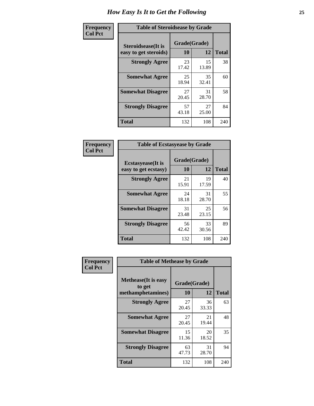| Frequency      | <b>Table of Steroidsease by Grade</b>               |                    |              |     |  |  |  |  |  |  |  |
|----------------|-----------------------------------------------------|--------------------|--------------|-----|--|--|--|--|--|--|--|
| <b>Col Pct</b> | <b>Steroidsease</b> (It is<br>easy to get steroids) | Grade(Grade)<br>10 | <b>Total</b> |     |  |  |  |  |  |  |  |
|                | <b>Strongly Agree</b>                               | 23<br>17.42        | 15<br>13.89  | 38  |  |  |  |  |  |  |  |
|                | <b>Somewhat Agree</b>                               | 25<br>18.94        | 35<br>32.41  | 60  |  |  |  |  |  |  |  |
|                | <b>Somewhat Disagree</b>                            | 27<br>20.45        | 31<br>28.70  | 58  |  |  |  |  |  |  |  |
|                | <b>Strongly Disagree</b>                            | 57<br>43.18        | 27<br>25.00  | 84  |  |  |  |  |  |  |  |
|                | <b>Total</b>                                        | 132                | 108          | 240 |  |  |  |  |  |  |  |

| Frequency      | <b>Table of Ecstasyease by Grade</b>              |                           |              |     |  |  |  |  |  |  |  |
|----------------|---------------------------------------------------|---------------------------|--------------|-----|--|--|--|--|--|--|--|
| <b>Col Pct</b> | <b>Ecstasyease</b> (It is<br>easy to get ecstasy) | Grade(Grade)<br><b>10</b> | <b>Total</b> |     |  |  |  |  |  |  |  |
|                | <b>Strongly Agree</b>                             | 21<br>15.91               | 19<br>17.59  | 40  |  |  |  |  |  |  |  |
|                | <b>Somewhat Agree</b>                             | 24<br>18.18               | 31<br>28.70  | 55  |  |  |  |  |  |  |  |
|                | <b>Somewhat Disagree</b>                          | 31<br>23.48               | 25<br>23.15  | 56  |  |  |  |  |  |  |  |
|                | <b>Strongly Disagree</b>                          | 56<br>42.42               | 33<br>30.56  | 89  |  |  |  |  |  |  |  |
|                | <b>Total</b>                                      | 132                       | 108          | 240 |  |  |  |  |  |  |  |

| Frequency      | <b>Table of Methease by Grade</b>                          |                    |              |     |
|----------------|------------------------------------------------------------|--------------------|--------------|-----|
| <b>Col Pct</b> | <b>Methease</b> (It is easy<br>to get<br>methamphetamines) | Grade(Grade)<br>10 | <b>Total</b> |     |
|                | <b>Strongly Agree</b>                                      | 27<br>20.45        | 36<br>33.33  | 63  |
|                | <b>Somewhat Agree</b>                                      | 27<br>20.45        | 21<br>19.44  | 48  |
|                | <b>Somewhat Disagree</b>                                   | 15<br>11.36        | 20<br>18.52  | 35  |
|                | <b>Strongly Disagree</b>                                   | 63<br>47.73        | 31<br>28.70  | 94  |
|                | <b>Total</b>                                               | 132                | 108          | 240 |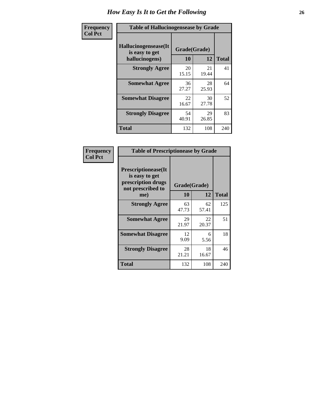| <b>Frequency</b> | <b>Table of Hallucinogensease by Grade</b>               |                    |             |              |  |  |  |  |  |  |  |  |
|------------------|----------------------------------------------------------|--------------------|-------------|--------------|--|--|--|--|--|--|--|--|
| <b>Col Pct</b>   | Hallucinogensease(It<br>is easy to get<br>hallucinogens) | Grade(Grade)<br>10 | 12          | <b>Total</b> |  |  |  |  |  |  |  |  |
|                  | <b>Strongly Agree</b>                                    | 20<br>15.15        | 21<br>19.44 | 41           |  |  |  |  |  |  |  |  |
|                  | <b>Somewhat Agree</b>                                    | 36<br>27.27        | 28<br>25.93 | 64           |  |  |  |  |  |  |  |  |
|                  | <b>Somewhat Disagree</b>                                 | 22<br>16.67        | 30<br>27.78 | 52           |  |  |  |  |  |  |  |  |
|                  | <b>Strongly Disagree</b>                                 | 54<br>40.91        | 29<br>26.85 | 83           |  |  |  |  |  |  |  |  |
|                  | <b>Total</b>                                             | 132                | 108         | 240          |  |  |  |  |  |  |  |  |

| Frequency<br>Col Pct |
|----------------------|
|                      |

| <b>Table of Prescriptionease by Grade</b>                                                |             |              |              |  |  |  |  |  |  |  |
|------------------------------------------------------------------------------------------|-------------|--------------|--------------|--|--|--|--|--|--|--|
| <b>Prescriptionease</b> (It<br>is easy to get<br>prescription drugs<br>not prescribed to |             | Grade(Grade) |              |  |  |  |  |  |  |  |
| me)                                                                                      | 10          | 12           | <b>Total</b> |  |  |  |  |  |  |  |
| <b>Strongly Agree</b>                                                                    | 63<br>47.73 | 62<br>57.41  | 125          |  |  |  |  |  |  |  |
| <b>Somewhat Agree</b>                                                                    | 29<br>21.97 | 22<br>20.37  | 51           |  |  |  |  |  |  |  |
| <b>Somewhat Disagree</b>                                                                 | 12<br>9.09  | 6<br>5.56    | 18           |  |  |  |  |  |  |  |
| <b>Strongly Disagree</b>                                                                 | 28<br>21.21 | 18<br>16.67  | 46           |  |  |  |  |  |  |  |
| <b>Total</b>                                                                             | 132         | 108          | 240          |  |  |  |  |  |  |  |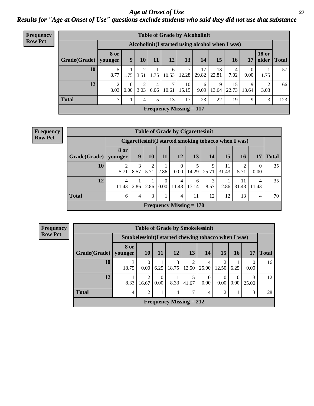*Age at Onset of Use* **27** *Results for "Age at Onset of Use" questions exclude students who said they did not use that substance*

| Frequency      |              | <b>Table of Grade by Alcoholinit</b> |                  |           |           |            |                                |                                                  |             |             |                  |                       |              |  |
|----------------|--------------|--------------------------------------|------------------|-----------|-----------|------------|--------------------------------|--------------------------------------------------|-------------|-------------|------------------|-----------------------|--------------|--|
| <b>Row Pct</b> |              |                                      |                  |           |           |            |                                | Alcoholinit (I started using alcohol when I was) |             |             |                  |                       |              |  |
|                | Grade(Grade) | <b>8 or</b><br>younger               | $\boldsymbol{9}$ | <b>10</b> | 11        | 12         | 13                             | 14                                               | 15          | <b>16</b>   | 17               | <b>18 or</b><br>older | <b>Total</b> |  |
|                | 10           | 8.77                                 | 1.75             | 3.51      | 1.75      | 6<br>10.53 | 7<br>12.28                     | 17<br>29.82                                      | 13<br>22.81 | 4<br>7.02   | $\theta$<br>0.00 | 1.75                  | 57           |  |
|                | 12           | ↑<br>3.03                            | $\Omega$<br>0.00 | 2<br>3.03 | 4<br>6.06 | 10.61      | 10<br>15.15                    | 6<br>9.09                                        | 9<br>13.64  | 15<br>22.73 | 9<br>13.64       | 2<br>3.03             | 66           |  |
|                | <b>Total</b> | 7                                    |                  | 4         | 5         | 13         | 17                             | 23                                               | 22          | 19          | 9                | 3                     | 123          |  |
|                |              |                                      |                  |           |           |            | <b>Frequency Missing = 117</b> |                                                  |             |             |                  |                       |              |  |

#### **Frequency Row Pct**

| <b>Table of Grade by Cigarettesinit</b> |                                                      |                |                        |                  |                           |            |            |             |             |                  |              |  |
|-----------------------------------------|------------------------------------------------------|----------------|------------------------|------------------|---------------------------|------------|------------|-------------|-------------|------------------|--------------|--|
|                                         | Cigarettesinit(I started smoking tobacco when I was) |                |                        |                  |                           |            |            |             |             |                  |              |  |
| Grade(Grade)   younger                  | 8 or                                                 | 9              | 10                     | 11               | 12 <sub>1</sub>           | 13         | 14         | 15          | 16          | 17               | <b>Total</b> |  |
| 10                                      | 2<br>5.71                                            | 3<br>8.57      | $\mathfrak{D}$<br>5.71 | 2.86             | 0.00                      | 14.29      | 9<br>25.71 | 11<br>31.43 | 5.71        | $\Omega$<br>0.00 | 35           |  |
| 12                                      | 4<br>11.43                                           | 2.86           | 2.86                   | $\theta$<br>0.00 | 4<br>11.43                | 6<br>17.14 | 3<br>8.57  | 2.86        | 11<br>31.43 | 4<br>11.43       | 35           |  |
| <b>Total</b>                            | 6                                                    | $\overline{4}$ | 3                      | 1                | $\overline{4}$            | 11         | 12         | 12          | 13          | $\overline{4}$   | 70           |  |
|                                         |                                                      |                |                        |                  | Frequency Missing $= 170$ |            |            |             |             |                  |              |  |

**Frequency Row Pct**

|                        | <b>Table of Grade by Smokelessinit</b> |                                                      |                  |            |                           |                  |                         |      |            |              |  |  |  |  |
|------------------------|----------------------------------------|------------------------------------------------------|------------------|------------|---------------------------|------------------|-------------------------|------|------------|--------------|--|--|--|--|
|                        |                                        | Smokelessinit (I started chewing tobacco when I was) |                  |            |                           |                  |                         |      |            |              |  |  |  |  |
| Grade(Grade)   younger | 8 or                                   | <b>10</b>                                            | 11               | 12         | 13                        | 14               | 15                      | 16   | 17         | <b>Total</b> |  |  |  |  |
| 10                     | 3<br>18.75                             | $\Omega$<br>0.00                                     | 6.25             | 3<br>18.75 | 2<br>12.50                | 4<br>25.00       | $\overline{c}$<br>12.50 | 6.25 | 0.00       | 16           |  |  |  |  |
| 12                     | 8.33                                   | 2<br>16.67                                           | $\Omega$<br>0.00 | 8.33       | 5<br>41.67                | $\Omega$<br>0.00 | $\Omega$<br>0.00        | 0.00 | 3<br>25.00 | 12           |  |  |  |  |
| <b>Total</b>           | 4                                      | $\overline{2}$                                       |                  | 4          | 7                         | 4                | $\overline{2}$          |      | 3          | 28           |  |  |  |  |
|                        |                                        |                                                      |                  |            | Frequency Missing $= 212$ |                  |                         |      |            |              |  |  |  |  |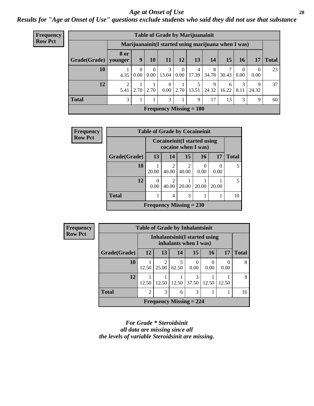#### *Age at Onset of Use* **28**

*Results for "Age at Onset of Use" questions exclude students who said they did not use that substance*

| <b>Frequency</b> | <b>Table of Grade by Marijuanainit</b> |                        |                                                      |                  |                  |                  |                           |            |            |           |                  |              |  |  |
|------------------|----------------------------------------|------------------------|------------------------------------------------------|------------------|------------------|------------------|---------------------------|------------|------------|-----------|------------------|--------------|--|--|
| <b>Row Pct</b>   |                                        |                        | Marijuanainit (I started using marijuana when I was) |                  |                  |                  |                           |            |            |           |                  |              |  |  |
|                  | Grade(Grade)                           | <b>8 or</b><br>younger | 9                                                    | 10               | 11               | 12               | 13                        | 14         | 15         | 16        | 17               | <b>Total</b> |  |  |
|                  | 10                                     | 4.35                   | $\theta$<br>0.00                                     | $\theta$<br>0.00 | 3<br>13.04       | $\theta$<br>0.00 | 4<br>17.39                | 8<br>34.78 | 30.43      | 0<br>0.00 | $\Omega$<br>0.00 | 23           |  |  |
|                  | 12                                     | $\mathfrak{D}$<br>5.41 | 2.70                                                 | 2.70             | $\Omega$<br>0.00 | 2.70             | 13.51                     | 9<br>24.32 | 6<br>16.22 | 3<br>8.11 | 9<br>24.32       | 37           |  |  |
|                  | <b>Total</b>                           | 3                      |                                                      |                  | 3                |                  | 9                         | 17         | 13         | 3         | 9                | 60           |  |  |
|                  |                                        |                        |                                                      |                  |                  |                  | Frequency Missing $= 180$ |            |            |           |                  |              |  |  |

| <b>Frequency</b> |              | <b>Table of Grade by Cocaineinit</b> |                         |                                                            |           |       |              |  |
|------------------|--------------|--------------------------------------|-------------------------|------------------------------------------------------------|-----------|-------|--------------|--|
| <b>Row Pct</b>   |              |                                      |                         | <b>Cocaineinit</b> (I started using<br>cocaine when I was) |           |       |              |  |
|                  | Grade(Grade) | 13                                   | 14                      | 15                                                         | <b>16</b> | 17    | <b>Total</b> |  |
|                  | 10           | 20.00                                | $\overline{c}$<br>40.00 | $\mathfrak{D}$<br>40.00                                    | 0<br>0.00 | 0.00  | 5            |  |
|                  | 12           | 0<br>0.00                            | $\overline{c}$<br>40.00 | 20.00                                                      | 20.00     | 20.00 | 5            |  |
|                  | <b>Total</b> |                                      | $\overline{4}$          | 3                                                          |           |       | 10           |  |
|                  |              |                                      |                         | Frequency Missing $= 230$                                  |           |       |              |  |

| Frequency      |              |           |                                                         |            | <b>Table of Grade by Inhalantsinit</b> |           |           |              |
|----------------|--------------|-----------|---------------------------------------------------------|------------|----------------------------------------|-----------|-----------|--------------|
| <b>Row Pct</b> |              |           | Inhalantsinit (I started using<br>inhalants when I was) |            |                                        |           |           |              |
|                | Grade(Grade) | <b>12</b> | 13                                                      | 14         | 15                                     | <b>16</b> | 17        | <b>Total</b> |
|                | 10           | 12.50     | $\overline{2}$<br>25.00                                 | 5<br>62.50 | $\Omega$<br>0.00                       | 0.00      | 0<br>0.00 | 8            |
|                | 12           | 12.50     | 12.50                                                   | 12.50      | 3<br>37.50                             | 12.50     | 12.50     | 8            |
|                | <b>Total</b> | 2         | 3                                                       | 6          | 3                                      |           |           | 16           |
|                |              |           |                                                         |            | <b>Frequency Missing = 224</b>         |           |           |              |

*For Grade \* Steroidsinit all data are missing since all the levels of variable Steroidsinit are missing.*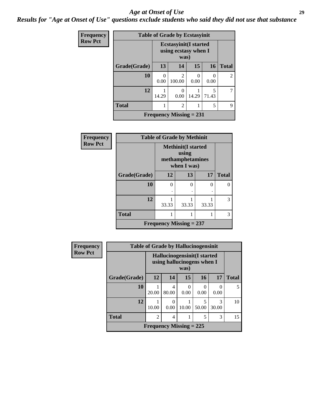#### *Age at Onset of Use* **29**

*Results for "Age at Onset of Use" questions exclude students who said they did not use that substance*

| <b>Frequency</b> |              | <b>Table of Grade by Ecstasyinit</b> |                                                               |       |                  |                |  |  |
|------------------|--------------|--------------------------------------|---------------------------------------------------------------|-------|------------------|----------------|--|--|
| <b>Row Pct</b>   |              |                                      | <b>Ecstasyinit</b> (I started<br>using ecstasy when I<br>was) |       |                  |                |  |  |
|                  | Grade(Grade) | 13                                   | 14                                                            | 15    | 16               | <b>Total</b>   |  |  |
|                  | 10           | 0<br>0.00                            | $\mathcal{D}_{\mathcal{A}}$<br>100.00                         | 0.00  | $\Omega$<br>0.00 | $\mathfrak{D}$ |  |  |
|                  | 12           | 14.29                                | 0.00                                                          | 14.29 | 5<br>71.43       |                |  |  |
|                  | <b>Total</b> |                                      | 9                                                             |       |                  |                |  |  |
|                  |              |                                      | <b>Frequency Missing = 231</b>                                |       |                  |                |  |  |

| <b>Frequency</b> | <b>Table of Grade by Methinit</b> |                           |                                                                        |           |              |  |  |
|------------------|-----------------------------------|---------------------------|------------------------------------------------------------------------|-----------|--------------|--|--|
| <b>Row Pct</b>   |                                   |                           | <b>Methinit</b> (I started<br>using<br>methamphetamines<br>when I was) |           |              |  |  |
|                  | Grade(Grade)                      | 12                        | 13                                                                     | 17        | <b>Total</b> |  |  |
|                  | 10                                | 0                         | 0                                                                      | 0         | 0            |  |  |
|                  |                                   | $\ddot{\phantom{0}}$      | ٠                                                                      | $\bullet$ |              |  |  |
|                  | 12                                | 33.33                     | 33.33                                                                  | 33.33     | 3            |  |  |
|                  | <b>Total</b>                      |                           |                                                                        |           | 3            |  |  |
|                  |                                   | Frequency Missing $= 237$ |                                                                        |           |              |  |  |

| Frequency      | <b>Table of Grade by Hallucinogensinit</b> |                                                            |                           |           |                  |            |              |  |
|----------------|--------------------------------------------|------------------------------------------------------------|---------------------------|-----------|------------------|------------|--------------|--|
| <b>Row Pct</b> |                                            | Hallucinogensinit (I started<br>using hallucinogens when I |                           |           |                  |            |              |  |
|                | Grade(Grade)                               | 12                                                         | 14                        | 15        | 16               | 17         | <b>Total</b> |  |
|                | 10                                         | 20.00                                                      | 4<br>80.00                | 0<br>0.00 | $\Omega$<br>0.00 | 0.00       |              |  |
|                | 12                                         | 10.00                                                      | 0<br>0.00                 | 10.00     | 5<br>50.00       | 3<br>30.00 | 10           |  |
|                | <b>Total</b>                               | $\mathfrak{D}$                                             | 4                         |           | 5                | 3          | 15           |  |
|                |                                            |                                                            | Frequency Missing $= 225$ |           |                  |            |              |  |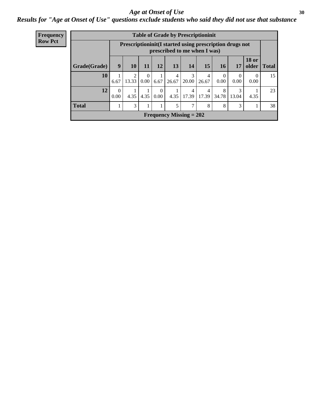#### Age at Onset of Use **30**

### *Results for "Age at Onset of Use" questions exclude students who said they did not use that substance*

| <b>Frequency</b> | <b>Table of Grade by Prescriptioninit</b> |           |                                                                                            |                  |                  |            |                           |            |                  |                  |                       |              |
|------------------|-------------------------------------------|-----------|--------------------------------------------------------------------------------------------|------------------|------------------|------------|---------------------------|------------|------------------|------------------|-----------------------|--------------|
| <b>Row Pct</b>   |                                           |           | Prescription in it (I started using prescription drugs not<br>prescribed to me when I was) |                  |                  |            |                           |            |                  |                  |                       |              |
|                  | Grade(Grade)                              | 9         | 10                                                                                         | 11               | 12               | 13         | 14                        | 15         | <b>16</b>        | 17               | <b>18 or</b><br>older | <b>Total</b> |
|                  | 10                                        | 6.67      | $\overline{2}$<br>13.33                                                                    | $\Omega$<br>0.00 | 6.67             | 4<br>26.67 | 3<br>20.00                | 4<br>26.67 | $\Omega$<br>0.00 | $\Omega$<br>0.00 | $\theta$<br>0.00      | 15           |
|                  | 12                                        | 0<br>0.00 | 4.35                                                                                       | 4.35             | $\Omega$<br>0.00 | 4.35       | 4<br>17.39                | 4<br>17.39 | 8<br>34.78       | 3<br>13.04       | 4.35                  | 23           |
|                  | <b>Total</b>                              |           | 3                                                                                          | 1                |                  | 5          | 7                         | 8          | 8                | 3                | $\mathbf{1}$<br>1     | 38           |
|                  |                                           |           |                                                                                            |                  |                  |            | Frequency Missing $= 202$ |            |                  |                  |                       |              |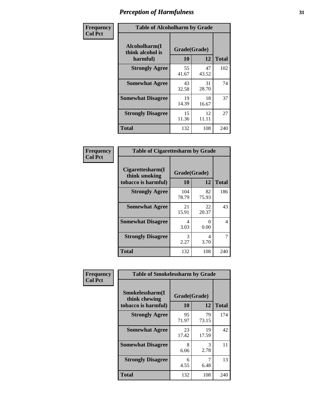| Frequency      | <b>Table of Alcoholharm by Grade</b>          |                    |             |              |  |  |
|----------------|-----------------------------------------------|--------------------|-------------|--------------|--|--|
| <b>Col Pct</b> | Alcoholharm(I<br>think alcohol is<br>harmful) | Grade(Grade)<br>10 | 12          | <b>Total</b> |  |  |
|                | <b>Strongly Agree</b>                         | 55<br>41.67        | 47<br>43.52 | 102          |  |  |
|                | <b>Somewhat Agree</b>                         | 43<br>32.58        | 31<br>28.70 | 74           |  |  |
|                | <b>Somewhat Disagree</b>                      | 19<br>14.39        | 18<br>16.67 | 37           |  |  |
|                | <b>Strongly Disagree</b>                      | 15<br>11.36        | 12<br>11.11 | 27           |  |  |
|                | <b>Total</b>                                  | 132                | 108         | 240          |  |  |

| <b>Table of Cigarettesharm by Grade</b>                  |                    |             |              |  |  |  |  |
|----------------------------------------------------------|--------------------|-------------|--------------|--|--|--|--|
| Cigarettesharm(I<br>think smoking<br>tobacco is harmful) | Grade(Grade)<br>10 | 12          | <b>Total</b> |  |  |  |  |
| <b>Strongly Agree</b>                                    | 104<br>78.79       | 82<br>75.93 | 186          |  |  |  |  |
| <b>Somewhat Agree</b>                                    | 21<br>15.91        | 22<br>20.37 | 43           |  |  |  |  |
| <b>Somewhat Disagree</b>                                 | 4<br>3.03          | 0<br>0.00   | 4            |  |  |  |  |
| <b>Strongly Disagree</b>                                 | 3<br>2.27          | 4<br>3.70   | 7            |  |  |  |  |
| <b>Total</b>                                             | 132                | 108         | 240          |  |  |  |  |

| Frequency      |                                                         | <b>Table of Smokelessharm by Grade</b> |             |              |  |  |
|----------------|---------------------------------------------------------|----------------------------------------|-------------|--------------|--|--|
| <b>Col Pct</b> | Smokelessharm(I<br>think chewing<br>tobacco is harmful) | Grade(Grade)<br>10                     | 12          | <b>Total</b> |  |  |
|                | <b>Strongly Agree</b>                                   | 95<br>71.97                            | 79<br>73.15 | 174          |  |  |
|                | <b>Somewhat Agree</b>                                   | 23<br>17.42                            | 19<br>17.59 | 42           |  |  |
|                | <b>Somewhat Disagree</b>                                | 8<br>6.06                              | 3<br>2.78   | 11           |  |  |
|                | <b>Strongly Disagree</b>                                | 6<br>4.55                              | 7<br>6.48   | 13           |  |  |
|                | <b>Total</b>                                            | 132                                    | 108         | 240          |  |  |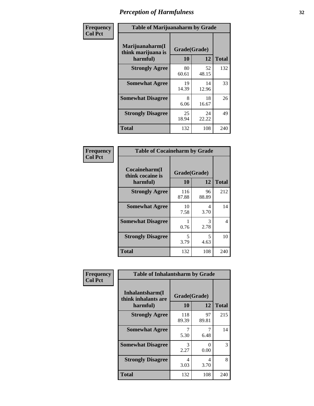| Frequency      |                                                   | <b>Table of Marijuanaharm by Grade</b> |             |              |  |  |  |
|----------------|---------------------------------------------------|----------------------------------------|-------------|--------------|--|--|--|
| <b>Col Pct</b> | Marijuanaharm(I<br>think marijuana is<br>harmful) | Grade(Grade)<br>10                     | 12          | <b>Total</b> |  |  |  |
|                | <b>Strongly Agree</b>                             | 80<br>60.61                            | 52<br>48.15 | 132          |  |  |  |
|                | <b>Somewhat Agree</b>                             | 19<br>14.39                            | 14<br>12.96 | 33           |  |  |  |
|                | <b>Somewhat Disagree</b>                          | 8<br>6.06                              | 18<br>16.67 | 26           |  |  |  |
|                | <b>Strongly Disagree</b>                          | 25<br>18.94                            | 24<br>22.22 | 49           |  |  |  |
|                | <b>Total</b>                                      | 132                                    | 108         | 240          |  |  |  |

| <b>Table of Cocaineharm by Grade</b>          |                    |             |              |  |  |  |  |
|-----------------------------------------------|--------------------|-------------|--------------|--|--|--|--|
| Cocaineharm(I<br>think cocaine is<br>harmful) | Grade(Grade)<br>10 | 12          | <b>Total</b> |  |  |  |  |
| <b>Strongly Agree</b>                         | 116<br>87.88       | 96<br>88.89 | 212          |  |  |  |  |
| <b>Somewhat Agree</b>                         | 10<br>7.58         | 4<br>3.70   | 14           |  |  |  |  |
| <b>Somewhat Disagree</b>                      | 1<br>0.76          | 3<br>2.78   | 4            |  |  |  |  |
| <b>Strongly Disagree</b>                      | 5<br>3.79          | 5<br>4.63   | 10           |  |  |  |  |
| <b>Total</b>                                  | 132                | 108         | 240          |  |  |  |  |

| Frequency      | <b>Table of Inhalantsharm by Grade</b>             |                    |             |              |
|----------------|----------------------------------------------------|--------------------|-------------|--------------|
| <b>Col Pct</b> | Inhalantsharm(I<br>think inhalants are<br>harmful) | Grade(Grade)<br>10 | <b>12</b>   | <b>Total</b> |
|                | <b>Strongly Agree</b>                              | 118<br>89.39       | 97<br>89.81 | 215          |
|                | <b>Somewhat Agree</b>                              | 7<br>5.30          | 6.48        | 14           |
|                | <b>Somewhat Disagree</b>                           | 3<br>2.27          | 0<br>0.00   | 3            |
|                | <b>Strongly Disagree</b>                           | 4<br>3.03          | 4<br>3.70   | 8            |
|                | <b>Total</b>                                       | 132                | 108         | 240          |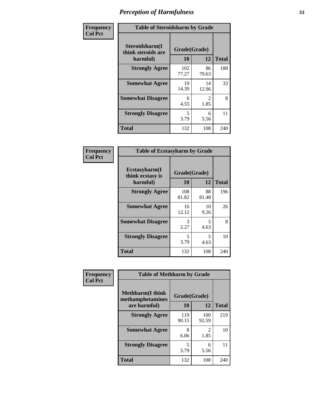| Frequency      | <b>Table of Steroidsharm by Grade</b>            |                                  |                        |              |
|----------------|--------------------------------------------------|----------------------------------|------------------------|--------------|
| <b>Col Pct</b> | Steroidsharm(I<br>think steroids are<br>harmful) | Grade(Grade)<br>10               | 12                     | <b>Total</b> |
|                | <b>Strongly Agree</b>                            | 102<br>77.27                     | 86<br>79.63            | 188          |
|                | <b>Somewhat Agree</b>                            | 19<br>14.39                      | 14<br>12.96            | 33           |
|                | <b>Somewhat Disagree</b>                         | 6<br>4.55                        | $\mathfrak{D}$<br>1.85 | 8            |
|                | <b>Strongly Disagree</b>                         | $\overline{\mathcal{L}}$<br>3.79 | 6<br>5.56              | 11           |
|                | <b>Total</b>                                     | 132                              | 108                    | 240          |

| <b>Table of Ecstasyharm by Grade</b>          |                    |              |     |  |  |
|-----------------------------------------------|--------------------|--------------|-----|--|--|
| Ecstasyharm(I<br>think ecstasy is<br>harmful) | Grade(Grade)<br>10 | <b>Total</b> |     |  |  |
| <b>Strongly Agree</b>                         | 108<br>81.82       | 88<br>81.48  | 196 |  |  |
| <b>Somewhat Agree</b>                         | 16<br>12.12        | 10<br>9.26   | 26  |  |  |
| <b>Somewhat Disagree</b>                      | 3<br>2.27          | 5<br>4.63    | 8   |  |  |
| <b>Strongly Disagree</b>                      | 5<br>3.79          | 5<br>4.63    | 10  |  |  |
| <b>Total</b>                                  | 132                | 108          | 240 |  |  |

| Frequency      | <b>Table of Methharm by Grade</b>            |              |                                  |              |
|----------------|----------------------------------------------|--------------|----------------------------------|--------------|
| <b>Col Pct</b> | <b>Methharm</b> (I think<br>methamphetamines | Grade(Grade) |                                  |              |
|                | are harmful)                                 | 10           | 12                               | <b>Total</b> |
|                | <b>Strongly Agree</b>                        | 119<br>90.15 | 100<br>92.59                     | 219          |
|                | <b>Somewhat Agree</b>                        | 8<br>6.06    | $\overline{\mathcal{L}}$<br>1.85 | 10           |
|                | <b>Strongly Disagree</b>                     | 5<br>3.79    | 6<br>5.56                        | 11           |
|                | <b>Total</b>                                 | 132          | 108                              | 240          |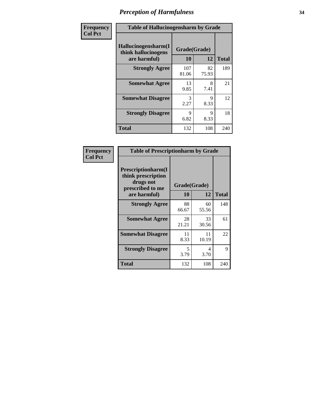| Frequency      | <b>Table of Hallucinogensharm by Grade</b>                 |                    |             |              |
|----------------|------------------------------------------------------------|--------------------|-------------|--------------|
| <b>Col Pct</b> | Hallucinogensharm(I<br>think hallucinogens<br>are harmful) | Grade(Grade)<br>10 | 12          | <b>Total</b> |
|                | <b>Strongly Agree</b>                                      | 107<br>81.06       | 82<br>75.93 | 189          |
|                | <b>Somewhat Agree</b>                                      | 13<br>9.85         | 8<br>7.41   | 21           |
|                | <b>Somewhat Disagree</b>                                   | 3<br>2.27          | 9<br>8.33   | 12           |
|                | <b>Strongly Disagree</b>                                   | 9<br>6.82          | 9<br>8.33   | 18           |
|                | <b>Total</b>                                               | 132                | 108         | 240          |

| <b>Table of Prescriptionharm by Grade</b>                                         |              |             |              |  |
|-----------------------------------------------------------------------------------|--------------|-------------|--------------|--|
| <b>Prescriptionharm</b> (I<br>think prescription<br>drugs not<br>prescribed to me | Grade(Grade) |             |              |  |
| are harmful)                                                                      | 10           | 12          | <b>Total</b> |  |
| <b>Strongly Agree</b>                                                             | 88<br>66.67  | 60<br>55.56 | 148          |  |
| <b>Somewhat Agree</b>                                                             | 28<br>21.21  | 33<br>30.56 | 61           |  |
| <b>Somewhat Disagree</b>                                                          | 11<br>8.33   | 11<br>10.19 | 22           |  |
| <b>Strongly Disagree</b>                                                          | 5<br>3.79    | 4<br>3.70   | 9            |  |
| Total                                                                             | 132          | 108         | 240          |  |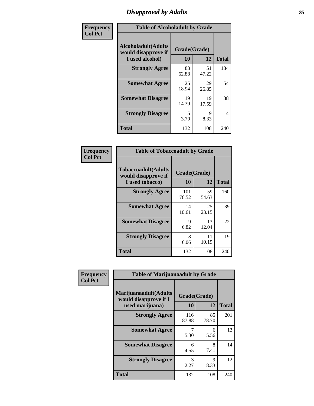# *Disapproval by Adults* **35**

| Frequency      | <b>Table of Alcoholadult by Grade</b>                                 |                    |             |              |
|----------------|-----------------------------------------------------------------------|--------------------|-------------|--------------|
| <b>Col Pct</b> | <b>Alcoholadult</b> (Adults<br>would disapprove if<br>I used alcohol) | Grade(Grade)<br>10 | 12          | <b>Total</b> |
|                | <b>Strongly Agree</b>                                                 | 83<br>62.88        | 51<br>47.22 | 134          |
|                | <b>Somewhat Agree</b>                                                 | 25<br>18.94        | 29<br>26.85 | 54           |
|                | <b>Somewhat Disagree</b>                                              | 19<br>14.39        | 19<br>17.59 | 38           |
|                | <b>Strongly Disagree</b>                                              | 5<br>3.79          | 9<br>8.33   | 14           |
|                | <b>Total</b>                                                          | 132                | 108         | 240          |

| <b>Table of Tobaccoadult by Grade</b>                                 |                    |             |              |  |  |
|-----------------------------------------------------------------------|--------------------|-------------|--------------|--|--|
| <b>Tobaccoadult</b> (Adults<br>would disapprove if<br>I used tobacco) | Grade(Grade)<br>10 | 12          | <b>Total</b> |  |  |
| <b>Strongly Agree</b>                                                 | 101<br>76.52       | 59<br>54.63 | 160          |  |  |
| <b>Somewhat Agree</b>                                                 | 14<br>10.61        | 25<br>23.15 | 39           |  |  |
| <b>Somewhat Disagree</b>                                              | 9<br>6.82          | 13<br>12.04 | 22           |  |  |
| <b>Strongly Disagree</b>                                              | 8<br>6.06          | 11<br>10.19 | 19           |  |  |
| Total                                                                 | 132                | 108         | 240          |  |  |

| Frequency      | <b>Table of Marijuanaadult by Grade</b>                           |                    |             |              |
|----------------|-------------------------------------------------------------------|--------------------|-------------|--------------|
| <b>Col Pct</b> | Marijuanaadult(Adults<br>would disapprove if I<br>used marijuana) | Grade(Grade)<br>10 | 12          | <b>Total</b> |
|                | <b>Strongly Agree</b>                                             | 116<br>87.88       | 85<br>78.70 | 201          |
|                | <b>Somewhat Agree</b>                                             | 7<br>5.30          | 6<br>5.56   | 13           |
|                | <b>Somewhat Disagree</b>                                          | 6<br>4.55          | 8<br>7.41   | 14           |
|                | <b>Strongly Disagree</b>                                          | 3<br>2.27          | 9<br>8.33   | 12           |
|                | <b>Total</b>                                                      | 132                | 108         | 240          |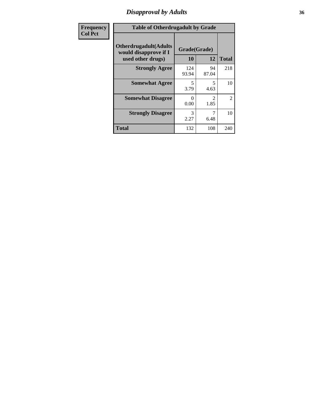### *Disapproval by Adults* **36**

| <b>Frequency</b> | <b>Table of Otherdrugadult by Grade</b>                                     |                    |                                     |                |
|------------------|-----------------------------------------------------------------------------|--------------------|-------------------------------------|----------------|
| <b>Col Pct</b>   | <b>Otherdrugadult</b> (Adults<br>would disapprove if I<br>used other drugs) | Grade(Grade)<br>10 | 12                                  | <b>Total</b>   |
|                  | <b>Strongly Agree</b>                                                       | 124<br>93.94       | 94<br>87.04                         | 218            |
|                  | <b>Somewhat Agree</b>                                                       | 5<br>3.79          | 5<br>4.63                           | 10             |
|                  | <b>Somewhat Disagree</b>                                                    | ∩<br>0.00          | $\mathcal{D}_{\mathcal{L}}$<br>1.85 | $\overline{2}$ |
|                  | <b>Strongly Disagree</b>                                                    | 3<br>2.27          | 6.48                                | 10             |
|                  | <b>Total</b>                                                                | 132                | 108                                 | 240            |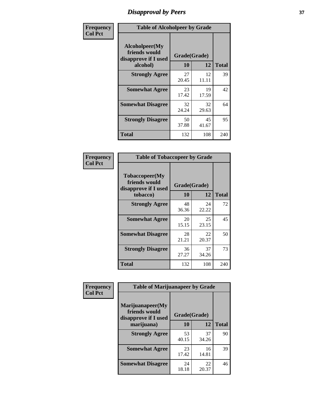## *Disapproval by Peers* **37**

| Frequency      | <b>Table of Alcoholpeer by Grade</b>                    |              |             |              |  |
|----------------|---------------------------------------------------------|--------------|-------------|--------------|--|
| <b>Col Pct</b> | Alcoholpeer(My<br>friends would<br>disapprove if I used | Grade(Grade) |             |              |  |
|                | alcohol)                                                | 10           | 12          | <b>Total</b> |  |
|                | <b>Strongly Agree</b>                                   | 27<br>20.45  | 12<br>11.11 | 39           |  |
|                | <b>Somewhat Agree</b>                                   | 23<br>17.42  | 19<br>17.59 | 42           |  |
|                | <b>Somewhat Disagree</b>                                | 32<br>24.24  | 32<br>29.63 | 64           |  |
|                | <b>Strongly Disagree</b>                                | 50<br>37.88  | 45<br>41.67 | 95           |  |
|                | Total                                                   | 132          | 108         | 240          |  |

| Frequency      | <b>Table of Tobaccopeer by Grade</b>                                |                    |             |              |
|----------------|---------------------------------------------------------------------|--------------------|-------------|--------------|
| <b>Col Pct</b> | Tobaccopeer(My<br>friends would<br>disapprove if I used<br>tobacco) | Grade(Grade)<br>10 | 12          | <b>Total</b> |
|                | <b>Strongly Agree</b>                                               | 48<br>36.36        | 24<br>22.22 | 72           |
|                | <b>Somewhat Agree</b>                                               | 20<br>15.15        | 25<br>23.15 | 45           |
|                | <b>Somewhat Disagree</b>                                            | 28<br>21.21        | 22<br>20.37 | 50           |
|                | <b>Strongly Disagree</b>                                            | 36<br>27.27        | 37<br>34.26 | 73           |
|                | Total                                                               | 132                | 108         | 240          |

| Frequency<br><b>Col Pct</b> | <b>Table of Marijuanapeer by Grade</b>                    |              |             |              |
|-----------------------------|-----------------------------------------------------------|--------------|-------------|--------------|
|                             | Marijuanapeer(My<br>friends would<br>disapprove if I used | Grade(Grade) |             |              |
|                             | marijuana)                                                | 10           | 12          | <b>Total</b> |
|                             | <b>Strongly Agree</b>                                     | 53<br>40.15  | 37<br>34.26 | 90           |
|                             | <b>Somewhat Agree</b>                                     | 23<br>17.42  | 16<br>14.81 | 39           |
|                             | <b>Somewhat Disagree</b>                                  | 24<br>18.18  | 22<br>20.37 | 46           |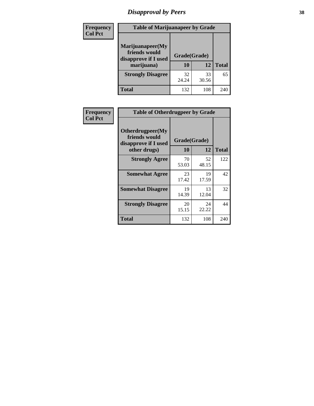# *Disapproval by Peers* **38**

| <b>Frequency</b> | <b>Table of Marijuanapeer by Grade</b>                                  |                    |             |              |
|------------------|-------------------------------------------------------------------------|--------------------|-------------|--------------|
| <b>Col Pct</b>   | Marijuanapeer(My<br>friends would<br>disapprove if I used<br>marijuana) | Grade(Grade)<br>10 | 12          | <b>Total</b> |
|                  | <b>Strongly Disagree</b>                                                | 32<br>24.24        | 33<br>30.56 | 65           |
|                  | <b>Total</b>                                                            | 132                | 108         | 240          |

| <b>Frequency</b> | <b>Table of Otherdrugpeer by Grade</b>                                    |                           |             |              |
|------------------|---------------------------------------------------------------------------|---------------------------|-------------|--------------|
| <b>Col Pct</b>   | Otherdrugpeer(My<br>friends would<br>disapprove if I used<br>other drugs) | Grade(Grade)<br><b>10</b> | 12          | <b>Total</b> |
|                  |                                                                           |                           |             |              |
|                  | <b>Strongly Agree</b>                                                     | 70<br>53.03               | 52<br>48.15 | 122          |
|                  | <b>Somewhat Agree</b>                                                     | 23<br>17.42               | 19<br>17.59 | 42           |
|                  | <b>Somewhat Disagree</b>                                                  | 19<br>14.39               | 13<br>12.04 | 32           |
|                  | <b>Strongly Disagree</b>                                                  | 20<br>15.15               | 24<br>22.22 | 44           |
|                  | Total                                                                     | 132                       | 108         | 240          |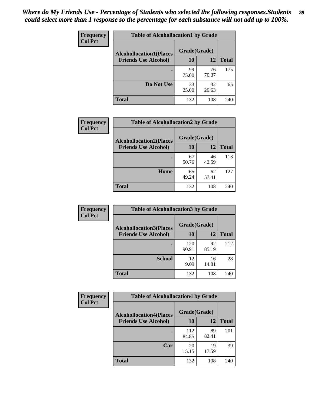| Frequency<br><b>Col Pct</b> | <b>Table of Alcohollocation1 by Grade</b> |              |             |              |
|-----------------------------|-------------------------------------------|--------------|-------------|--------------|
|                             | <b>Alcohollocation1(Places</b>            | Grade(Grade) |             |              |
|                             | <b>Friends Use Alcohol)</b>               | 10           | 12          | <b>Total</b> |
|                             |                                           | 99<br>75.00  | 76<br>70.37 | 175          |
|                             | Do Not Use                                | 33<br>25.00  | 32<br>29.63 | 65           |
|                             | <b>Total</b>                              | 132          | 108         | 240          |

| Frequency      | <b>Table of Alcohollocation2 by Grade</b>                     |                    |             |              |
|----------------|---------------------------------------------------------------|--------------------|-------------|--------------|
| <b>Col Pct</b> | <b>Alcohollocation2(Places</b><br><b>Friends Use Alcohol)</b> | Grade(Grade)<br>10 | 12          | <b>Total</b> |
|                |                                                               | 67<br>50.76        | 46<br>42.59 | 113          |
|                | Home                                                          | 65<br>49.24        | 62<br>57.41 | 127          |
|                | <b>Total</b>                                                  | 132                | 108         | 240          |

| Frequency<br><b>Col Pct</b> | <b>Table of Alcohollocation 3 by Grade</b>                    |                    |             |              |
|-----------------------------|---------------------------------------------------------------|--------------------|-------------|--------------|
|                             | <b>Alcohollocation3(Places</b><br><b>Friends Use Alcohol)</b> | Grade(Grade)<br>10 | 12          | <b>Total</b> |
|                             |                                                               | 120<br>90.91       | 92<br>85.19 | 212          |
|                             | <b>School</b>                                                 | 12<br>9.09         | 16<br>14.81 | 28           |
|                             | <b>Total</b>                                                  | 132                | 108         | 240          |

| <b>Frequency</b> | <b>Table of Alcohollocation4 by Grade</b> |              |             |              |
|------------------|-------------------------------------------|--------------|-------------|--------------|
| <b>Col Pct</b>   | <b>Alcohollocation4(Places</b>            | Grade(Grade) |             |              |
|                  | <b>Friends Use Alcohol)</b>               | 10           | 12          | <b>Total</b> |
|                  |                                           | 112<br>84.85 | 89<br>82.41 | 201          |
|                  | Car                                       | 20<br>15.15  | 19<br>17.59 | 39           |
|                  | Total                                     | 132          | 108         | 240          |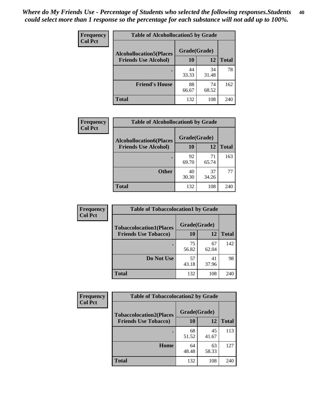| Frequency<br><b>Col Pct</b> | <b>Table of Alcohollocation5 by Grade</b>      |             |             |              |  |
|-----------------------------|------------------------------------------------|-------------|-------------|--------------|--|
|                             | Grade(Grade)<br><b>Alcohollocation5(Places</b> |             |             |              |  |
|                             | <b>Friends Use Alcohol)</b>                    | 10          | 12          | <b>Total</b> |  |
|                             |                                                | 44<br>33.33 | 34<br>31.48 | 78           |  |
|                             | <b>Friend's House</b>                          | 88<br>66.67 | 74<br>68.52 | 162          |  |
|                             | <b>Total</b>                                   | 132         | 108         | 240          |  |

| <b>Frequency</b> | <b>Table of Alcohollocation6 by Grade</b> |              |             |              |
|------------------|-------------------------------------------|--------------|-------------|--------------|
| <b>Col Pct</b>   | <b>Alcohollocation6(Places</b>            | Grade(Grade) |             |              |
|                  | <b>Friends Use Alcohol)</b>               | 10           | 12          | <b>Total</b> |
|                  |                                           | 92<br>69.70  | 71<br>65.74 | 163          |
|                  | <b>Other</b>                              | 40<br>30.30  | 37<br>34.26 | 77           |
|                  | <b>Total</b>                              | 132          | 108         | 240          |

| Frequency      | <b>Table of Tobaccolocation1 by Grade</b> |              |             |              |
|----------------|-------------------------------------------|--------------|-------------|--------------|
| <b>Col Pct</b> | <b>Tobaccolocation1(Places</b>            | Grade(Grade) |             |              |
|                | <b>Friends Use Tobacco)</b>               | 10           | <b>12</b>   | <b>Total</b> |
|                |                                           | 75<br>56.82  | 67<br>62.04 | 142          |
|                | Do Not Use                                | 57<br>43.18  | 41<br>37.96 | 98           |
|                | <b>Total</b>                              | 132          | 108         | 240          |

| <b>Frequency</b> | <b>Table of Tobaccolocation2 by Grade</b> |              |             |              |  |  |
|------------------|-------------------------------------------|--------------|-------------|--------------|--|--|
| <b>Col Pct</b>   | <b>Tobaccolocation2(Places</b>            | Grade(Grade) |             |              |  |  |
|                  | <b>Friends Use Tobacco)</b>               | 10           | 12          | <b>Total</b> |  |  |
|                  |                                           | 68<br>51.52  | 45<br>41.67 | 113          |  |  |
|                  | Home                                      | 64<br>48.48  | 63<br>58.33 | 127          |  |  |
|                  | <b>Total</b>                              | 132          | 108         | 240          |  |  |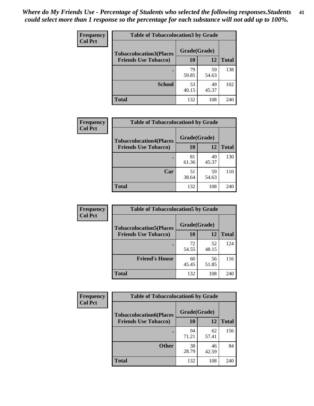| Frequency      | <b>Table of Tobaccolocation 3 by Grade</b> |              |             |              |  |
|----------------|--------------------------------------------|--------------|-------------|--------------|--|
| <b>Col Pct</b> | <b>Tobaccolocation3(Places</b>             | Grade(Grade) |             |              |  |
|                | <b>Friends Use Tobacco)</b>                | 10           | <b>12</b>   | <b>Total</b> |  |
|                |                                            | 79<br>59.85  | 59<br>54.63 | 138          |  |
|                | <b>School</b>                              | 53<br>40.15  | 49<br>45.37 | 102          |  |
|                | <b>Total</b>                               | 132          | 108         | 240          |  |

| Frequency      | <b>Table of Tobaccolocation4 by Grade</b>                     |                           |             |              |
|----------------|---------------------------------------------------------------|---------------------------|-------------|--------------|
| <b>Col Pct</b> | <b>Tobaccolocation4(Places</b><br><b>Friends Use Tobacco)</b> | Grade(Grade)<br><b>10</b> | 12          | <b>Total</b> |
|                |                                                               | 81<br>61.36               | 49<br>45.37 | 130          |
|                | Car                                                           | 51<br>38.64               | 59<br>54.63 | 110          |
|                | <b>Total</b>                                                  | 132                       | 108         | 240          |

| Frequency      | <b>Table of Tobaccolocation5 by Grade</b>                     |                    |             |              |
|----------------|---------------------------------------------------------------|--------------------|-------------|--------------|
| <b>Col Pct</b> | <b>Tobaccolocation5(Places</b><br><b>Friends Use Tobacco)</b> | Grade(Grade)<br>10 | <b>12</b>   | <b>Total</b> |
|                |                                                               | 72<br>54.55        | 52<br>48.15 | 124          |
|                | <b>Friend's House</b>                                         | 60<br>45.45        | 56<br>51.85 | 116          |
|                | <b>Total</b>                                                  | 132                | 108         | 240          |

| <b>Frequency</b> | <b>Table of Tobaccolocation6 by Grade</b> |              |             |              |  |
|------------------|-------------------------------------------|--------------|-------------|--------------|--|
| <b>Col Pct</b>   | <b>Tobaccolocation6(Places</b>            | Grade(Grade) |             |              |  |
|                  | <b>Friends Use Tobacco)</b>               | 10           | 12          | <b>Total</b> |  |
|                  |                                           | 94<br>71.21  | 62<br>57.41 | 156          |  |
|                  | <b>Other</b>                              | 38<br>28.79  | 46<br>42.59 | 84           |  |
|                  | <b>Total</b>                              | 132          | 108         | 240          |  |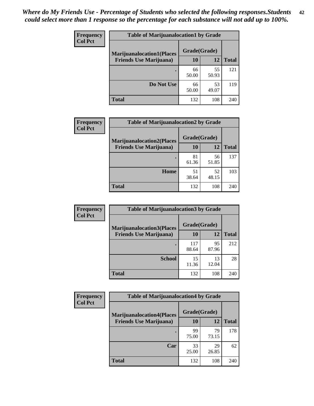| <b>Frequency</b> | <b>Table of Marijuanalocation1 by Grade</b> |              |             |              |
|------------------|---------------------------------------------|--------------|-------------|--------------|
| <b>Col Pct</b>   | <b>Marijuanalocation1(Places</b>            | Grade(Grade) |             |              |
|                  | <b>Friends Use Marijuana</b> )              | 10           | 12          | <b>Total</b> |
|                  |                                             | 66<br>50.00  | 55<br>50.93 | 121          |
|                  | Do Not Use                                  | 66<br>50.00  | 53<br>49.07 | 119          |
|                  | <b>Total</b>                                | 132          | 108         | 240          |

| <b>Frequency</b> | <b>Table of Marijuanalocation2 by Grade</b>                        |                    |             |              |
|------------------|--------------------------------------------------------------------|--------------------|-------------|--------------|
| <b>Col Pct</b>   | <b>Marijuanalocation2(Places</b><br><b>Friends Use Marijuana</b> ) | Grade(Grade)<br>10 | 12          | <b>Total</b> |
|                  |                                                                    | 81<br>61.36        | 56<br>51.85 | 137          |
|                  | <b>Home</b>                                                        | 51<br>38.64        | 52<br>48.15 | 103          |
|                  | <b>Total</b>                                                       | 132                | 108         | 240          |

| Frequency<br><b>Col Pct</b> | <b>Table of Marijuanalocation3 by Grade</b> |                    |             |              |
|-----------------------------|---------------------------------------------|--------------------|-------------|--------------|
|                             | <b>Marijuanalocation3</b> (Places           | Grade(Grade)<br>10 | 12          |              |
|                             | <b>Friends Use Marijuana</b> )              |                    |             | <b>Total</b> |
|                             |                                             | 117<br>88.64       | 95<br>87.96 | 212          |
|                             | <b>School</b>                               | 15<br>11.36        | 13<br>12.04 | 28           |
|                             | <b>Total</b>                                | 132                | 108         | 240          |

| <b>Frequency</b> | <b>Table of Marijuanalocation4 by Grade</b> |              |             |              |
|------------------|---------------------------------------------|--------------|-------------|--------------|
| <b>Col Pct</b>   | <b>Marijuanalocation4(Places</b>            | Grade(Grade) |             |              |
|                  | <b>Friends Use Marijuana</b> )              | <b>10</b>    | 12          | <b>Total</b> |
|                  |                                             | 99<br>75.00  | 79<br>73.15 | 178          |
|                  | Car                                         | 33<br>25.00  | 29<br>26.85 | 62           |
|                  | <b>Total</b>                                | 132          | 108         | 240          |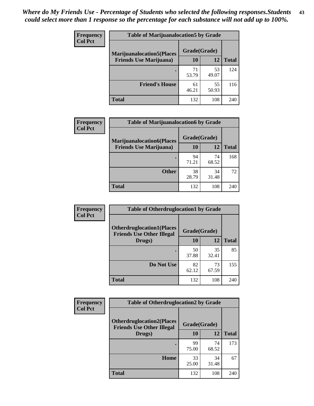| <b>Frequency</b> | <b>Table of Marijuanalocation5 by Grade</b> |              |             |              |
|------------------|---------------------------------------------|--------------|-------------|--------------|
| <b>Col Pct</b>   | <b>Marijuanalocation5</b> (Places           | Grade(Grade) |             |              |
|                  | <b>Friends Use Marijuana</b> )              | 10           | 12          | <b>Total</b> |
|                  |                                             | 71<br>53.79  | 53<br>49.07 | 124          |
|                  | <b>Friend's House</b>                       | 61<br>46.21  | 55<br>50.93 | 116          |
|                  | <b>Total</b>                                | 132          | 108         | 240          |

| <b>Frequency</b> | <b>Table of Marijuanalocation6 by Grade</b>                        |                    |             |              |
|------------------|--------------------------------------------------------------------|--------------------|-------------|--------------|
| <b>Col Pct</b>   | <b>Marijuanalocation6(Places</b><br><b>Friends Use Marijuana</b> ) | Grade(Grade)<br>10 | 12          | <b>Total</b> |
|                  |                                                                    | 94<br>71.21        | 74<br>68.52 | 168          |
|                  | <b>Other</b>                                                       | 38<br>28.79        | 34<br>31.48 | 72           |
|                  | <b>Total</b>                                                       | 132                | 108         | 240          |

| <b>Frequency</b> | <b>Table of Otherdruglocation1 by Grade</b>                          |              |             |              |
|------------------|----------------------------------------------------------------------|--------------|-------------|--------------|
| <b>Col Pct</b>   | <b>Otherdruglocation1(Places</b><br><b>Friends Use Other Illegal</b> | Grade(Grade) |             |              |
|                  | Drugs)                                                               | <b>10</b>    | 12          | <b>Total</b> |
|                  |                                                                      | 50<br>37.88  | 35<br>32.41 | 85           |
|                  | Do Not Use                                                           | 82<br>62.12  | 73<br>67.59 | 155          |
|                  | <b>Total</b>                                                         | 132          | 108         | 240          |

| Frequency      | <b>Table of Otherdruglocation2 by Grade</b>                          |              |             |              |
|----------------|----------------------------------------------------------------------|--------------|-------------|--------------|
| <b>Col Pct</b> | <b>Otherdruglocation2(Places</b><br><b>Friends Use Other Illegal</b> | Grade(Grade) |             |              |
|                | Drugs)                                                               | 10           | 12          | <b>Total</b> |
|                |                                                                      | 99<br>75.00  | 74<br>68.52 | 173          |
|                | Home                                                                 | 33<br>25.00  | 34<br>31.48 | 67           |
|                | <b>Total</b>                                                         | 132          | 108         | 240          |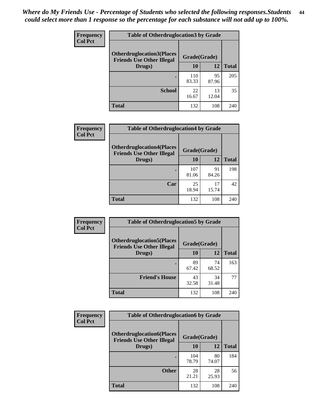| <b>Frequency</b> | <b>Table of Otherdruglocation3 by Grade</b>                                          |              |             |              |
|------------------|--------------------------------------------------------------------------------------|--------------|-------------|--------------|
| <b>Col Pct</b>   | <b>Otherdruglocation3(Places</b><br>Grade(Grade)<br><b>Friends Use Other Illegal</b> |              |             |              |
|                  | Drugs)                                                                               | 10           | 12          | <b>Total</b> |
|                  |                                                                                      | 110<br>83.33 | 95<br>87.96 | 205          |
|                  | <b>School</b>                                                                        | 22<br>16.67  | 13<br>12.04 | 35           |
|                  | <b>Total</b>                                                                         | 132          | 108         | 240          |

| <b>Frequency</b> | <b>Table of Otherdruglocation4 by Grade</b>                                          |              |             |              |
|------------------|--------------------------------------------------------------------------------------|--------------|-------------|--------------|
| <b>Col Pct</b>   | <b>Otherdruglocation4(Places</b><br>Grade(Grade)<br><b>Friends Use Other Illegal</b> |              |             |              |
|                  | Drugs)                                                                               | <b>10</b>    | 12          | <b>Total</b> |
|                  |                                                                                      | 107<br>81.06 | 91<br>84.26 | 198          |
|                  | Car                                                                                  | 25<br>18.94  | 17<br>15.74 | 42           |
|                  | <b>Total</b>                                                                         | 132          | 108         | 240          |

| Frequency      | <b>Table of Otherdruglocation5 by Grade</b>                          |              |             |              |
|----------------|----------------------------------------------------------------------|--------------|-------------|--------------|
| <b>Col Pct</b> | <b>Otherdruglocation5(Places</b><br><b>Friends Use Other Illegal</b> | Grade(Grade) |             |              |
|                | Drugs)                                                               | <b>10</b>    | 12          | <b>Total</b> |
|                |                                                                      | 89<br>67.42  | 74<br>68.52 | 163          |
|                | <b>Friend's House</b>                                                | 43<br>32.58  | 34<br>31.48 | 77           |
|                | <b>Total</b>                                                         | 132          | 108         | 240          |

| <b>Frequency</b> | <b>Table of Otherdruglocation6 by Grade</b>                           |              |             |              |
|------------------|-----------------------------------------------------------------------|--------------|-------------|--------------|
| <b>Col Pct</b>   | <b>Otherdruglocation6(Places)</b><br><b>Friends Use Other Illegal</b> | Grade(Grade) |             |              |
|                  | Drugs)                                                                | 10           | 12          | <b>Total</b> |
|                  |                                                                       | 104<br>78.79 | 80<br>74.07 | 184          |
|                  | <b>Other</b>                                                          | 28<br>21.21  | 28<br>25.93 | 56           |
|                  | <b>Total</b>                                                          | 132          | 108         | 240          |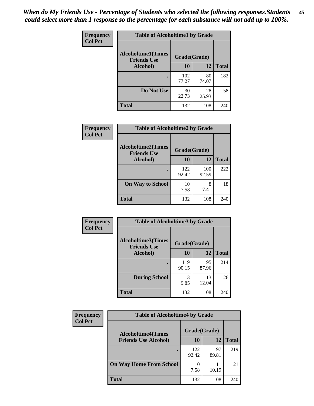| Frequency      | <b>Table of Alcoholtime1 by Grade</b> |              |             |              |
|----------------|---------------------------------------|--------------|-------------|--------------|
| <b>Col Pct</b> | <b>Alcoholtime1(Times</b>             | Grade(Grade) |             |              |
|                | <b>Friends Use</b><br>Alcohol)        | 10           | 12          | <b>Total</b> |
|                |                                       | 102<br>77.27 | 80<br>74.07 | 182          |
|                | Do Not Use                            | 30<br>22.73  | 28<br>25.93 | 58           |
|                | <b>Total</b>                          | 132          | 108         | 240          |

| Frequency      | <b>Table of Alcoholtime2 by Grade</b>           |              |              |              |
|----------------|-------------------------------------------------|--------------|--------------|--------------|
| <b>Col Pct</b> | <b>Alcoholtime2(Times</b><br><b>Friends Use</b> | Grade(Grade) |              |              |
|                | Alcohol)                                        | 10           | 12           | <b>Total</b> |
|                |                                                 | 122<br>92.42 | 100<br>92.59 | 222          |
|                | <b>On Way to School</b>                         | 10<br>7.58   | 8<br>7.41    | 18           |
|                | <b>Total</b>                                    | 132          | 108          | 240          |

| Frequency<br><b>Col Pct</b> | <b>Table of Alcoholtime3 by Grade</b>                           |              |             |              |
|-----------------------------|-----------------------------------------------------------------|--------------|-------------|--------------|
|                             | <b>Alcoholtime3(Times</b><br>Grade(Grade)<br><b>Friends Use</b> |              |             |              |
|                             | Alcohol)                                                        | 10           | 12          | <b>Total</b> |
|                             |                                                                 | 119<br>90.15 | 95<br>87.96 | 214          |
|                             | <b>During School</b>                                            | 13<br>9.85   | 13<br>12.04 | 26           |
|                             | Total                                                           | 132          | 108         | 240          |

| <b>Frequency</b><br><b>Col Pct</b> | <b>Table of Alcoholtime4 by Grade</b> |              |             |              |
|------------------------------------|---------------------------------------|--------------|-------------|--------------|
|                                    | <b>Alcoholtime4(Times</b>             | Grade(Grade) |             |              |
|                                    | <b>Friends Use Alcohol)</b>           | 10           | 12          | <b>Total</b> |
|                                    |                                       | 122<br>92.42 | 97<br>89.81 | 219          |
|                                    | <b>On Way Home From School</b>        | 10<br>7.58   | 11<br>10.19 | 21           |
|                                    | <b>Total</b>                          | 132          | 108         | 240          |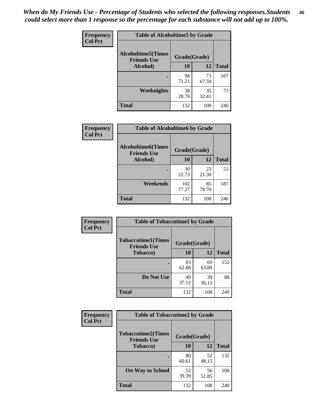*When do My Friends Use - Percentage of Students who selected the following responses.Students could select more than 1 response so the percentage for each substance will not add up to 100%.* **46**

| <b>Frequency</b> | <b>Table of Alcoholtime5 by Grade</b>           |              |             |              |
|------------------|-------------------------------------------------|--------------|-------------|--------------|
| <b>Col Pct</b>   | <b>Alcoholtime5(Times</b><br><b>Friends Use</b> | Grade(Grade) |             |              |
|                  | Alcohol)                                        | 10           | 12          | <b>Total</b> |
|                  |                                                 | 94<br>71.21  | 73<br>67.59 | 167          |
|                  | Weeknights                                      | 38<br>28.79  | 35<br>32.41 | 73           |
|                  | <b>Total</b>                                    | 132          | 108         | 240          |

| Frequency      | <b>Table of Alcoholtime6 by Grade</b>           |              |             |              |
|----------------|-------------------------------------------------|--------------|-------------|--------------|
| <b>Col Pct</b> | <b>Alcoholtime6(Times</b><br><b>Friends Use</b> | Grade(Grade) |             |              |
|                | Alcohol)                                        | 10           | 12          | <b>Total</b> |
|                |                                                 | 30<br>22.73  | 23<br>21.30 | 53           |
|                | Weekends                                        | 102<br>77.27 | 85<br>78.70 | 187          |
|                | <b>Total</b>                                    | 132          | 108         | 240          |

| Frequency      | <b>Table of Tobaccotime1 by Grade</b>           |              |             |              |
|----------------|-------------------------------------------------|--------------|-------------|--------------|
| <b>Col Pct</b> | <b>Tobaccotime1(Times</b><br><b>Friends Use</b> | Grade(Grade) |             |              |
|                | <b>Tobacco</b> )                                | 10           | 12          | <b>Total</b> |
|                | $\bullet$                                       | 83<br>62.88  | 69<br>63.89 | 152          |
|                | Do Not Use                                      | 49<br>37.12  | 39<br>36.11 | 88           |
|                | <b>Total</b>                                    | 132          | 108         | 240          |

| Frequency      | <b>Table of Tobaccotime2 by Grade</b>           |              |             |              |  |
|----------------|-------------------------------------------------|--------------|-------------|--------------|--|
| <b>Col Pct</b> | <b>Tobaccotime2(Times</b><br><b>Friends Use</b> | Grade(Grade) |             |              |  |
|                | <b>Tobacco</b> )                                | 10           | 12          | <b>Total</b> |  |
|                | ٠                                               | 80<br>60.61  | 52<br>48.15 | 132          |  |
|                | <b>On Way to School</b>                         | 52<br>39.39  | 56<br>51.85 | 108          |  |
|                | <b>Total</b>                                    | 132          | 108         | 240          |  |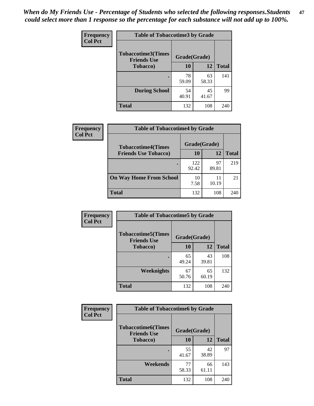| Frequency      |                                                 | <b>Table of Tobaccotime3 by Grade</b> |             |              |  |  |
|----------------|-------------------------------------------------|---------------------------------------|-------------|--------------|--|--|
| <b>Col Pct</b> | <b>Tobaccotime3(Times</b><br><b>Friends Use</b> | Grade(Grade)                          |             |              |  |  |
|                | <b>Tobacco</b> )                                | 10                                    | 12          | <b>Total</b> |  |  |
|                | $\bullet$                                       | 78<br>59.09                           | 63<br>58.33 | 141          |  |  |
|                | <b>During School</b>                            | 54<br>40.91                           | 45<br>41.67 | 99           |  |  |
|                | <b>Total</b>                                    | 132                                   | 108         | 240          |  |  |

| <b>Frequency</b> | <b>Table of Tobaccotime4 by Grade</b>                    |              |             |              |
|------------------|----------------------------------------------------------|--------------|-------------|--------------|
| <b>Col Pct</b>   | <b>Tobaccotime4(Times</b><br><b>Friends Use Tobacco)</b> | Grade(Grade) |             |              |
|                  |                                                          | 10           | 12          | <b>Total</b> |
|                  |                                                          | 122<br>92.42 | 97<br>89.81 | 219          |
|                  | <b>On Way Home From School</b>                           | 10<br>7.58   | 11<br>10.19 | 21           |
|                  | <b>Total</b>                                             | 132          | 108         | 240          |

| Frequency      | <b>Table of Tobaccotime5 by Grade</b>           |              |             |              |  |
|----------------|-------------------------------------------------|--------------|-------------|--------------|--|
| <b>Col Pct</b> | <b>Tobaccotime5(Times</b><br><b>Friends Use</b> | Grade(Grade) |             |              |  |
|                | <b>Tobacco</b> )                                | 10           | 12          | <b>Total</b> |  |
|                |                                                 | 65<br>49.24  | 43<br>39.81 | 108          |  |
|                | Weeknights                                      | 67<br>50.76  | 65<br>60.19 | 132          |  |
|                | <b>Total</b>                                    | 132          | 108         | 240          |  |

| Frequency<br><b>Col Pct</b> | <b>Table of Tobaccotime6 by Grade</b>           |              |             |              |
|-----------------------------|-------------------------------------------------|--------------|-------------|--------------|
|                             | <b>Tobaccotime6(Times</b><br><b>Friends Use</b> | Grade(Grade) |             |              |
|                             | <b>Tobacco</b> )                                | 10           | 12          | <b>Total</b> |
|                             | ٠                                               | 55<br>41.67  | 42<br>38.89 | 97           |
|                             | Weekends                                        | 77<br>58.33  | 66<br>61.11 | 143          |
|                             | <b>Total</b>                                    | 132          | 108         | 240          |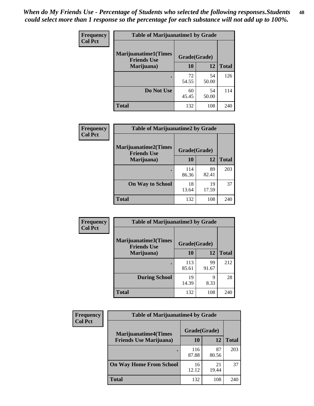| Frequency      | <b>Table of Marijuanatime1 by Grade</b>           |              |             |              |  |
|----------------|---------------------------------------------------|--------------|-------------|--------------|--|
| <b>Col Pct</b> | <b>Marijuanatime1(Times</b><br><b>Friends Use</b> | Grade(Grade) |             |              |  |
|                | Marijuana)                                        | 10           | 12          | <b>Total</b> |  |
|                |                                                   | 72<br>54.55  | 54<br>50.00 | 126          |  |
|                | Do Not Use                                        | 60<br>45.45  | 54<br>50.00 | 114          |  |
|                | <b>Total</b>                                      | 132          | 108         | 240          |  |

| <b>Frequency</b> | <b>Table of Marijuanatime2 by Grade</b>           |              |             |              |
|------------------|---------------------------------------------------|--------------|-------------|--------------|
| <b>Col Pct</b>   | <b>Marijuanatime2(Times</b><br><b>Friends Use</b> | Grade(Grade) |             |              |
|                  | Marijuana)                                        | 10           | 12          | <b>Total</b> |
|                  |                                                   | 114<br>86.36 | 89<br>82.41 | 203          |
|                  | <b>On Way to School</b>                           | 18<br>13.64  | 19<br>17.59 | 37           |
|                  | <b>Total</b>                                      | 132          | 108         | 240          |

| Frequency      | <b>Table of Marijuanatime3 by Grade</b>    |              |             |              |  |
|----------------|--------------------------------------------|--------------|-------------|--------------|--|
| <b>Col Pct</b> | Marijuanatime3(Times<br><b>Friends Use</b> | Grade(Grade) |             |              |  |
|                | Marijuana)                                 | 10           | 12          | <b>Total</b> |  |
|                |                                            | 113<br>85.61 | 99<br>91.67 | 212          |  |
|                | <b>During School</b>                       | 19<br>14.39  | Q<br>8.33   | 28           |  |
|                | <b>Total</b>                               | 132          | 108         | 240          |  |

| <b>Frequency</b> | <b>Table of Marijuanatime4 by Grade</b> |              |             |              |
|------------------|-----------------------------------------|--------------|-------------|--------------|
| <b>Col Pct</b>   | <b>Marijuanatime4(Times</b>             | Grade(Grade) |             |              |
|                  | <b>Friends Use Marijuana</b> )          | 10           | 12          | <b>Total</b> |
|                  |                                         | 116<br>87.88 | 87<br>80.56 | 203          |
|                  | <b>On Way Home From School</b>          | 16<br>12.12  | 21<br>19.44 | 37           |
|                  | <b>Total</b>                            | 132          | 108         | 240          |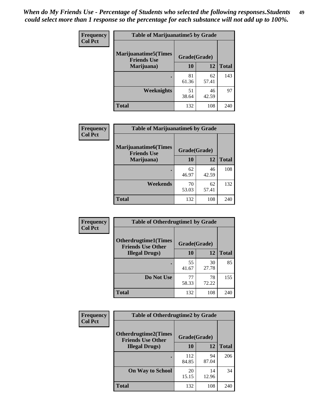| Frequency      | <b>Table of Marijuanatime5 by Grade</b>            |              |             |              |  |
|----------------|----------------------------------------------------|--------------|-------------|--------------|--|
| <b>Col Pct</b> | <b>Marijuanatime5</b> (Times<br><b>Friends Use</b> | Grade(Grade) |             |              |  |
|                | Marijuana)                                         | 10           | 12          | <b>Total</b> |  |
|                |                                                    | 81<br>61.36  | 62<br>57.41 | 143          |  |
|                | Weeknights                                         | 51<br>38.64  | 46<br>42.59 | 97           |  |
|                | <b>Total</b>                                       | 132          | 108         | 240          |  |

| Frequency      | <b>Table of Marijuanatime6 by Grade</b>            |              |             |              |
|----------------|----------------------------------------------------|--------------|-------------|--------------|
| <b>Col Pct</b> | <b>Marijuanatime6</b> (Times<br><b>Friends Use</b> | Grade(Grade) |             |              |
|                | Marijuana)                                         | 10           | 12          | <b>Total</b> |
|                |                                                    | 62<br>46.97  | 46<br>42.59 | 108          |
|                | Weekends                                           | 70<br>53.03  | 62<br>57.41 | 132          |
|                | <b>Total</b>                                       | 132          | 108         | 240          |

| <b>Frequency</b> | <b>Table of Otherdrugtime1 by Grade</b>                  |              |             |              |  |
|------------------|----------------------------------------------------------|--------------|-------------|--------------|--|
| <b>Col Pct</b>   | <b>Otherdrugtime1</b> (Times<br><b>Friends Use Other</b> | Grade(Grade) |             |              |  |
|                  | <b>Illegal Drugs</b> )                                   | 10           | 12          | <b>Total</b> |  |
|                  |                                                          | 55<br>41.67  | 30<br>27.78 | 85           |  |
|                  | Do Not Use                                               | 77<br>58.33  | 78<br>72.22 | 155          |  |
|                  | Total                                                    | 132          | 108         | 240          |  |

| <b>Frequency</b> | <b>Table of Otherdrugtime2 by Grade</b>                 |              |             |              |  |  |  |
|------------------|---------------------------------------------------------|--------------|-------------|--------------|--|--|--|
| <b>Col Pct</b>   | <b>Otherdrugtime2(Times</b><br><b>Friends Use Other</b> | Grade(Grade) |             |              |  |  |  |
|                  | <b>Illegal Drugs</b> )                                  | 10           | 12          | <b>Total</b> |  |  |  |
|                  |                                                         | 112<br>84.85 | 94<br>87.04 | 206          |  |  |  |
|                  | <b>On Way to School</b>                                 | 20<br>15.15  | 14<br>12.96 | 34           |  |  |  |
|                  | <b>Total</b>                                            | 132          | 108         | 240          |  |  |  |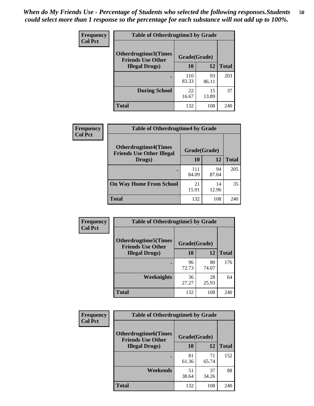| <b>Frequency</b><br><b>Col Pct</b> | <b>Table of Otherdrugtime3 by Grade</b>          |              |             |              |  |  |
|------------------------------------|--------------------------------------------------|--------------|-------------|--------------|--|--|
|                                    | Otherdrugtime3(Times<br><b>Friends Use Other</b> | Grade(Grade) |             |              |  |  |
|                                    | <b>Illegal Drugs</b> )                           | 10           | 12          | <b>Total</b> |  |  |
|                                    |                                                  | 110<br>83.33 | 93<br>86.11 | 203          |  |  |
|                                    | <b>During School</b>                             | 22<br>16.67  | 15<br>13.89 | 37           |  |  |
|                                    | Total                                            | 132          | 108         | 240          |  |  |

| Frequency<br><b>Col Pct</b> | <b>Table of Otherdrugtime4 by Grade</b>                         |              |             |              |  |  |
|-----------------------------|-----------------------------------------------------------------|--------------|-------------|--------------|--|--|
|                             | <b>Otherdrugtime4(Times</b><br><b>Friends Use Other Illegal</b> | Grade(Grade) |             |              |  |  |
|                             | Drugs)                                                          | 10           | 12          | <b>Total</b> |  |  |
|                             | ٠                                                               | 111<br>84.09 | 94<br>87.04 | 205          |  |  |
|                             | <b>On Way Home From School</b>                                  | 21<br>15.91  | 14<br>12.96 | 35           |  |  |
|                             | Total                                                           | 132          | 108         | 240          |  |  |

| <b>Frequency</b> | <b>Table of Otherdrugtime5 by Grade</b>                  |              |             |              |  |  |  |
|------------------|----------------------------------------------------------|--------------|-------------|--------------|--|--|--|
| <b>Col Pct</b>   | <b>Otherdrugtime5</b> (Times<br><b>Friends Use Other</b> | Grade(Grade) |             |              |  |  |  |
|                  | <b>Illegal Drugs</b> )                                   | 10           | 12          | <b>Total</b> |  |  |  |
|                  |                                                          | 96<br>72.73  | 80<br>74.07 | 176          |  |  |  |
|                  | Weeknights                                               | 36<br>27.27  | 28<br>25.93 | 64           |  |  |  |
|                  | Total                                                    | 132          | 108         | 240          |  |  |  |

| <b>Frequency</b> | <b>Table of Otherdrugtime6 by Grade</b>                 |              |             |              |  |  |  |
|------------------|---------------------------------------------------------|--------------|-------------|--------------|--|--|--|
| <b>Col Pct</b>   | <b>Otherdrugtime6(Times</b><br><b>Friends Use Other</b> | Grade(Grade) |             |              |  |  |  |
|                  | <b>Illegal Drugs</b> )                                  | 10           | 12          | <b>Total</b> |  |  |  |
|                  |                                                         | 81<br>61.36  | 71<br>65.74 | 152          |  |  |  |
|                  | Weekends                                                | 51<br>38.64  | 37<br>34.26 | 88           |  |  |  |
|                  | <b>Total</b>                                            | 132          | 108         | 240          |  |  |  |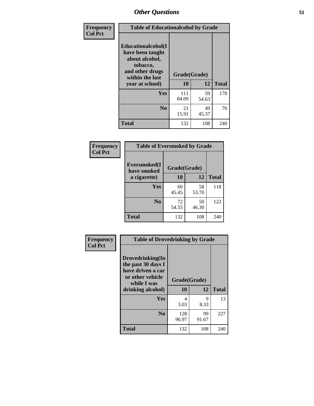| Frequency      | <b>Table of Educationalcohol by Grade</b>                                                                  |              |             |              |  |
|----------------|------------------------------------------------------------------------------------------------------------|--------------|-------------|--------------|--|
| <b>Col Pct</b> | Educationalcohol(I<br>have been taught<br>about alcohol,<br>tobacco,<br>and other drugs<br>within the last | Grade(Grade) |             |              |  |
|                | year at school)                                                                                            | 10           | 12          | <b>Total</b> |  |
|                | <b>Yes</b>                                                                                                 | 111<br>84.09 | 59<br>54.63 | 170          |  |
|                | N <sub>0</sub>                                                                                             | 21<br>15.91  | 49<br>45.37 | 70           |  |
|                | <b>Total</b>                                                                                               | 132          | 108         | 240          |  |

| Frequency      | <b>Table of Eversmoked by Grade</b> |              |             |              |  |  |
|----------------|-------------------------------------|--------------|-------------|--------------|--|--|
| <b>Col Pct</b> | Eversmoked(I<br>have smoked         | Grade(Grade) |             |              |  |  |
|                | a cigarette)                        | 10           | 12          | <b>Total</b> |  |  |
|                | Yes                                 | 60<br>45.45  | 58<br>53.70 | 118          |  |  |
|                | N <sub>0</sub>                      | 72<br>54.55  | 50<br>46.30 | 122          |  |  |
|                | <b>Total</b>                        | 132          | 108         | 240          |  |  |

| Frequency<br><b>Col Pct</b> | <b>Table of Drovedrinking by Grade</b>                                                         |                    |             |              |  |  |
|-----------------------------|------------------------------------------------------------------------------------------------|--------------------|-------------|--------------|--|--|
|                             | Drovedrinking(In<br>the past 30 days I<br>have driven a car<br>or other vehicle<br>while I was | Grade(Grade)<br>10 | 12          | <b>Total</b> |  |  |
|                             | drinking alcohol)                                                                              |                    |             |              |  |  |
|                             | <b>Yes</b>                                                                                     | 4                  | 9           | 13           |  |  |
|                             |                                                                                                | 3.03               | 8.33        |              |  |  |
|                             | N <sub>0</sub>                                                                                 | 128<br>96.97       | 99<br>91.67 | 227          |  |  |
|                             | <b>Total</b>                                                                                   | 132                | 108         | 240          |  |  |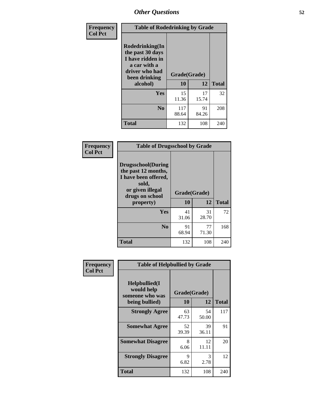| Frequency      | <b>Table of Rodedrinking by Grade</b>                                                                      |                    |             |              |  |  |
|----------------|------------------------------------------------------------------------------------------------------------|--------------------|-------------|--------------|--|--|
| <b>Col Pct</b> | Rodedrinking(In<br>the past 30 days<br>I have ridden in<br>a car with a<br>driver who had<br>been drinking | Grade(Grade)<br>10 | 12          | <b>Total</b> |  |  |
|                | alcohol)                                                                                                   |                    |             |              |  |  |
|                | <b>Yes</b>                                                                                                 | 15<br>11.36        | 17<br>15.74 | 32           |  |  |
|                | N <sub>0</sub>                                                                                             | 117<br>88.64       | 91<br>84.26 | 208          |  |  |
|                | <b>Total</b>                                                                                               | 132                | 108         | 240          |  |  |

#### **Frequency Col Pct**

| <b>Table of Drugsschool by Grade</b>                                                                                      |              |             |              |  |  |  |
|---------------------------------------------------------------------------------------------------------------------------|--------------|-------------|--------------|--|--|--|
| <b>Drugsschool</b> (During<br>the past 12 months,<br>I have been offered,<br>sold,<br>or given illegal<br>drugs on school | Grade(Grade) |             |              |  |  |  |
| property)                                                                                                                 | 10           | 12          | <b>Total</b> |  |  |  |
| Yes                                                                                                                       | 41<br>31.06  | 31<br>28.70 | 72           |  |  |  |
| N <sub>0</sub>                                                                                                            | 91<br>68.94  | 77<br>71.30 | 168          |  |  |  |
| <b>Total</b>                                                                                                              | 132          | 108         | 240          |  |  |  |

| Frequency      | <b>Table of Helpbullied by Grade</b>                                                                      |             |              |     |  |  |  |
|----------------|-----------------------------------------------------------------------------------------------------------|-------------|--------------|-----|--|--|--|
| <b>Col Pct</b> | $Helpb$ ullied $(I$<br>would help<br>Grade(Grade)<br>someone who was<br><b>10</b><br>12<br>being bullied) |             | <b>Total</b> |     |  |  |  |
|                | <b>Strongly Agree</b>                                                                                     | 63          | 54           | 117 |  |  |  |
|                |                                                                                                           | 47.73       | 50.00        |     |  |  |  |
|                | <b>Somewhat Agree</b>                                                                                     | 52<br>39.39 | 39<br>36.11  | 91  |  |  |  |
|                | <b>Somewhat Disagree</b>                                                                                  | 8<br>6.06   | 12<br>11.11  | 20  |  |  |  |
|                | <b>Strongly Disagree</b>                                                                                  | 9<br>6.82   | 3<br>2.78    | 12  |  |  |  |
|                | <b>Total</b>                                                                                              | 132         | 108          | 240 |  |  |  |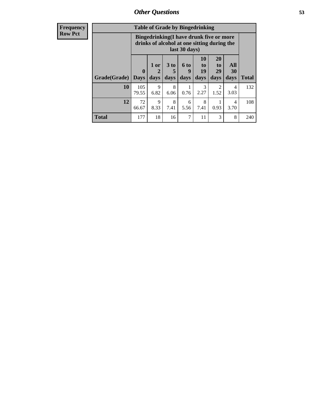| <b>Frequency</b> | <b>Table of Grade by Bingedrinking</b> |                                                                                                         |                   |                   |                          |                                  |                               |                          |
|------------------|----------------------------------------|---------------------------------------------------------------------------------------------------------|-------------------|-------------------|--------------------------|----------------------------------|-------------------------------|--------------------------|
| <b>Row Pct</b>   |                                        | Bingedrinking(I have drunk five or more<br>drinks of alcohol at one sitting during the<br>last 30 days) |                   |                   |                          |                                  |                               |                          |
|                  | Grade(Grade)                           | 0<br><b>Days</b>                                                                                        | 1 or<br>2<br>days | 3 to<br>5<br>days | <b>6 to</b><br>9<br>days | 10<br>$\mathbf{t}$<br>19<br>days | <b>20</b><br>to<br>29<br>days | <b>All</b><br>30<br>days |
|                  | 10                                     | 105<br>79.55                                                                                            | 9<br>6.82         | 8<br>6.06         | 0.76                     | 2.27                             | 2<br>1.52                     | $\overline{4}$<br>3.03   |
|                  | 12                                     | 72                                                                                                      | 9                 | 8                 | 6                        | 8                                |                               | 4                        |

66.67

8.33

7.41

**Total** 177 18 16 7 11 3 8 240

5.56

7.41

0.93

3.70

**Total**

132

108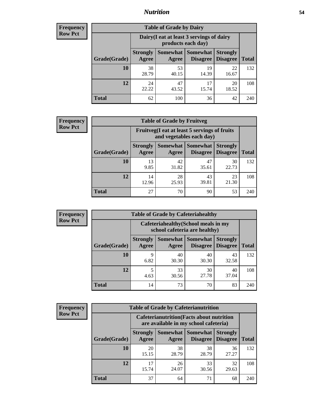### *Nutrition* **54**

| <b>Frequency</b><br>Row Pct |
|-----------------------------|
|                             |

| <b>Table of Grade by Dairy</b> |                          |                                                                 |                             |                                    |              |  |
|--------------------------------|--------------------------|-----------------------------------------------------------------|-----------------------------|------------------------------------|--------------|--|
|                                |                          | Dairy (I eat at least 3 servings of dairy<br>products each day) |                             |                                    |              |  |
| Grade(Grade)                   | <b>Strongly</b><br>Agree | Somewhat<br>Agree                                               | <b>Somewhat</b><br>Disagree | <b>Strongly</b><br><b>Disagree</b> | <b>Total</b> |  |
| 10                             | 38<br>28.79              | 53<br>40.15                                                     | 19<br>14.39                 | 22<br>16.67                        | 132          |  |
| 12                             | 24<br>22.22              | 47<br>43.52                                                     | 17<br>15.74                 | 20<br>18.52                        | 108          |  |
| <b>Total</b>                   | 62                       | 100                                                             | 36                          | 42                                 | 240          |  |

| <b>Frequency</b> |  |
|------------------|--|
| <b>Row Pct</b>   |  |

| <b>Table of Grade by Fruitveg</b>                                        |                          |                     |                                    |                                    |              |
|--------------------------------------------------------------------------|--------------------------|---------------------|------------------------------------|------------------------------------|--------------|
| Fruitveg(I eat at least 5 servings of fruits<br>and vegetables each day) |                          |                     |                                    |                                    |              |
| Grade(Grade)                                                             | <b>Strongly</b><br>Agree | Somewhat  <br>Agree | <b>Somewhat</b><br><b>Disagree</b> | <b>Strongly</b><br><b>Disagree</b> | <b>Total</b> |
| 10                                                                       | 13<br>9.85               | 42<br>31.82         | 47<br>35.61                        | 30<br>22.73                        | 132          |
| 12                                                                       | 14<br>12.96              | 28<br>25.93         | 43<br>39.81                        | 23<br>21.30                        | 108          |
| <b>Total</b>                                                             | 27                       | 70                  | 90                                 | 53                                 | 240          |

| <b>Frequency</b> | <b>Table of Grade by Cafeteriahealthy</b> |                          |                                                                       |                 |                                    |              |  |
|------------------|-------------------------------------------|--------------------------|-----------------------------------------------------------------------|-----------------|------------------------------------|--------------|--|
| <b>Row Pct</b>   |                                           |                          | Cafeteriahealthy (School meals in my<br>school cafeteria are healthy) |                 |                                    |              |  |
|                  | Grade(Grade)                              | <b>Strongly</b><br>Agree | Somewhat Somewhat<br>Agree                                            | <b>Disagree</b> | <b>Strongly</b><br><b>Disagree</b> | <b>Total</b> |  |
|                  | 10                                        | Q<br>6.82                | 40<br>30.30                                                           | 40<br>30.30     | 43<br>32.58                        | 132          |  |
|                  | 12                                        | 4.63                     | 33<br>30.56                                                           | 30<br>27.78     | 40<br>37.04                        | 108          |  |
|                  | Total                                     | 14                       | 73                                                                    | 70              | 83                                 | 240          |  |

| <b>Frequency</b> |
|------------------|
| <b>Row Pct</b>   |

| <b>Table of Grade by Cafeterianutrition</b>                                               |                          |                   |                             |                                    |              |  |
|-------------------------------------------------------------------------------------------|--------------------------|-------------------|-----------------------------|------------------------------------|--------------|--|
| <b>Cafeterianutrition</b> (Facts about nutrition<br>are available in my school cafeteria) |                          |                   |                             |                                    |              |  |
| Grade(Grade)                                                                              | <b>Strongly</b><br>Agree | Somewhat<br>Agree | <b>Somewhat</b><br>Disagree | <b>Strongly</b><br><b>Disagree</b> | <b>Total</b> |  |
| 10                                                                                        | 20<br>15.15              | 38<br>28.79       | 38<br>28.79                 | 36<br>27.27                        | 132          |  |
| 12                                                                                        | 17<br>15.74              | 26<br>24.07       | 33<br>30.56                 | 32<br>29.63                        | 108          |  |
| <b>Total</b>                                                                              | 37                       | 64                | 71                          | 68                                 | 240          |  |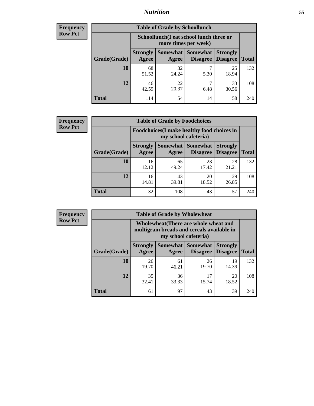## *Nutrition* **55**

| Frequency      |
|----------------|
| <b>Row Pct</b> |

| <b>Table of Grade by Schoollunch</b> |                          |                                                                 |                             |                                    |              |  |  |
|--------------------------------------|--------------------------|-----------------------------------------------------------------|-----------------------------|------------------------------------|--------------|--|--|
|                                      |                          | Schoollunch(I eat school lunch three or<br>more times per week) |                             |                                    |              |  |  |
| Grade(Grade)                         | <b>Strongly</b><br>Agree | Somewhat<br>Agree                                               | <b>Somewhat</b><br>Disagree | <b>Strongly</b><br><b>Disagree</b> | <b>Total</b> |  |  |
| 10                                   | 68<br>51.52              | 32<br>24.24                                                     | 5.30                        | 25<br>18.94                        | 132          |  |  |
| 12                                   | 46<br>42.59              | 22<br>20.37                                                     | 6.48                        | 33<br>30.56                        | 108          |  |  |
| <b>Total</b>                         | 114                      | 54                                                              | 14                          | 58                                 | 240          |  |  |

| <b>Frequency</b> |  |
|------------------|--|
| <b>Row Pct</b>   |  |

| <b>Table of Grade by Foodchoices</b>                                |                          |             |                                        |                                    |              |
|---------------------------------------------------------------------|--------------------------|-------------|----------------------------------------|------------------------------------|--------------|
| Foodchoices (I make healthy food choices in<br>my school cafeteria) |                          |             |                                        |                                    |              |
| Grade(Grade)                                                        | <b>Strongly</b><br>Agree | Agree       | <b>Somewhat   Somewhat</b><br>Disagree | <b>Strongly</b><br><b>Disagree</b> | <b>Total</b> |
| 10                                                                  | 16<br>12.12              | 65<br>49.24 | 23<br>17.42                            | 28<br>21.21                        | 132          |
| 12                                                                  | 16<br>14.81              | 43<br>39.81 | 20<br>18.52                            | 29<br>26.85                        | 108          |
| <b>Total</b>                                                        | 32                       | 108         | 43                                     | 57                                 | 240          |

| Frequency      | <b>Table of Grade by Wholewheat</b> |                          |             |                                                                                                             |                                    |              |  |
|----------------|-------------------------------------|--------------------------|-------------|-------------------------------------------------------------------------------------------------------------|------------------------------------|--------------|--|
| <b>Row Pct</b> |                                     |                          |             | Wholewheat (There are whole wheat and<br>multigrain breads and cereals available in<br>my school cafeteria) |                                    |              |  |
|                | Grade(Grade)                        | <b>Strongly</b><br>Agree | Agree       | Somewhat   Somewhat  <br><b>Disagree</b>                                                                    | <b>Strongly</b><br><b>Disagree</b> | <b>Total</b> |  |
|                | 10                                  | 26<br>19.70              | 61<br>46.21 | 26<br>19.70                                                                                                 | 19<br>14.39                        | 132          |  |
|                | 12                                  | 35<br>32.41              | 36<br>33.33 | 17<br>15.74                                                                                                 | 20<br>18.52                        | 108          |  |
|                | <b>Total</b>                        | 61                       | 97          | 43                                                                                                          | 39                                 | 240          |  |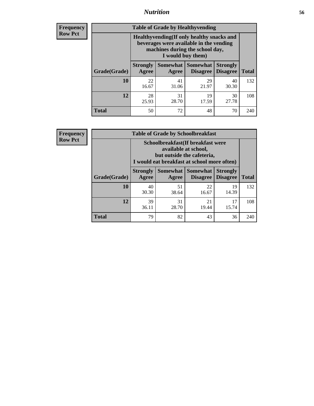### *Nutrition* **56**

**Frequency Row Pct**

| <b>Table of Grade by Healthyvending</b> |                                                                                                                                               |                          |                                    |                                    |              |  |
|-----------------------------------------|-----------------------------------------------------------------------------------------------------------------------------------------------|--------------------------|------------------------------------|------------------------------------|--------------|--|
|                                         | Healthyvending (If only healthy snacks and<br>beverages were available in the vending<br>machines during the school day,<br>I would buy them) |                          |                                    |                                    |              |  |
| Grade(Grade)                            | <b>Strongly</b><br>Agree                                                                                                                      | <b>Somewhat</b><br>Agree | <b>Somewhat</b><br><b>Disagree</b> | <b>Strongly</b><br><b>Disagree</b> | <b>Total</b> |  |
| 10                                      | 22<br>16.67                                                                                                                                   | 41<br>31.06              | 29<br>21.97                        | 40<br>30.30                        | 132          |  |
| 12                                      | 28<br>25.93                                                                                                                                   | 31<br>28.70              | 19<br>17.59                        | 30<br>27.78                        | 108          |  |
| <b>Total</b>                            | 50                                                                                                                                            | 72                       | 48                                 | 70                                 | 240          |  |

**Frequency Row Pct**

| <b>Table of Grade by Schoolbreakfast</b> |                                                                                                                                        |             |                                 |                                    |              |  |  |
|------------------------------------------|----------------------------------------------------------------------------------------------------------------------------------------|-------------|---------------------------------|------------------------------------|--------------|--|--|
|                                          | Schoolbreakfast(If breakfast were<br>available at school,<br>but outside the cafeteria,<br>I would eat breakfast at school more often) |             |                                 |                                    |              |  |  |
| Grade(Grade)                             | <b>Strongly</b><br>Agree                                                                                                               | Agree       | Somewhat   Somewhat<br>Disagree | <b>Strongly</b><br><b>Disagree</b> | <b>Total</b> |  |  |
| 10                                       | 40<br>30.30                                                                                                                            | 51<br>38.64 | 22<br>16.67                     | 19<br>14.39                        | 132          |  |  |
| 12                                       | 39<br>36.11                                                                                                                            | 31<br>28.70 | 21<br>19.44                     | 17<br>15.74                        | 108          |  |  |
| <b>Total</b>                             | 79                                                                                                                                     | 82          | 43                              | 36                                 | 240          |  |  |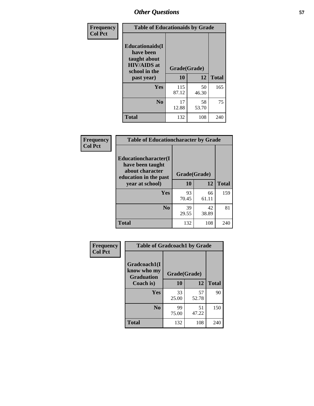| Frequency<br><b>Col Pct</b> | <b>Table of Educationaids by Grade</b>                                                                    |                    |             |              |
|-----------------------------|-----------------------------------------------------------------------------------------------------------|--------------------|-------------|--------------|
|                             | <b>Educationaids</b> (I<br>have been<br>taught about<br><b>HIV/AIDS</b> at<br>school in the<br>past year) | Grade(Grade)<br>10 | 12          | <b>Total</b> |
|                             | Yes                                                                                                       | 115<br>87.12       | 50<br>46.30 | 165          |
|                             | N <sub>0</sub>                                                                                            | 17<br>12.88        | 58<br>53.70 | 75           |
|                             | <b>Total</b>                                                                                              | 132                | 108         | 240          |

| Frequency      | <b>Table of Educationcharacter by Grade</b>                 |              |       |              |
|----------------|-------------------------------------------------------------|--------------|-------|--------------|
| <b>Col Pct</b> | Educationcharacter(I<br>have been taught<br>about character |              |       |              |
|                | education in the past                                       | Grade(Grade) |       |              |
|                | year at school)                                             | 10           | 12    | <b>Total</b> |
|                | Yes                                                         | 93           | 66    | 159          |
|                |                                                             | 70.45        | 61.11 |              |
|                | N <sub>0</sub>                                              | 39           | 42    | 81           |
|                |                                                             | 29.55        | 38.89 |              |
|                | <b>Total</b>                                                | 132          | 108   | 240          |

| Frequency      | <b>Table of Gradcoach1 by Grade</b> |                    |              |     |
|----------------|-------------------------------------|--------------------|--------------|-----|
| <b>Col Pct</b> | Gradcoach1(I<br>know who my         |                    |              |     |
|                | <b>Graduation</b><br>Coach is)      | Grade(Grade)<br>10 | <b>Total</b> |     |
|                | <b>Yes</b>                          | 33<br>25.00        | 57<br>52.78  | 90  |
|                | N <sub>0</sub>                      | 99<br>75.00        | 51<br>47.22  | 150 |
|                | <b>Total</b>                        | 132                | 108          | 240 |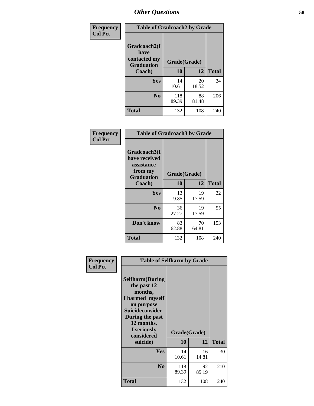| <b>Frequency</b> | <b>Table of Gradcoach2 by Grade</b> |              |             |              |
|------------------|-------------------------------------|--------------|-------------|--------------|
| <b>Col Pct</b>   | Gradcoach2(I<br>have                |              |             |              |
|                  | contacted my<br><b>Graduation</b>   | Grade(Grade) |             |              |
|                  | Coach)                              | 10           | 12          | <b>Total</b> |
|                  | Yes                                 | 14<br>10.61  | 20<br>18.52 | 34           |
|                  | N <sub>0</sub>                      | 118<br>89.39 | 88<br>81.48 | 206          |
|                  | <b>Total</b>                        | 132          | 108         | 240          |

| <b>Frequency</b><br><b>Col Pct</b> | <b>Table of Gradcoach3 by Grade</b>                                         |              |             |              |
|------------------------------------|-----------------------------------------------------------------------------|--------------|-------------|--------------|
|                                    | Gradcoach3(I<br>have received<br>assistance<br>from my<br><b>Graduation</b> | Grade(Grade) |             |              |
|                                    | Coach)                                                                      | 10           | 12          | <b>Total</b> |
|                                    | Yes                                                                         | 13<br>9.85   | 19<br>17.59 | 32           |
|                                    | N <sub>0</sub>                                                              | 36<br>27.27  | 19<br>17.59 | 55           |
|                                    | Don't know                                                                  | 83<br>62.88  | 70<br>64.81 | 153          |
|                                    | <b>Total</b>                                                                | 132          | 108         | 240          |

| Frequency      |                                                                                                                                                                            |              | <b>Table of Selfharm by Grade</b> |              |  |  |
|----------------|----------------------------------------------------------------------------------------------------------------------------------------------------------------------------|--------------|-----------------------------------|--------------|--|--|
| <b>Col Pct</b> | <b>Selfharm</b> (During<br>the past 12<br>months,<br>I harmed myself<br>on purpose<br><b>Suicideconsider</b><br>During the past<br>12 months,<br>I seriously<br>considered | Grade(Grade) |                                   |              |  |  |
|                | suicide)                                                                                                                                                                   | <b>10</b>    | 12                                | <b>Total</b> |  |  |
|                | Yes                                                                                                                                                                        | 14<br>10.61  | 16<br>14.81                       | 30           |  |  |
|                | N <sub>0</sub>                                                                                                                                                             | 118<br>89.39 | 92<br>85.19                       | 210          |  |  |
|                | <b>Total</b>                                                                                                                                                               | 132          | 108                               | 240          |  |  |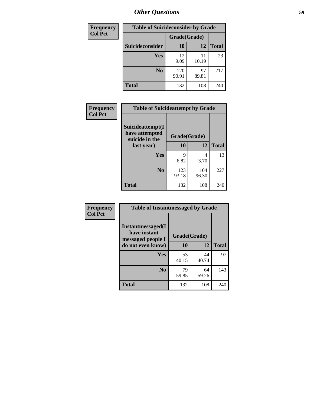| <b>Frequency</b> | <b>Table of Suicideconsider by Grade</b> |              |             |              |
|------------------|------------------------------------------|--------------|-------------|--------------|
| <b>Col Pct</b>   |                                          | Grade(Grade) |             |              |
|                  | Suicideconsider                          | <b>10</b>    | 12          | <b>Total</b> |
|                  | <b>Yes</b>                               | 12<br>9.09   | 11<br>10.19 | 23           |
|                  | N <sub>0</sub>                           | 120<br>90.91 | 97<br>89.81 | 217          |
|                  | <b>Total</b>                             | 132          | 108         | 240          |

| Frequency      | <b>Table of Suicideattempt by Grade</b>              |              |              |              |
|----------------|------------------------------------------------------|--------------|--------------|--------------|
| <b>Col Pct</b> | Suicideattempt(I<br>have attempted<br>suicide in the | Grade(Grade) |              |              |
|                | last year)                                           | <b>10</b>    | 12           | <b>Total</b> |
|                | Yes                                                  | 9<br>6.82    | 4<br>3.70    | 13           |
|                | N <sub>0</sub>                                       | 123<br>93.18 | 104<br>96.30 | 227          |
|                | <b>Total</b>                                         | 132          | 108          | 240          |

| Frequency      | <b>Table of Instantmessaged by Grade</b>                |              |             |              |
|----------------|---------------------------------------------------------|--------------|-------------|--------------|
| <b>Col Pct</b> | Instantmessaged(I)<br>have instant<br>messaged people I | Grade(Grade) |             |              |
|                | do not even know)                                       | 10           | 12          | <b>Total</b> |
|                | Yes                                                     | 53<br>40.15  | 44<br>40.74 | 97           |
|                | N <sub>0</sub>                                          | 79<br>59.85  | 64<br>59.26 | 143          |
|                | <b>Total</b>                                            | 132          | 108         | 240          |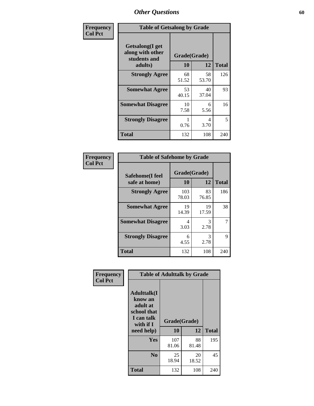| Frequency      | <b>Table of Getsalong by Grade</b>                          |              |             |              |
|----------------|-------------------------------------------------------------|--------------|-------------|--------------|
| <b>Col Pct</b> | <b>Getsalong</b> (I get<br>along with other<br>students and | Grade(Grade) |             |              |
|                | adults)                                                     | 10           | 12          | <b>Total</b> |
|                | <b>Strongly Agree</b>                                       | 68<br>51.52  | 58<br>53.70 | 126          |
|                | <b>Somewhat Agree</b>                                       | 53<br>40.15  | 40<br>37.04 | 93           |
|                | <b>Somewhat Disagree</b>                                    | 10<br>7.58   | 6<br>5.56   | 16           |
|                | <b>Strongly Disagree</b>                                    | 0.76         | 4<br>3.70   | 5            |
|                | <b>Total</b>                                                | 132          | 108         | 240          |

| Frequency      | <b>Table of Safehome by Grade</b> |                           |             |              |
|----------------|-----------------------------------|---------------------------|-------------|--------------|
| <b>Col Pct</b> | Safehome(I feel<br>safe at home)  | Grade(Grade)<br><b>10</b> | 12          | <b>Total</b> |
|                | <b>Strongly Agree</b>             | 103<br>78.03              | 83<br>76.85 | 186          |
|                | <b>Somewhat Agree</b>             | 19<br>14.39               | 19<br>17.59 | 38           |
|                | <b>Somewhat Disagree</b>          | 4<br>3.03                 | 3<br>2.78   | 7            |
|                | <b>Strongly Disagree</b>          | 6<br>4.55                 | 3<br>2.78   | 9            |
|                | <b>Total</b>                      | 132                       | 108         | 240          |

| Frequency      |                                                                                      | <b>Table of Adulttalk by Grade</b> |             |              |
|----------------|--------------------------------------------------------------------------------------|------------------------------------|-------------|--------------|
| <b>Col Pct</b> | <b>Adulttalk</b> (I<br>know an<br>adult at<br>school that<br>I can talk<br>with if I | Grade(Grade)                       |             |              |
|                | need help)                                                                           | 10                                 | 12          | <b>Total</b> |
|                | <b>Yes</b>                                                                           | 107<br>81.06                       | 88<br>81.48 | 195          |
|                | N <sub>0</sub>                                                                       | 25<br>18.94                        | 20<br>18.52 | 45           |
|                | <b>Total</b>                                                                         | 132                                | 108         | 240          |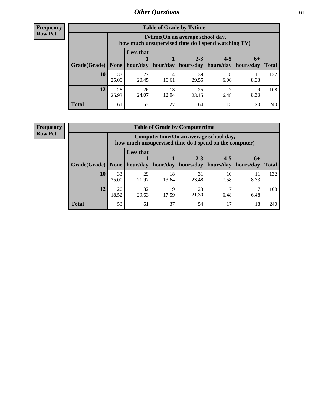**Frequency Row Pct**

| <b>Table of Grade by Tytime</b> |             |                                                                                        |             |             |           |           |              |  |  |
|---------------------------------|-------------|----------------------------------------------------------------------------------------|-------------|-------------|-----------|-----------|--------------|--|--|
|                                 |             | Tvtime(On an average school day,<br>how much unsupervised time do I spend watching TV) |             |             |           |           |              |  |  |
|                                 |             | <b>Less that</b>                                                                       |             | $2 - 3$     | $4 - 5$   | $6+$      |              |  |  |
| Grade(Grade)   None             |             | hour/day                                                                               | hour/day    | hours/day   | hours/day | hours/day | <b>Total</b> |  |  |
| 10                              | 33<br>25.00 | 27<br>20.45                                                                            | 14<br>10.61 | 39<br>29.55 | 8<br>6.06 | 8.33      | 132          |  |  |
| 12                              | 28<br>25.93 | 26<br>24.07                                                                            | 13<br>12.04 | 25<br>23.15 | 6.48      | q<br>8.33 | 108          |  |  |
| <b>Total</b>                    | 61          | 53                                                                                     | 27          | 64          | 15        | 20        | 240          |  |  |

**Frequency Row Pct**

| <b>Table of Grade by Computertime</b> |             |                                                                                                   |                     |                      |                      |                   |              |  |  |
|---------------------------------------|-------------|---------------------------------------------------------------------------------------------------|---------------------|----------------------|----------------------|-------------------|--------------|--|--|
|                                       |             | Computertime (On an average school day,<br>how much unsupervised time do I spend on the computer) |                     |                      |                      |                   |              |  |  |
| Grade(Grade)                          | None $ $    | <b>Less that</b>                                                                                  | hour/day   hour/day | $2 - 3$<br>hours/day | $4 - 5$<br>hours/day | $6+$<br>hours/day | <b>Total</b> |  |  |
| 10                                    | 33<br>25.00 | 29<br>21.97                                                                                       | 18<br>13.64         | 31<br>23.48          | 10<br>7.58           | 11<br>8.33        | 132          |  |  |
| 12                                    | 20<br>18.52 | 32<br>23<br>19<br>21.30<br>17.59<br>29.63<br>6.48<br>6.48                                         |                     |                      |                      |                   |              |  |  |
| <b>Total</b>                          | 53          | 61                                                                                                | 37                  | 54                   | 17                   | 18                | 240          |  |  |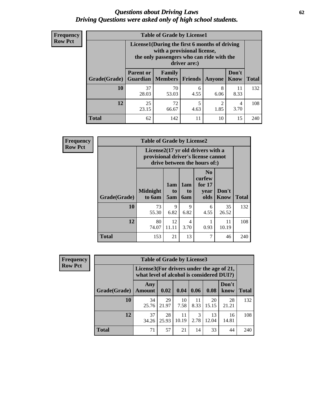#### *Questions about Driving Laws* **62** *Driving Questions were asked only of high school students.*

| <b>Frequency</b> |
|------------------|
| <b>Row Pct</b>   |

| <b>Table of Grade by License1</b> |                                                                                |                                                                                                                                           |                |           |                      |              |  |  |  |
|-----------------------------------|--------------------------------------------------------------------------------|-------------------------------------------------------------------------------------------------------------------------------------------|----------------|-----------|----------------------|--------------|--|--|--|
|                                   |                                                                                | License1(During the first 6 months of driving<br>with a provisional license,<br>the only passengers who can ride with the<br>driver are:) |                |           |                      |              |  |  |  |
| Grade(Grade)                      | <b>Parent or</b><br><b>Guardian</b>                                            | Family<br>Members                                                                                                                         | <b>Friends</b> | Anyone    | Don't<br><b>Know</b> | <b>Total</b> |  |  |  |
| 10                                | 37<br>28.03                                                                    | 70<br>53.03                                                                                                                               | 6<br>4.55      | 8<br>6.06 | 11<br>8.33           | 132          |  |  |  |
| 12                                | 25<br>5<br>$\overline{2}$<br>72<br>4<br>1.85<br>3.70<br>23.15<br>66.67<br>4.63 |                                                                                                                                           |                |           |                      |              |  |  |  |
| <b>Total</b>                      | 62                                                                             | 142                                                                                                                                       | 11             | 10        | 15                   | 240          |  |  |  |

| <b>Frequency</b> |              | <b>Table of Grade by License2</b>                                                                        |                  |                         |                                                      |                      |              |  |  |
|------------------|--------------|----------------------------------------------------------------------------------------------------------|------------------|-------------------------|------------------------------------------------------|----------------------|--------------|--|--|
| <b>Row Pct</b>   |              | License2(17 yr old drivers with a<br>provisional driver's license cannot<br>drive between the hours of:) |                  |                         |                                                      |                      |              |  |  |
|                  | Grade(Grade) | <b>Midnight</b><br>to 6am                                                                                | 1am<br>to<br>5am | 1am<br>to<br><b>6am</b> | N <sub>0</sub><br>curfew<br>for $17$<br>year<br>olds | Don't<br><b>Know</b> | <b>Total</b> |  |  |
|                  | 10           | 73<br>55.30                                                                                              | 9<br>6.82        | 9<br>6.82               | 6<br>4.55                                            | 35<br>26.52          | 132          |  |  |
|                  | 12           | 80<br>74.07                                                                                              | 12<br>11.11      | 4<br>3.70               | 0.93                                                 | 11<br>10.19          | 108          |  |  |
|                  | <b>Total</b> | 153                                                                                                      | 21               | 13                      | 7                                                    | 46                   | 240          |  |  |

| Frequency      |              | <b>Table of Grade by License3</b> |                                                                                        |             |            |             |               |              |
|----------------|--------------|-----------------------------------|----------------------------------------------------------------------------------------|-------------|------------|-------------|---------------|--------------|
| <b>Row Pct</b> |              |                                   | License3(For drivers under the age of 21,<br>what level of alcohol is considered DUI?) |             |            |             |               |              |
|                | Grade(Grade) | Any<br>Amount                     | 0.02                                                                                   | 0.04        | 0.06       | 0.08        | Don't<br>know | <b>Total</b> |
|                | 10           | 34<br>25.76                       | 29<br>21.97                                                                            | 10<br>7.58  | 11<br>8.33 | 20<br>15.15 | 28<br>21.21   | 132          |
|                | 12           | 37<br>34.26                       | 28<br>25.93                                                                            | 11<br>10.19 | 3<br>2.78  | 13<br>12.04 | 16<br>14.81   | 108          |
|                | <b>Total</b> | 71                                | 57                                                                                     | 21          | 14         | 33          | 44            | 240          |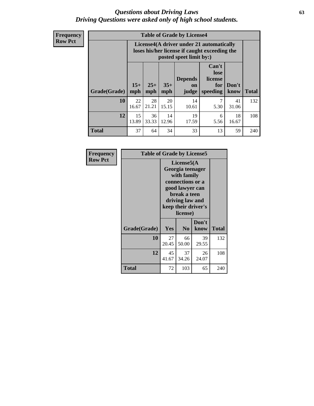#### *Questions about Driving Laws* **63** *Driving Questions were asked only of high school students.*

**Frequency Row Pct**

| <b>Table of Grade by License4</b> |             |                                                                                                                                                                                                                                                                                       |             |             |           |             |     |  |
|-----------------------------------|-------------|---------------------------------------------------------------------------------------------------------------------------------------------------------------------------------------------------------------------------------------------------------------------------------------|-------------|-------------|-----------|-------------|-----|--|
|                                   |             | License4(A driver under 21 automatically<br>loses his/her license if caught exceeding the<br>posted speet limit by:)<br>Can't<br>lose<br><b>Depends</b><br>license<br>$15+$<br>$25+$<br>$35+$<br>Don't<br>for<br><b>on</b><br>mph<br>speeding<br><b>Total</b><br>know<br>mph<br>judge |             |             |           |             |     |  |
| <b>Grade(Grade)</b>               | mph         |                                                                                                                                                                                                                                                                                       |             |             |           |             |     |  |
| 10                                | 22<br>16.67 | 28<br>21.21                                                                                                                                                                                                                                                                           | 20<br>15.15 | 14<br>10.61 | 7<br>5.30 | 41<br>31.06 | 132 |  |
| 12                                | 15<br>13.89 | 36<br>33.33                                                                                                                                                                                                                                                                           | 14<br>12.96 | 19<br>17.59 | 6<br>5.56 | 18<br>16.67 | 108 |  |
| <b>Total</b>                      | 37          | 64                                                                                                                                                                                                                                                                                    | 34          | 33          | 13        | 59          | 240 |  |

| Frequency<br><b>Row Pct</b> | <b>Table of Grade by License5</b> | License5(A<br>Georgia teenager<br>with family<br>connections or a<br>good lawyer can<br>break a teen<br>driving law and<br>keep their driver's |                            |               |       |
|-----------------------------|-----------------------------------|------------------------------------------------------------------------------------------------------------------------------------------------|----------------------------|---------------|-------|
|                             | Grade(Grade)                      | <b>Yes</b>                                                                                                                                     | license)<br>N <sub>0</sub> | Don't<br>know | Total |
|                             | 10                                | 27<br>20.45                                                                                                                                    | 66<br>50.00                | 39<br>29.55   | 132   |
|                             | 12                                | 45<br>41.67                                                                                                                                    | 37<br>34.26                | 26<br>24.07   | 108   |
|                             | Total                             | 72                                                                                                                                             | 103                        | 65            | 240   |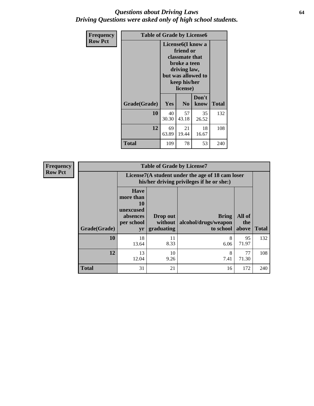#### *Questions about Driving Laws* **64** *Driving Questions were asked only of high school students.*

| <b>Frequency</b> | <b>Table of Grade by License6</b> |             |                                                                                                                           |                    |              |  |
|------------------|-----------------------------------|-------------|---------------------------------------------------------------------------------------------------------------------------|--------------------|--------------|--|
| <b>Row Pct</b>   |                                   |             | License <sub>6</sub> (I know a<br>friend or<br>classmate that<br>broke a teen<br>driving law,<br>keep his/her<br>license) | but was allowed to |              |  |
|                  | Grade(Grade)                      | Yes         | N <sub>0</sub>                                                                                                            | Don't<br>know      | <b>Total</b> |  |
|                  | 10                                | 40<br>30.30 | 57<br>43.18                                                                                                               | 35<br>26.52        | 132          |  |
|                  | 12                                | 69<br>63.89 | 21<br>19.44                                                                                                               | 18<br>16.67        | 108          |  |
|                  | Total                             | 109         | 78                                                                                                                        | 53                 | 240          |  |

| Frequency      |              |                                                                             | <b>Table of Grade by License7</b>                                                             |                                                   |                        |              |  |  |  |
|----------------|--------------|-----------------------------------------------------------------------------|-----------------------------------------------------------------------------------------------|---------------------------------------------------|------------------------|--------------|--|--|--|
| <b>Row Pct</b> |              |                                                                             | License7(A student under the age of 18 cam loser<br>his/her driving privileges if he or she:) |                                                   |                        |              |  |  |  |
|                | Grade(Grade) | <b>Have</b><br>more than<br>10<br>unexcused<br>absences<br>per school<br>yr | Drop out<br>without  <br>graduating                                                           | <b>Bring</b><br>alcohol/drugs/weapon<br>to school | All of<br>the<br>above | <b>Total</b> |  |  |  |
|                | 10           | 18<br>13.64                                                                 | 11<br>8.33                                                                                    | 8<br>6.06                                         | 95<br>71.97            | 132          |  |  |  |
|                | 12           | 13<br>12.04                                                                 | 10<br>9.26                                                                                    | 8<br>7.41                                         | 77<br>71.30            | 108          |  |  |  |
|                | <b>Total</b> | 31                                                                          | 21                                                                                            | 16                                                | 172                    | 240          |  |  |  |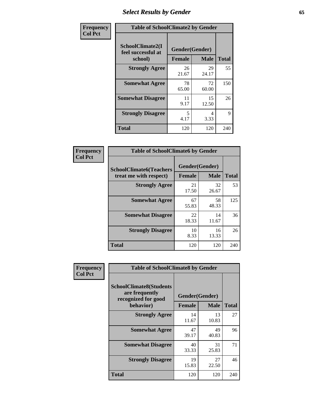# *Select Results by Gender* **65**

| Frequency      | <b>Table of SchoolClimate2 by Gender</b>          |                                 |             |              |  |
|----------------|---------------------------------------------------|---------------------------------|-------------|--------------|--|
| <b>Col Pct</b> | SchoolClimate2(I<br>feel successful at<br>school) | Gender(Gender)<br><b>Female</b> | <b>Male</b> | <b>Total</b> |  |
|                | <b>Strongly Agree</b>                             | 26<br>21.67                     | 29<br>24.17 | 55           |  |
|                | <b>Somewhat Agree</b>                             | 78<br>65.00                     | 72<br>60.00 | 150          |  |
|                | <b>Somewhat Disagree</b>                          | 11<br>9.17                      | 15<br>12.50 | 26           |  |
|                | <b>Strongly Disagree</b>                          | 5<br>4.17                       | 4<br>3.33   | 9            |  |
|                | <b>Total</b>                                      | 120                             | 120         | 240          |  |

| Frequency      | <b>Table of SchoolClimate6 by Gender</b>                 |                                 |             |              |  |
|----------------|----------------------------------------------------------|---------------------------------|-------------|--------------|--|
| <b>Col Pct</b> | <b>SchoolClimate6(Teachers</b><br>treat me with respect) | Gender(Gender)<br><b>Female</b> | <b>Male</b> | <b>Total</b> |  |
|                | <b>Strongly Agree</b>                                    | 21<br>17.50                     | 32<br>26.67 | 53           |  |
|                | <b>Somewhat Agree</b>                                    | 67<br>55.83                     | 58<br>48.33 | 125          |  |
|                | <b>Somewhat Disagree</b>                                 | 22<br>18.33                     | 14<br>11.67 | 36           |  |
|                | <b>Strongly Disagree</b>                                 | 10<br>8.33                      | 16<br>13.33 | 26           |  |
|                | Total                                                    | 120                             | 120         | 240          |  |

| <b>Frequency</b> | <b>Table of SchoolClimate8 by Gender</b>                                             |               |                               |              |
|------------------|--------------------------------------------------------------------------------------|---------------|-------------------------------|--------------|
| <b>Col Pct</b>   | <b>SchoolClimate8(Students</b><br>are frequently<br>recognized for good<br>behavior) | <b>Female</b> | Gender(Gender)<br><b>Male</b> | <b>Total</b> |
|                  | <b>Strongly Agree</b>                                                                | 14<br>11.67   | 13<br>10.83                   | 27           |
|                  | <b>Somewhat Agree</b>                                                                | 47<br>39.17   | 49<br>40.83                   | 96           |
|                  | <b>Somewhat Disagree</b>                                                             | 40<br>33.33   | 31<br>25.83                   | 71           |
|                  | <b>Strongly Disagree</b>                                                             | 19<br>15.83   | 27<br>22.50                   | 46           |
|                  | Total                                                                                | 120           | 120                           | 240          |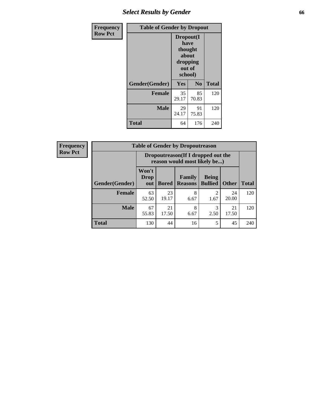## *Select Results by Gender* **66**

| <b>Frequency</b> | <b>Table of Gender by Dropout</b> |                                                                        |             |              |
|------------------|-----------------------------------|------------------------------------------------------------------------|-------------|--------------|
| <b>Row Pct</b>   |                                   | Dropout(I<br>have<br>thought<br>about<br>dropping<br>out of<br>school) |             |              |
|                  | Gender(Gender)                    | Yes                                                                    | No          | <b>Total</b> |
|                  | <b>Female</b>                     | 35<br>29.17                                                            | 85<br>70.83 | 120          |
|                  | <b>Male</b>                       | 29<br>24.17                                                            | 91<br>75.83 | 120          |
|                  | <b>Total</b>                      | 64                                                                     | 176         | 240          |

| <b>Frequency</b> |                | <b>Table of Gender by Dropoutreason</b>                            |              |                                 |                                |              |              |
|------------------|----------------|--------------------------------------------------------------------|--------------|---------------------------------|--------------------------------|--------------|--------------|
| <b>Row Pct</b>   |                | Dropoutreason(If I dropped out the<br>reason would most likely be) |              |                                 |                                |              |              |
|                  | Gender(Gender) | Won't<br><b>Drop</b><br>out                                        | <b>Bored</b> | <b>Family</b><br><b>Reasons</b> | <b>Being</b><br><b>Bullied</b> | <b>Other</b> | <b>Total</b> |
|                  | Female         | 63<br>52.50                                                        | 23<br>19.17  | 8<br>6.67                       | ↑<br>1.67                      | 24<br>20.00  | 120          |
|                  | <b>Male</b>    | 67<br>55.83                                                        | 21<br>17.50  | 8<br>6.67                       | 3<br>2.50                      | 21<br>17.50  | 120          |
|                  | <b>Total</b>   | 130                                                                | 44           | 16                              | 5                              | 45           | 240          |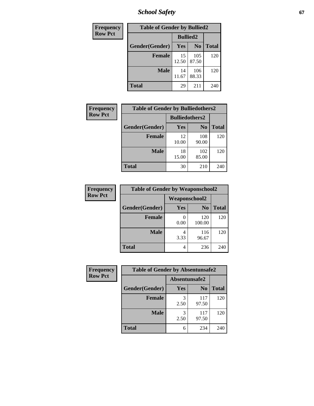*School Safety* **67**

| Frequency      | <b>Table of Gender by Bullied2</b> |                 |                |              |
|----------------|------------------------------------|-----------------|----------------|--------------|
| <b>Row Pct</b> |                                    | <b>Bullied2</b> |                |              |
|                | Gender(Gender)                     | Yes             | N <sub>0</sub> | <b>Total</b> |
|                | <b>Female</b>                      | 15<br>12.50     | 105<br>87.50   | 120          |
|                | <b>Male</b>                        | 14<br>11.67     | 106<br>88.33   | 120          |
|                | <b>Total</b>                       | 29              | 211            | 240          |

| Frequency      | <b>Table of Gender by Bulliedothers2</b> |                       |                |              |
|----------------|------------------------------------------|-----------------------|----------------|--------------|
| <b>Row Pct</b> |                                          | <b>Bulliedothers2</b> |                |              |
|                | Gender(Gender)                           | Yes                   | N <sub>0</sub> | <b>Total</b> |
|                | <b>Female</b>                            | 12<br>10.00           | 108<br>90.00   | 120          |
|                | <b>Male</b>                              | 18<br>15.00           | 102<br>85.00   | 120          |
|                | <b>Total</b>                             | 30                    | 210            | 240          |

| Frequency      | <b>Table of Gender by Weaponschool2</b> |                      |               |              |
|----------------|-----------------------------------------|----------------------|---------------|--------------|
| <b>Row Pct</b> |                                         | <b>Weaponschool2</b> |               |              |
|                | Gender(Gender)                          | <b>Yes</b>           | $\bf N_0$     | <b>Total</b> |
|                | Female                                  | 0.00                 | 120<br>100.00 | 120          |
|                | <b>Male</b>                             | 3.33                 | 116<br>96.67  | 120          |
|                | <b>Total</b>                            |                      | 236           | 240          |

| Frequency      | <b>Table of Gender by Absentunsafe2</b> |               |                |              |  |
|----------------|-----------------------------------------|---------------|----------------|--------------|--|
| <b>Row Pct</b> |                                         | Absentunsafe2 |                |              |  |
|                | Gender(Gender)                          | Yes           | N <sub>0</sub> | <b>Total</b> |  |
|                | <b>Female</b>                           | 2.50          | 117<br>97.50   | 120          |  |
|                | <b>Male</b>                             | 2.50          | 117<br>97.50   | 120          |  |
|                | <b>Total</b>                            | 6             | 234            | 240          |  |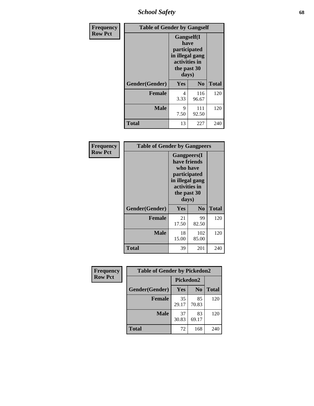*School Safety* **68**

| Frequency      | <b>Table of Gender by Gangself</b> |                                                                                                |                |              |
|----------------|------------------------------------|------------------------------------------------------------------------------------------------|----------------|--------------|
| <b>Row Pct</b> |                                    | Gangself(I<br>have<br>participated<br>in illegal gang<br>activities in<br>the past 30<br>days) |                |              |
|                | Gender(Gender)                     | Yes                                                                                            | N <sub>0</sub> | <b>Total</b> |
|                | <b>Female</b>                      | 4<br>3.33                                                                                      | 116<br>96.67   | 120          |
|                | <b>Male</b>                        | 9<br>7.50                                                                                      | 111<br>92.50   | 120          |
|                | <b>Total</b>                       | 13                                                                                             | 227            | 240          |

| Frequency      |                | <b>Table of Gender by Gangpeers</b>                                                                                         |                |              |
|----------------|----------------|-----------------------------------------------------------------------------------------------------------------------------|----------------|--------------|
| <b>Row Pct</b> |                | <b>Gangpeers</b> (I<br>have friends<br>who have<br>participated<br>in illegal gang<br>activities in<br>the past 30<br>days) |                |              |
|                | Gender(Gender) | <b>Yes</b>                                                                                                                  | N <sub>0</sub> | <b>Total</b> |
|                | <b>Female</b>  | 21<br>17.50                                                                                                                 | 99<br>82.50    | 120          |
|                | <b>Male</b>    | 18<br>15.00                                                                                                                 | 102<br>85.00   | 120          |
|                | Total          | 39                                                                                                                          | 201            | 240          |

| Frequency      | <b>Table of Gender by Pickedon2</b> |             |                |              |
|----------------|-------------------------------------|-------------|----------------|--------------|
| <b>Row Pct</b> |                                     | Pickedon2   |                |              |
|                | Gender(Gender)                      | <b>Yes</b>  | N <sub>0</sub> | <b>Total</b> |
|                | <b>Female</b>                       | 35<br>29.17 | 85<br>70.83    | 120          |
|                | <b>Male</b>                         | 37<br>30.83 | 83<br>69.17    | 120          |
|                | <b>Total</b>                        | 72          | 168            | 240          |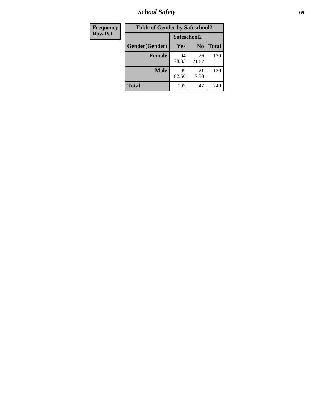*School Safety* **69**

| Frequency      | <b>Table of Gender by Safeschool2</b> |             |                |              |  |
|----------------|---------------------------------------|-------------|----------------|--------------|--|
| <b>Row Pct</b> |                                       | Safeschool2 |                |              |  |
|                | Gender(Gender)                        | <b>Yes</b>  | N <sub>0</sub> | <b>Total</b> |  |
|                | <b>Female</b>                         | 94<br>78.33 | 26<br>21.67    | 120          |  |
|                | <b>Male</b>                           | 99<br>82.50 | 21<br>17.50    | 120          |  |
|                | <b>Total</b>                          | 193         | 47             | 240          |  |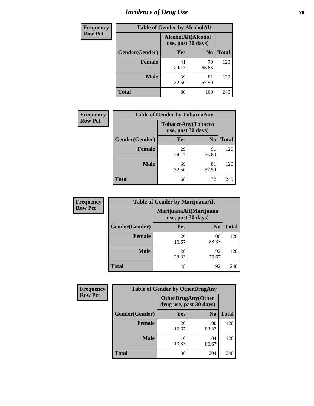# *Incidence of Drug Use* **70**

| <b>Frequency</b> | <b>Table of Gender by AlcoholAlt</b> |                                          |                |              |  |
|------------------|--------------------------------------|------------------------------------------|----------------|--------------|--|
| <b>Row Pct</b>   |                                      | AlcoholAlt(Alcohol<br>use, past 30 days) |                |              |  |
|                  | Gender(Gender)                       | Yes                                      | N <sub>0</sub> | <b>Total</b> |  |
|                  | <b>Female</b>                        | 41<br>34.17                              | 79<br>65.83    | 120          |  |
|                  | <b>Male</b>                          | 39<br>32.50                              | 81<br>67.50    | 120          |  |
|                  | <b>Total</b>                         | 80                                       | 160            | 240          |  |

| <b>Frequency</b> | <b>Table of Gender by TobaccoAny</b> |                    |                    |              |  |
|------------------|--------------------------------------|--------------------|--------------------|--------------|--|
| <b>Row Pct</b>   |                                      | use, past 30 days) | TobaccoAny(Tobacco |              |  |
|                  | Gender(Gender)                       | Yes                | N <sub>0</sub>     | <b>Total</b> |  |
|                  | <b>Female</b>                        | 29<br>24.17        | 91<br>75.83        | 120          |  |
|                  | <b>Male</b>                          | 39<br>32.50        | 81<br>67.50        | 120          |  |
|                  | <b>Total</b>                         | 68                 | 172                | 240          |  |

| <b>Frequency</b> | <b>Table of Gender by MarijuanaAlt</b> |             |                                              |              |  |
|------------------|----------------------------------------|-------------|----------------------------------------------|--------------|--|
| <b>Row Pct</b>   |                                        |             | MarijuanaAlt(Marijuana<br>use, past 30 days) |              |  |
|                  | Gender(Gender)                         | <b>Yes</b>  | N <sub>0</sub>                               | <b>Total</b> |  |
|                  | <b>Female</b>                          | 20<br>16.67 | 100<br>83.33                                 | 120          |  |
|                  | <b>Male</b>                            | 28<br>23.33 | 92<br>76.67                                  | 120          |  |
|                  | <b>Total</b>                           | 48          | 192                                          | 240          |  |

| <b>Frequency</b> | <b>Table of Gender by OtherDrugAny</b> |                         |                           |              |  |
|------------------|----------------------------------------|-------------------------|---------------------------|--------------|--|
| <b>Row Pct</b>   |                                        | drug use, past 30 days) | <b>OtherDrugAny(Other</b> |              |  |
|                  | Gender(Gender)                         | <b>Yes</b>              | N <sub>0</sub>            | <b>Total</b> |  |
|                  | <b>Female</b>                          | 20<br>16.67             | 100<br>83.33              | 120          |  |
|                  | <b>Male</b>                            | 16<br>13.33             | 104<br>86.67              | 120          |  |
|                  | <b>Total</b>                           | 36                      | 204                       | 240          |  |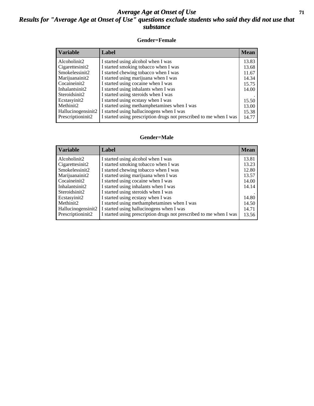#### *Average Age at Onset of Use* **71** *Results for "Average Age at Onset of Use" questions exclude students who said they did not use that substance*

#### **Gender=Female**

| <b>Variable</b>    | <b>Label</b>                                                       | <b>Mean</b> |
|--------------------|--------------------------------------------------------------------|-------------|
| Alcoholinit2       | I started using alcohol when I was                                 | 13.83       |
| Cigarettesinit2    | I started smoking tobacco when I was                               | 13.68       |
| Smokelessinit2     | I started chewing tobacco when I was                               | 11.67       |
| Marijuanainit2     | I started using marijuana when I was                               | 14.34       |
| Cocaineinit2       | I started using cocaine when I was                                 | 15.75       |
| Inhalantsinit2     | I started using inhalants when I was                               | 14.00       |
| Steroidsinit2      | I started using steroids when I was                                |             |
| Ecstasyinit2       | I started using ecstasy when I was                                 | 15.50       |
| Methinit2          | I started using methamphetamines when I was                        | 13.00       |
| Hallucinogensinit2 | I started using hallucinogens when I was                           | 15.38       |
| Prescription in t2 | I started using prescription drugs not prescribed to me when I was | 14.77       |

#### **Gender=Male**

| <b>Variable</b>                 | Label                                                                       | <b>Mean</b> |
|---------------------------------|-----------------------------------------------------------------------------|-------------|
| Alcoholinit2                    | I started using alcohol when I was                                          | 13.81       |
| Cigarettesinit2                 | I started smoking tobacco when I was                                        | 13.23       |
| Smokelessinit2                  | I started chewing tobacco when I was                                        | 12.80       |
| Marijuanainit2                  | I started using marijuana when I was                                        | 13.57       |
| Cocaineinit2                    | I started using cocaine when I was                                          | 14.00       |
| Inhalantsinit2<br>Steroidsinit2 | I started using inhalants when I was<br>I started using steroids when I was | 14.14       |
| Ecstasyinit2                    | I started using ecstasy when I was                                          | 14.80       |
| Methinit <sub>2</sub>           | I started using methamphetamines when I was                                 | 14.50       |
| Hallucinogensinit2              | I started using hallucinogens when I was                                    | 14.71       |
| Prescription in it <sub>2</sub> | I started using prescription drugs not prescribed to me when I was          | 13.56       |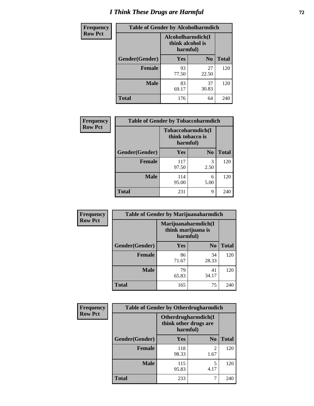# *I Think These Drugs are Harmful* **72**

| <b>Frequency</b> | <b>Table of Gender by Alcoholharmdich</b> |                                                   |                |              |  |
|------------------|-------------------------------------------|---------------------------------------------------|----------------|--------------|--|
| <b>Row Pct</b>   |                                           | Alcoholharmdich(I<br>think alcohol is<br>harmful) |                |              |  |
|                  | Gender(Gender)                            | <b>Yes</b>                                        | N <sub>0</sub> | <b>Total</b> |  |
|                  | <b>Female</b>                             | 93<br>77.50                                       | 27<br>22.50    | 120          |  |
|                  | <b>Male</b>                               | 83<br>69.17                                       | 37<br>30.83    | 120          |  |
|                  | <b>Total</b>                              | 176                                               | 64             | 240          |  |

| Frequency      | <b>Table of Gender by Tobaccoharmdich</b> |                                                   |                |              |  |
|----------------|-------------------------------------------|---------------------------------------------------|----------------|--------------|--|
| <b>Row Pct</b> |                                           | Tobaccoharmdich(I<br>think tobacco is<br>harmful) |                |              |  |
|                | Gender(Gender)                            | Yes                                               | N <sub>0</sub> | <b>Total</b> |  |
|                | <b>Female</b>                             | 117<br>97.50                                      | 3<br>2.50      | 120          |  |
|                | <b>Male</b>                               | 114<br>95.00                                      | 6<br>5.00      | 120          |  |
|                | <b>Total</b>                              | 231                                               | 9              | 240          |  |

| Frequency      | <b>Table of Gender by Marijuanaharmdich</b> |                                                       |                |              |  |
|----------------|---------------------------------------------|-------------------------------------------------------|----------------|--------------|--|
| <b>Row Pct</b> |                                             | Marijuanaharmdich(I<br>think marijuana is<br>harmful) |                |              |  |
|                | Gender(Gender)                              | <b>Yes</b>                                            | N <sub>0</sub> | <b>Total</b> |  |
|                | <b>Female</b>                               | 86<br>71.67                                           | 34<br>28.33    | 120          |  |
|                | <b>Male</b>                                 | 79<br>65.83                                           | 41<br>34.17    | 120          |  |
|                | <b>Total</b>                                | 165                                                   | 75             | 240          |  |

| Frequency      | <b>Table of Gender by Otherdrugharmdich</b> |                                                          |                |              |  |
|----------------|---------------------------------------------|----------------------------------------------------------|----------------|--------------|--|
| <b>Row Pct</b> |                                             | Otherdrugharmdich(I<br>think other drugs are<br>harmful) |                |              |  |
|                | Gender(Gender)                              | <b>Yes</b>                                               | N <sub>0</sub> | <b>Total</b> |  |
|                | <b>Female</b>                               | 118<br>98.33                                             | 2<br>1.67      | 120          |  |
|                | <b>Male</b>                                 | 115<br>95.83                                             | 5<br>4.17      | 120          |  |
|                | <b>Total</b>                                | 233                                                      | 7              | 240          |  |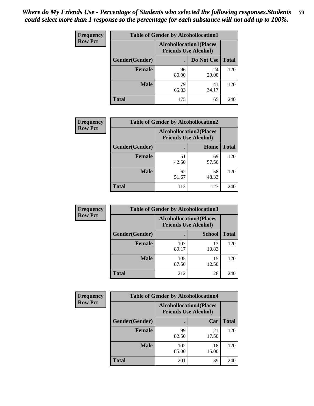| <b>Frequency</b> | <b>Table of Gender by Alcohollocation1</b> |                                                               |             |              |
|------------------|--------------------------------------------|---------------------------------------------------------------|-------------|--------------|
| <b>Row Pct</b>   |                                            | <b>Alcohollocation1(Places</b><br><b>Friends Use Alcohol)</b> |             |              |
|                  | Gender(Gender)                             |                                                               | Do Not Use  | <b>Total</b> |
|                  | <b>Female</b>                              | 96<br>80.00                                                   | 24<br>20.00 | 120          |
|                  | <b>Male</b>                                | 79<br>65.83                                                   | 41<br>34.17 | 120          |
|                  | Total                                      | 175                                                           | 65          | 240          |

| <b>Frequency</b> | <b>Table of Gender by Alcohollocation2</b> |                                                               |             |              |
|------------------|--------------------------------------------|---------------------------------------------------------------|-------------|--------------|
| <b>Row Pct</b>   |                                            | <b>Alcohollocation2(Places</b><br><b>Friends Use Alcohol)</b> |             |              |
|                  | Gender(Gender)                             |                                                               | Home        | <b>Total</b> |
|                  | <b>Female</b>                              | 51<br>42.50                                                   | 69<br>57.50 | 120          |
|                  | <b>Male</b>                                | 62<br>51.67                                                   | 58<br>48.33 | 120          |
|                  | <b>Total</b>                               | 113                                                           | 127         | 240          |

| <b>Frequency</b> | <b>Table of Gender by Alcohollocation3</b> |              |                                                               |              |
|------------------|--------------------------------------------|--------------|---------------------------------------------------------------|--------------|
| <b>Row Pct</b>   |                                            |              | <b>Alcohollocation3(Places</b><br><b>Friends Use Alcohol)</b> |              |
|                  | Gender(Gender)                             | $\bullet$    | <b>School</b>                                                 | <b>Total</b> |
|                  | <b>Female</b>                              | 107<br>89.17 | 13<br>10.83                                                   | 120          |
|                  | <b>Male</b>                                | 105<br>87.50 | 15<br>12.50                                                   | 120          |
|                  | <b>Total</b>                               | 212          | 28                                                            | 240          |

| <b>Frequency</b> | <b>Table of Gender by Alcohollocation4</b> |                                                               |             |              |
|------------------|--------------------------------------------|---------------------------------------------------------------|-------------|--------------|
| <b>Row Pct</b>   |                                            | <b>Alcohollocation4(Places</b><br><b>Friends Use Alcohol)</b> |             |              |
|                  | Gender(Gender)                             |                                                               | Car         | <b>Total</b> |
|                  | <b>Female</b>                              | 99<br>82.50                                                   | 21<br>17.50 | 120          |
|                  | <b>Male</b>                                | 102<br>85.00                                                  | 18<br>15.00 | 120          |
|                  | <b>Total</b>                               | 201                                                           | 39          | 240          |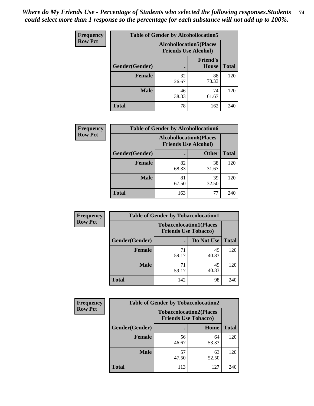| <b>Frequency</b> | <b>Table of Gender by Alcohollocation5</b> |                                                                |                                 |              |
|------------------|--------------------------------------------|----------------------------------------------------------------|---------------------------------|--------------|
| <b>Row Pct</b>   |                                            | <b>Alcohollocation5</b> (Places<br><b>Friends Use Alcohol)</b> |                                 |              |
|                  | Gender(Gender)                             |                                                                | <b>Friend's</b><br><b>House</b> | <b>Total</b> |
|                  | <b>Female</b>                              | 32<br>26.67                                                    | 88<br>73.33                     | 120          |
|                  | <b>Male</b>                                | 46<br>38.33                                                    | 74<br>61.67                     | 120          |
|                  | <b>Total</b>                               | 78                                                             | 162                             | 240          |

| Frequency      | <b>Table of Gender by Alcohollocation6</b> |                                                               |              |              |  |
|----------------|--------------------------------------------|---------------------------------------------------------------|--------------|--------------|--|
| <b>Row Pct</b> |                                            | <b>Alcohollocation6(Places</b><br><b>Friends Use Alcohol)</b> |              |              |  |
|                | Gender(Gender)                             |                                                               | <b>Other</b> | <b>Total</b> |  |
|                | <b>Female</b>                              | 82<br>68.33                                                   | 38<br>31.67  | 120          |  |
|                | <b>Male</b>                                | 81<br>67.50                                                   | 39<br>32.50  | 120          |  |
|                | <b>Total</b>                               | 163                                                           | 77           | 240          |  |

| Frequency      | <b>Table of Gender by Tobaccolocation1</b> |                                                               |             |              |  |
|----------------|--------------------------------------------|---------------------------------------------------------------|-------------|--------------|--|
| <b>Row Pct</b> |                                            | <b>Tobaccolocation1(Places</b><br><b>Friends Use Tobacco)</b> |             |              |  |
|                | Gender(Gender)                             |                                                               | Do Not Use  | <b>Total</b> |  |
|                | <b>Female</b>                              | 71<br>59.17                                                   | 49<br>40.83 | 120          |  |
|                | <b>Male</b>                                | 71<br>59.17                                                   | 49<br>40.83 | 120          |  |
|                | <b>Total</b>                               | 142                                                           | 98          | 240          |  |

| <b>Frequency</b> | <b>Table of Gender by Tobaccolocation2</b> |                                                               |             |              |
|------------------|--------------------------------------------|---------------------------------------------------------------|-------------|--------------|
| <b>Row Pct</b>   |                                            | <b>Tobaccolocation2(Places</b><br><b>Friends Use Tobacco)</b> |             |              |
|                  | Gender(Gender)                             |                                                               | Home        | <b>Total</b> |
|                  | Female                                     | 56<br>46.67                                                   | 64<br>53.33 | 120          |
|                  | <b>Male</b>                                | 57<br>47.50                                                   | 63<br>52.50 | 120          |
|                  | <b>Total</b>                               | 113                                                           | 127         | 240          |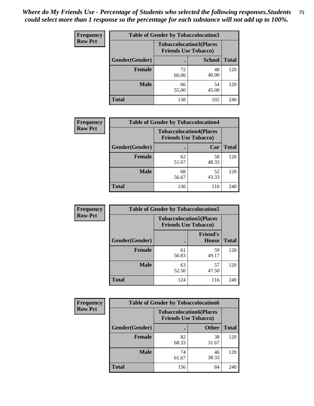| <b>Frequency</b> | <b>Table of Gender by Tobaccolocation3</b> |             |                                                               |              |
|------------------|--------------------------------------------|-------------|---------------------------------------------------------------|--------------|
| <b>Row Pct</b>   |                                            |             | <b>Tobaccolocation3(Places</b><br><b>Friends Use Tobacco)</b> |              |
|                  | Gender(Gender)                             |             | <b>School</b>                                                 | <b>Total</b> |
|                  | Female                                     | 72<br>60.00 | 48<br>40.00                                                   | 120          |
|                  | <b>Male</b>                                | 66<br>55.00 | 54<br>45.00                                                   | 120          |
|                  | <b>Total</b>                               | 138         | 102                                                           | 240          |

| <b>Frequency</b> | <b>Table of Gender by Tobaccolocation4</b> |             |                                                               |              |
|------------------|--------------------------------------------|-------------|---------------------------------------------------------------|--------------|
| <b>Row Pct</b>   |                                            |             | <b>Tobaccolocation4(Places</b><br><b>Friends Use Tobacco)</b> |              |
|                  | Gender(Gender)                             |             | Car                                                           | <b>Total</b> |
|                  | Female                                     | 62<br>51.67 | 58<br>48.33                                                   | 120          |
|                  | <b>Male</b>                                | 68<br>56.67 | 52<br>43.33                                                   | 120          |
|                  | <b>Total</b>                               | 130         | 110                                                           | 240          |

| <b>Frequency</b> | <b>Table of Gender by Tobaccolocation5</b> |                             |                                |              |
|------------------|--------------------------------------------|-----------------------------|--------------------------------|--------------|
| <b>Row Pct</b>   |                                            | <b>Friends Use Tobacco)</b> | <b>Tobaccolocation5(Places</b> |              |
|                  | Gender(Gender)                             |                             | <b>Friend's</b><br>House       | <b>Total</b> |
|                  | <b>Female</b>                              | 61<br>50.83                 | 59<br>49.17                    | 120          |
|                  | <b>Male</b>                                | 63<br>52.50                 | 57<br>47.50                    | 120          |
|                  | <b>Total</b>                               | 124                         | 116                            | 240          |

| <b>Frequency</b> | <b>Table of Gender by Tobaccolocation6</b> |                                                               |              |              |
|------------------|--------------------------------------------|---------------------------------------------------------------|--------------|--------------|
| <b>Row Pct</b>   |                                            | <b>Tobaccolocation6(Places</b><br><b>Friends Use Tobacco)</b> |              |              |
|                  | Gender(Gender)                             |                                                               | <b>Other</b> | <b>Total</b> |
|                  | Female                                     | 82<br>68.33                                                   | 38<br>31.67  | 120          |
|                  | <b>Male</b>                                | 74<br>61.67                                                   | 46<br>38.33  | 120          |
|                  | <b>Total</b>                               | 156                                                           | 84           | 240          |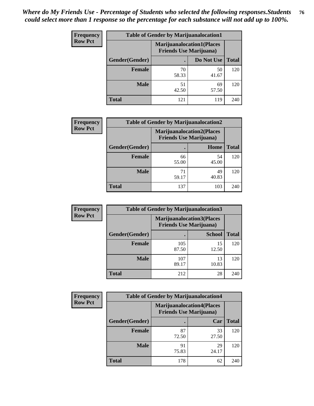| <b>Frequency</b> | <b>Table of Gender by Marijuanalocation1</b> |                                                                    |             |              |
|------------------|----------------------------------------------|--------------------------------------------------------------------|-------------|--------------|
| <b>Row Pct</b>   |                                              | <b>Marijuanalocation1(Places</b><br><b>Friends Use Marijuana</b> ) |             |              |
|                  | Gender(Gender)                               |                                                                    | Do Not Use  | <b>Total</b> |
|                  | <b>Female</b>                                | 70<br>58.33                                                        | 50<br>41.67 | 120          |
|                  | <b>Male</b>                                  | 51<br>42.50                                                        | 69<br>57.50 | 120          |
|                  | Total                                        | 121                                                                | 119         | 240          |

| <b>Frequency</b> | <b>Table of Gender by Marijuanalocation2</b> |                                                                    |             |              |
|------------------|----------------------------------------------|--------------------------------------------------------------------|-------------|--------------|
| <b>Row Pct</b>   |                                              | <b>Marijuanalocation2(Places</b><br><b>Friends Use Marijuana</b> ) |             |              |
|                  | Gender(Gender)                               |                                                                    | Home        | <b>Total</b> |
|                  | Female                                       | 66<br>55.00                                                        | 54<br>45.00 | 120          |
|                  | <b>Male</b>                                  | 71<br>59.17                                                        | 49<br>40.83 | 120          |
|                  | <b>Total</b>                                 | 137                                                                | 103         | 240          |

| Frequency      | <b>Table of Gender by Marijuanalocation3</b> |              |                                                                    |              |
|----------------|----------------------------------------------|--------------|--------------------------------------------------------------------|--------------|
| <b>Row Pct</b> |                                              |              | <b>Marijuanalocation3(Places</b><br><b>Friends Use Marijuana</b> ) |              |
|                | Gender(Gender)                               |              | <b>School</b>                                                      | <b>Total</b> |
|                | Female                                       | 105<br>87.50 | 15<br>12.50                                                        | 120          |
|                | <b>Male</b>                                  | 107<br>89.17 | 13<br>10.83                                                        | 120          |
|                | <b>Total</b>                                 | 212          | 28                                                                 | 240          |

| <b>Frequency</b> | <b>Table of Gender by Marijuanalocation4</b> |                                |                                  |              |
|------------------|----------------------------------------------|--------------------------------|----------------------------------|--------------|
| <b>Row Pct</b>   |                                              | <b>Friends Use Marijuana</b> ) | <b>Marijuanalocation4(Places</b> |              |
|                  | Gender(Gender)                               |                                | Car                              | <b>Total</b> |
|                  | <b>Female</b>                                | 87<br>72.50                    | 33<br>27.50                      | 120          |
|                  | <b>Male</b>                                  | 91<br>75.83                    | 29<br>24.17                      | 120          |
|                  | <b>Total</b>                                 | 178                            | 62                               | 240          |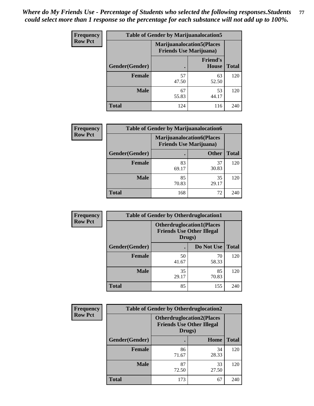| <b>Frequency</b> | <b>Table of Gender by Marijuanalocation5</b> |                                                                     |                          |              |  |
|------------------|----------------------------------------------|---------------------------------------------------------------------|--------------------------|--------------|--|
| <b>Row Pct</b>   |                                              | <b>Marijuanalocation5</b> (Places<br><b>Friends Use Marijuana</b> ) |                          |              |  |
|                  | Gender(Gender)                               |                                                                     | <b>Friend's</b><br>House | <b>Total</b> |  |
|                  | <b>Female</b>                                | 57<br>47.50                                                         | 63<br>52.50              | 120          |  |
|                  | <b>Male</b>                                  | 67<br>55.83                                                         | 53<br>44.17              | 120          |  |
|                  | <b>Total</b>                                 | 124                                                                 | 116                      | 240          |  |

| <b>Frequency</b> | <b>Table of Gender by Marijuanalocation6</b> |             |                                                                    |              |
|------------------|----------------------------------------------|-------------|--------------------------------------------------------------------|--------------|
| <b>Row Pct</b>   |                                              |             | <b>Marijuanalocation6(Places</b><br><b>Friends Use Marijuana</b> ) |              |
|                  | <b>Gender</b> (Gender)                       |             | <b>Other</b>                                                       | <b>Total</b> |
|                  | <b>Female</b>                                | 83<br>69.17 | 37<br>30.83                                                        | 120          |
|                  | <b>Male</b>                                  | 85<br>70.83 | 35<br>29.17                                                        | 120          |
|                  | <b>Total</b>                                 | 168         | 72                                                                 | 240          |

| <b>Frequency</b> | <b>Table of Gender by Otherdruglocation1</b> |                                                                                |             |              |
|------------------|----------------------------------------------|--------------------------------------------------------------------------------|-------------|--------------|
| <b>Row Pct</b>   |                                              | <b>Otherdruglocation1(Places</b><br><b>Friends Use Other Illegal</b><br>Drugs) |             |              |
|                  | <b>Gender</b> (Gender)                       |                                                                                | Do Not Use  | <b>Total</b> |
|                  | <b>Female</b>                                | 50<br>41.67                                                                    | 70<br>58.33 | 120          |
|                  | <b>Male</b>                                  | 35<br>29.17                                                                    | 85<br>70.83 | 120          |
|                  | <b>Total</b>                                 | 85                                                                             | 155         | 240          |

| Frequency      | <b>Table of Gender by Otherdruglocation2</b> |                                                                                |             |              |
|----------------|----------------------------------------------|--------------------------------------------------------------------------------|-------------|--------------|
| <b>Row Pct</b> |                                              | <b>Otherdruglocation2(Places</b><br><b>Friends Use Other Illegal</b><br>Drugs) |             |              |
|                | Gender(Gender)                               |                                                                                | Home        | <b>Total</b> |
|                | <b>Female</b>                                | 86<br>71.67                                                                    | 34<br>28.33 | 120          |
|                | <b>Male</b>                                  | 87<br>72.50                                                                    | 33<br>27.50 | 120          |
|                | <b>Total</b>                                 | 173                                                                            | 67          | 240          |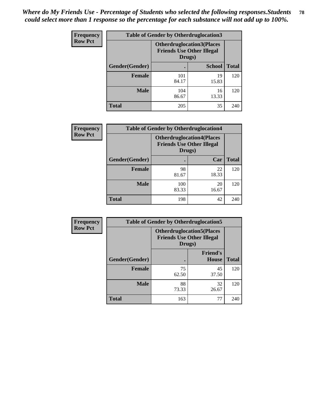| <b>Frequency</b> | <b>Table of Gender by Otherdruglocation3</b> |                                                                                |               |              |
|------------------|----------------------------------------------|--------------------------------------------------------------------------------|---------------|--------------|
| <b>Row Pct</b>   |                                              | <b>Otherdruglocation3(Places</b><br><b>Friends Use Other Illegal</b><br>Drugs) |               |              |
|                  | Gender(Gender)                               |                                                                                | <b>School</b> | <b>Total</b> |
|                  | <b>Female</b>                                | 101<br>84.17                                                                   | 19<br>15.83   | 120          |
|                  | <b>Male</b>                                  | 104<br>86.67                                                                   | 16<br>13.33   | 120          |
|                  | <b>Total</b>                                 | 205                                                                            | 35            | 240          |

| Frequency      | <b>Table of Gender by Otherdruglocation4</b> |                                                                                |             |              |
|----------------|----------------------------------------------|--------------------------------------------------------------------------------|-------------|--------------|
| <b>Row Pct</b> |                                              | <b>Otherdruglocation4(Places</b><br><b>Friends Use Other Illegal</b><br>Drugs) |             |              |
|                | Gender(Gender)                               |                                                                                | Car         | <b>Total</b> |
|                | <b>Female</b>                                | 98<br>81.67                                                                    | 22<br>18.33 | 120          |
|                | <b>Male</b>                                  | 100<br>83.33                                                                   | 20<br>16.67 | 120          |
|                | <b>Total</b>                                 | 198                                                                            | 42          | 240          |

| Frequency      | <b>Table of Gender by Otherdruglocation5</b> |                                                                                |                                 |              |
|----------------|----------------------------------------------|--------------------------------------------------------------------------------|---------------------------------|--------------|
| <b>Row Pct</b> |                                              | <b>Otherdruglocation5(Places</b><br><b>Friends Use Other Illegal</b><br>Drugs) |                                 |              |
|                | Gender(Gender)                               |                                                                                | <b>Friend's</b><br><b>House</b> | <b>Total</b> |
|                | <b>Female</b>                                | 75<br>62.50                                                                    | 45<br>37.50                     | 120          |
|                | <b>Male</b>                                  | 88<br>73.33                                                                    | 32<br>26.67                     | 120          |
|                | <b>Total</b>                                 | 163                                                                            | 77                              | 240          |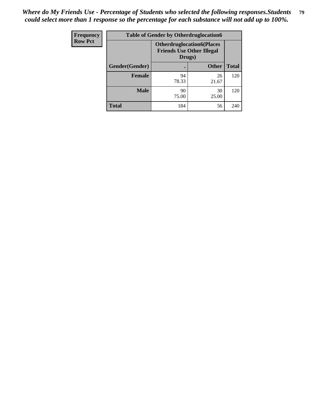| Frequency      | <b>Table of Gender by Otherdruglocation6</b> |                                            |                                  |              |
|----------------|----------------------------------------------|--------------------------------------------|----------------------------------|--------------|
| <b>Row Pct</b> |                                              | <b>Friends Use Other Illegal</b><br>Drugs) | <b>Otherdruglocation6(Places</b> |              |
|                | Gender(Gender)                               |                                            | <b>Other</b>                     | <b>Total</b> |
|                | <b>Female</b>                                | 94<br>78.33                                | 26<br>21.67                      | 120          |
|                | <b>Male</b>                                  | 90<br>75.00                                | 30<br>25.00                      | 120          |
|                | <b>Total</b>                                 | 184                                        | 56                               | 240          |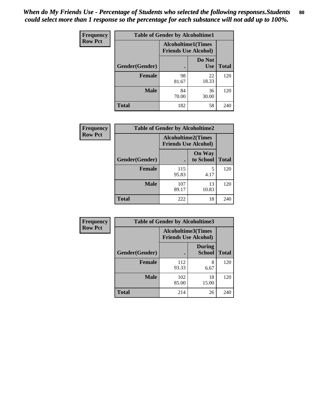| <b>Frequency</b> | <b>Table of Gender by Alcoholtime1</b> |                                                          |                      |              |
|------------------|----------------------------------------|----------------------------------------------------------|----------------------|--------------|
| <b>Row Pct</b>   |                                        | <b>Alcoholtime1(Times</b><br><b>Friends Use Alcohol)</b> |                      |              |
|                  | Gender(Gender)                         | $\bullet$                                                | Do Not<br><b>Use</b> | <b>Total</b> |
|                  | <b>Female</b>                          | 98<br>81.67                                              | 22<br>18.33          | 120          |
|                  | <b>Male</b>                            | 84<br>70.00                                              | 36<br>30.00          | 120          |
|                  | <b>Total</b>                           | 182                                                      | 58                   | 240          |

| <b>Frequency</b> | <b>Table of Gender by Alcoholtime2</b> |                           |                             |              |
|------------------|----------------------------------------|---------------------------|-----------------------------|--------------|
| <b>Row Pct</b>   |                                        | <b>Alcoholtime2(Times</b> | <b>Friends Use Alcohol)</b> |              |
|                  | Gender(Gender)                         |                           | <b>On Way</b><br>to School  | <b>Total</b> |
|                  | <b>Female</b>                          | 115<br>95.83              | 5<br>4.17                   | 120          |
|                  | <b>Male</b>                            | 107<br>89.17              | 13<br>10.83                 | 120          |
|                  | <b>Total</b>                           | 222                       | 18                          | 240          |

| Frequency      | <b>Table of Gender by Alcoholtime3</b> |                                                          |                                |              |
|----------------|----------------------------------------|----------------------------------------------------------|--------------------------------|--------------|
| <b>Row Pct</b> |                                        | <b>Alcoholtime3(Times</b><br><b>Friends Use Alcohol)</b> |                                |              |
|                | Gender(Gender)                         |                                                          | <b>During</b><br><b>School</b> | <b>Total</b> |
|                | <b>Female</b>                          | 112<br>93.33                                             | 8<br>6.67                      | 120          |
|                | <b>Male</b>                            | 102<br>85.00                                             | 18<br>15.00                    | 120          |
|                | <b>Total</b>                           | 214                                                      | 26                             | 240          |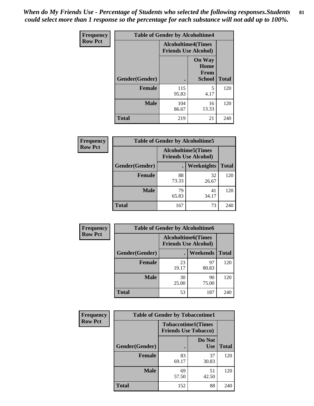*When do My Friends Use - Percentage of Students who selected the following responses.Students could select more than 1 response so the percentage for each substance will not add up to 100%.* **81**

| <b>Frequency</b> | <b>Table of Gender by Alcoholtime4</b> |                                                          |                                                |              |
|------------------|----------------------------------------|----------------------------------------------------------|------------------------------------------------|--------------|
| <b>Row Pct</b>   |                                        | <b>Alcoholtime4(Times</b><br><b>Friends Use Alcohol)</b> |                                                |              |
|                  | Gender(Gender)                         |                                                          | <b>On Way</b><br>Home<br>From<br><b>School</b> | <b>Total</b> |
|                  | <b>Female</b>                          | 115<br>95.83                                             | 5<br>4.17                                      | 120          |
|                  | <b>Male</b>                            | 104<br>86.67                                             | 16<br>13.33                                    | 120          |
|                  | <b>Total</b>                           | 219                                                      | 21                                             | 240          |

| <b>Frequency</b> | <b>Table of Gender by Alcoholtime5</b> |                                                           |             |              |
|------------------|----------------------------------------|-----------------------------------------------------------|-------------|--------------|
| <b>Row Pct</b>   |                                        | <b>Alcoholtime5</b> (Times<br><b>Friends Use Alcohol)</b> |             |              |
|                  | Gender(Gender)                         |                                                           | Weeknights  | <b>Total</b> |
|                  | <b>Female</b>                          | 88<br>73.33                                               | 32<br>26.67 | 120          |
|                  | <b>Male</b>                            | 79<br>65.83                                               | 41<br>34.17 | 120          |
|                  | <b>Total</b>                           | 167                                                       | 73          | 240          |

| <b>Frequency</b> | <b>Table of Gender by Alcoholtime6</b> |                                                           |                 |              |
|------------------|----------------------------------------|-----------------------------------------------------------|-----------------|--------------|
| <b>Row Pct</b>   |                                        | <b>Alcoholtime6</b> (Times<br><b>Friends Use Alcohol)</b> |                 |              |
|                  | Gender(Gender)                         |                                                           | <b>Weekends</b> | <b>Total</b> |
|                  | <b>Female</b>                          | 23<br>19.17                                               | 97<br>80.83     | 120          |
|                  | <b>Male</b>                            | 30<br>25.00                                               | 90<br>75.00     | 120          |
|                  | Total                                  | 53                                                        | 187             | 240          |

| <b>Frequency</b> | <b>Table of Gender by Tobaccotime1</b> |                             |                           |              |
|------------------|----------------------------------------|-----------------------------|---------------------------|--------------|
| <b>Row Pct</b>   |                                        | <b>Friends Use Tobacco)</b> | <b>Tobaccotime1(Times</b> |              |
|                  | Gender(Gender)                         |                             | Do Not<br><b>Use</b>      | <b>Total</b> |
|                  | <b>Female</b>                          | 83<br>69.17                 | 37<br>30.83               | 120          |
|                  | <b>Male</b>                            | 69<br>57.50                 | 51<br>42.50               | 120          |
|                  | <b>Total</b>                           | 152                         | 88                        | 240          |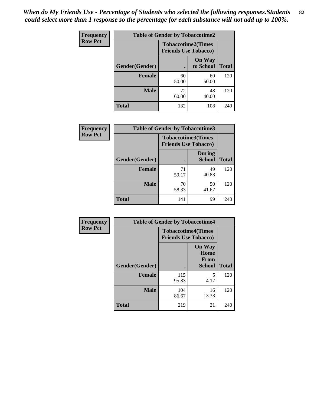| <b>Frequency</b> | <b>Table of Gender by Tobaccotime2</b> |                             |                            |              |
|------------------|----------------------------------------|-----------------------------|----------------------------|--------------|
| <b>Row Pct</b>   |                                        | <b>Friends Use Tobacco)</b> | <b>Tobaccotime2(Times</b>  |              |
|                  | Gender(Gender)                         |                             | <b>On Way</b><br>to School | <b>Total</b> |
|                  | <b>Female</b>                          | 60<br>50.00                 | 60<br>50.00                | 120          |
|                  | <b>Male</b>                            | 72<br>60.00                 | 48<br>40.00                | 120          |
|                  | <b>Total</b>                           | 132                         | 108                        | 240          |

| <b>Frequency</b> | <b>Table of Gender by Tobaccotime3</b> |                                                          |                                |              |
|------------------|----------------------------------------|----------------------------------------------------------|--------------------------------|--------------|
| <b>Row Pct</b>   |                                        | <b>Tobaccotime3(Times</b><br><b>Friends Use Tobacco)</b> |                                |              |
|                  | Gender(Gender)                         |                                                          | <b>During</b><br><b>School</b> | <b>Total</b> |
|                  | <b>Female</b>                          | 71<br>59.17                                              | 49<br>40.83                    | 120          |
|                  | <b>Male</b>                            | 70<br>58.33                                              | 50<br>41.67                    | 120          |
|                  | <b>Total</b>                           | 141                                                      | 99                             | 240          |

| <b>Frequency</b> | <b>Table of Gender by Tobaccotime4</b> |                                                          |                                                       |              |
|------------------|----------------------------------------|----------------------------------------------------------|-------------------------------------------------------|--------------|
| <b>Row Pct</b>   |                                        | <b>Tobaccotime4(Times</b><br><b>Friends Use Tobacco)</b> |                                                       |              |
|                  | Gender(Gender)                         |                                                          | <b>On Way</b><br>Home<br><b>From</b><br><b>School</b> | <b>Total</b> |
|                  | <b>Female</b>                          | 115<br>95.83                                             | 5<br>4.17                                             | 120          |
|                  | <b>Male</b>                            | 104<br>86.67                                             | 16<br>13.33                                           | 120          |
|                  | <b>Total</b>                           | 219                                                      | 21                                                    | 240          |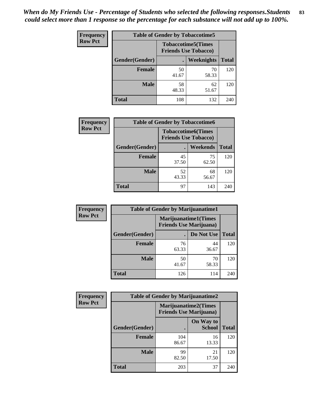| Frequency      | <b>Table of Gender by Tobaccotime5</b> |             |                                                          |              |
|----------------|----------------------------------------|-------------|----------------------------------------------------------|--------------|
| <b>Row Pct</b> |                                        |             | <b>Tobaccotime5(Times</b><br><b>Friends Use Tobacco)</b> |              |
|                | <b>Gender</b> (Gender)                 |             | Weeknights                                               | <b>Total</b> |
|                | <b>Female</b>                          | 50<br>41.67 | 70<br>58.33                                              | 120          |
|                | <b>Male</b>                            | 58<br>48.33 | 62<br>51.67                                              | 120          |
|                | <b>Total</b>                           | 108         | 132                                                      | 240          |

| <b>Frequency</b> | <b>Table of Gender by Tobaccotime6</b> |                                                          |                 |              |
|------------------|----------------------------------------|----------------------------------------------------------|-----------------|--------------|
| <b>Row Pct</b>   |                                        | <b>Tobaccotime6(Times</b><br><b>Friends Use Tobacco)</b> |                 |              |
|                  | Gender(Gender)                         |                                                          | <b>Weekends</b> | <b>Total</b> |
|                  | Female                                 | 45<br>37.50                                              | 75<br>62.50     | 120          |
|                  | <b>Male</b>                            | 52<br>43.33                                              | 68<br>56.67     | 120          |
|                  | <b>Total</b>                           | 97                                                       | 143             | 240          |

| <b>Frequency</b> | <b>Table of Gender by Marijuanatime1</b> |                                                               |             |              |
|------------------|------------------------------------------|---------------------------------------------------------------|-------------|--------------|
| <b>Row Pct</b>   |                                          | <b>Marijuanatime1(Times</b><br><b>Friends Use Marijuana</b> ) |             |              |
|                  | Gender(Gender)                           |                                                               | Do Not Use  | <b>Total</b> |
|                  | <b>Female</b>                            | 76<br>63.33                                                   | 44<br>36.67 | 120          |
|                  | <b>Male</b>                              | 50<br>41.67                                                   | 70<br>58.33 | 120          |
|                  | <b>Total</b>                             | 126                                                           | 114         | 240          |

| <b>Frequency</b> | <b>Table of Gender by Marijuanatime2</b> |                                                               |                            |              |
|------------------|------------------------------------------|---------------------------------------------------------------|----------------------------|--------------|
| <b>Row Pct</b>   |                                          | <b>Marijuanatime2(Times</b><br><b>Friends Use Marijuana</b> ) |                            |              |
|                  | Gender(Gender)                           |                                                               | On Way to<br><b>School</b> | <b>Total</b> |
|                  | <b>Female</b>                            | 104<br>86.67                                                  | 16<br>13.33                | 120          |
|                  | <b>Male</b>                              | 99<br>82.50                                                   | 21<br>17.50                | 120          |
|                  | <b>Total</b>                             | 203                                                           | 37                         | 240          |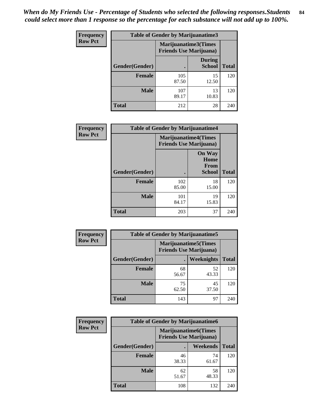*When do My Friends Use - Percentage of Students who selected the following responses.Students could select more than 1 response so the percentage for each substance will not add up to 100%.* **84**

| <b>Frequency</b> | Table of Gender by Marijuanatime3 |                                                        |                                |              |
|------------------|-----------------------------------|--------------------------------------------------------|--------------------------------|--------------|
| <b>Row Pct</b>   |                                   | Marijuanatime3(Times<br><b>Friends Use Marijuana</b> ) |                                |              |
|                  | Gender(Gender)                    |                                                        | <b>During</b><br><b>School</b> | <b>Total</b> |
|                  | <b>Female</b>                     | 105<br>87.50                                           | 15<br>12.50                    | 120          |
|                  | <b>Male</b>                       | 107<br>89.17                                           | 13<br>10.83                    | 120          |
|                  | <b>Total</b>                      | 212                                                    | 28                             | 240          |

| Frequency      | <b>Table of Gender by Marijuanatime4</b> |                                |                                                       |              |
|----------------|------------------------------------------|--------------------------------|-------------------------------------------------------|--------------|
| <b>Row Pct</b> |                                          | <b>Friends Use Marijuana</b> ) | <b>Marijuanatime4</b> (Times                          |              |
|                | Gender(Gender)                           |                                | <b>On Way</b><br>Home<br><b>From</b><br><b>School</b> | <b>Total</b> |
|                | <b>Female</b>                            | 102<br>85.00                   | 18<br>15.00                                           | 120          |
|                | <b>Male</b>                              | 101<br>84.17                   | 19<br>15.83                                           | 120          |
|                | <b>Total</b>                             | 203                            | 37                                                    | 240          |

| Frequency      | <b>Table of Gender by Marijuanatime5</b> |                                                                |             |              |
|----------------|------------------------------------------|----------------------------------------------------------------|-------------|--------------|
| <b>Row Pct</b> |                                          | <b>Marijuanatime5</b> (Times<br><b>Friends Use Marijuana</b> ) |             |              |
|                | Gender(Gender)                           | ٠                                                              | Weeknights  | <b>Total</b> |
|                | <b>Female</b>                            | 68<br>56.67                                                    | 52<br>43.33 | 120          |
|                | <b>Male</b>                              | 75<br>62.50                                                    | 45<br>37.50 | 120          |
|                | <b>Total</b>                             | 143                                                            | 97          | 240          |

| Frequency      | <b>Table of Gender by Marijuanatime6</b> |                                                               |                 |              |
|----------------|------------------------------------------|---------------------------------------------------------------|-----------------|--------------|
| <b>Row Pct</b> |                                          | <b>Marijuanatime6(Times</b><br><b>Friends Use Marijuana</b> ) |                 |              |
|                | Gender(Gender)                           |                                                               | <b>Weekends</b> | <b>Total</b> |
|                | <b>Female</b>                            | 46<br>38.33                                                   | 74<br>61.67     | 120          |
|                | <b>Male</b>                              | 62<br>51.67                                                   | 58<br>48.33     | 120          |
|                | <b>Total</b>                             | 108                                                           | 132             | 240          |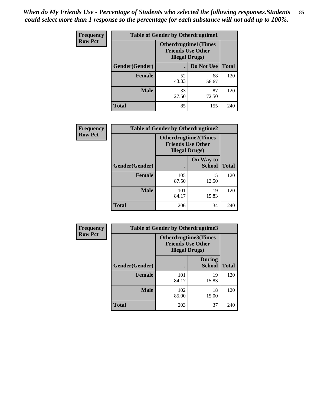*When do My Friends Use - Percentage of Students who selected the following responses.Students could select more than 1 response so the percentage for each substance will not add up to 100%.* **85**

| <b>Frequency</b> | <b>Table of Gender by Otherdrugtime1</b> |                                                    |                              |              |
|------------------|------------------------------------------|----------------------------------------------------|------------------------------|--------------|
| <b>Row Pct</b>   |                                          | <b>Friends Use Other</b><br><b>Illegal Drugs</b> ) | <b>Otherdrugtime1</b> (Times |              |
|                  | Gender(Gender)                           |                                                    | Do Not Use                   | <b>Total</b> |
|                  | <b>Female</b>                            | 52<br>43.33                                        | 68<br>56.67                  | 120          |
|                  | <b>Male</b>                              | 33<br>27.50                                        | 87<br>72.50                  | 120          |
|                  | <b>Total</b>                             | 85                                                 | 155                          | 240          |

| Frequency      | <b>Table of Gender by Otherdrugtime2</b> |                                                    |                             |              |
|----------------|------------------------------------------|----------------------------------------------------|-----------------------------|--------------|
| <b>Row Pct</b> |                                          | <b>Friends Use Other</b><br><b>Illegal Drugs</b> ) | <b>Otherdrugtime2(Times</b> |              |
|                | Gender(Gender)                           |                                                    | On Way to<br><b>School</b>  | <b>Total</b> |
|                | <b>Female</b>                            | 105<br>87.50                                       | 15<br>12.50                 | 120          |
|                | <b>Male</b>                              | 101<br>84.17                                       | 19<br>15.83                 | 120          |
|                | <b>Total</b>                             | 206                                                | 34                          | 240          |

| Frequency      |                | <b>Table of Gender by Otherdrugtime3</b>                                   |                                |              |
|----------------|----------------|----------------------------------------------------------------------------|--------------------------------|--------------|
| <b>Row Pct</b> |                | Otherdrugtime3(Times<br><b>Friends Use Other</b><br><b>Illegal Drugs</b> ) |                                |              |
|                | Gender(Gender) |                                                                            | <b>During</b><br><b>School</b> | <b>Total</b> |
|                | <b>Female</b>  | 101<br>84.17                                                               | 19<br>15.83                    | 120          |
|                | <b>Male</b>    | 102<br>85.00                                                               | 18<br>15.00                    | 120          |
|                | <b>Total</b>   | 203                                                                        | 37                             | 240          |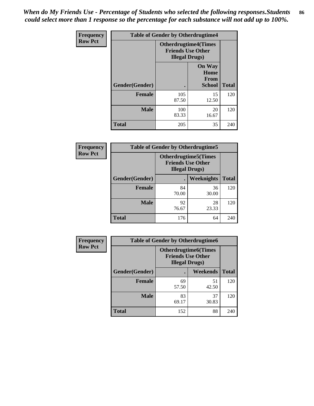*When do My Friends Use - Percentage of Students who selected the following responses.Students could select more than 1 response so the percentage for each substance will not add up to 100%.* **86**

| <b>Frequency</b> | <b>Table of Gender by Otherdrugtime4</b> |                                                    |                                                |              |
|------------------|------------------------------------------|----------------------------------------------------|------------------------------------------------|--------------|
| <b>Row Pct</b>   |                                          | <b>Friends Use Other</b><br><b>Illegal Drugs</b> ) | <b>Otherdrugtime4(Times</b>                    |              |
|                  | Gender(Gender)                           |                                                    | <b>On Way</b><br>Home<br>From<br><b>School</b> | <b>Total</b> |
|                  | <b>Female</b>                            | 105<br>87.50                                       | 15<br>12.50                                    | 120          |
|                  | <b>Male</b>                              | 100<br>83.33                                       | 20<br>16.67                                    | 120          |
|                  | <b>Total</b>                             | 205                                                | 35                                             | 240          |

| <b>Frequency</b> | <b>Table of Gender by Otherdrugtime5</b> |             |                                                                                    |              |
|------------------|------------------------------------------|-------------|------------------------------------------------------------------------------------|--------------|
| <b>Row Pct</b>   |                                          |             | <b>Otherdrugtime5</b> (Times<br><b>Friends Use Other</b><br><b>Illegal Drugs</b> ) |              |
|                  | Gender(Gender)                           |             | Weeknights                                                                         | <b>Total</b> |
|                  | <b>Female</b>                            | 84<br>70.00 | 36<br>30.00                                                                        | 120          |
|                  | <b>Male</b>                              | 92<br>76.67 | 28<br>23.33                                                                        | 120          |
|                  | <b>Total</b>                             | 176         | 64                                                                                 | 240          |

| <b>Frequency</b> | <b>Table of Gender by Otherdrugtime6</b> |                                                                                   |             |              |
|------------------|------------------------------------------|-----------------------------------------------------------------------------------|-------------|--------------|
| <b>Row Pct</b>   |                                          | <b>Otherdrugtime6(Times</b><br><b>Friends Use Other</b><br><b>Illegal Drugs</b> ) |             |              |
|                  | Gender(Gender)                           |                                                                                   | Weekends    | <b>Total</b> |
|                  | <b>Female</b>                            | 69<br>57.50                                                                       | 51<br>42.50 | 120          |
|                  | <b>Male</b>                              | 83<br>69.17                                                                       | 37<br>30.83 | 120          |
|                  | <b>Total</b>                             | 152                                                                               | 88          | 240          |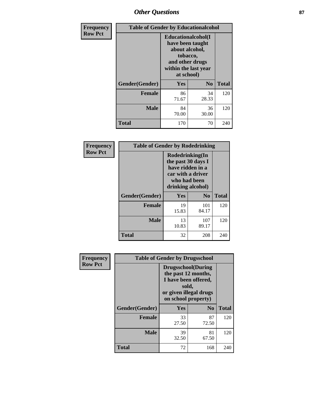# *Other Questions* **87**

| <b>Frequency</b> | <b>Table of Gender by Educationalcohol</b> |                                                                                                                                       |                |              |  |
|------------------|--------------------------------------------|---------------------------------------------------------------------------------------------------------------------------------------|----------------|--------------|--|
| <b>Row Pct</b>   |                                            | <b>Educationalcohol</b> (I<br>have been taught<br>about alcohol,<br>tobacco,<br>and other drugs<br>within the last year<br>at school) |                |              |  |
|                  | Gender(Gender)                             | Yes                                                                                                                                   | N <sub>0</sub> | <b>Total</b> |  |
|                  | <b>Female</b>                              | 86<br>71.67                                                                                                                           | 34<br>28.33    | 120          |  |
|                  | <b>Male</b>                                | 84<br>70.00                                                                                                                           | 36<br>30.00    | 120          |  |
|                  | <b>Total</b>                               | 170                                                                                                                                   | 70             | 240          |  |

| Frequency      | <b>Table of Gender by Rodedrinking</b> |                                                                                                                     |                |              |  |
|----------------|----------------------------------------|---------------------------------------------------------------------------------------------------------------------|----------------|--------------|--|
| <b>Row Pct</b> |                                        | Rodedrinking(In<br>the past 30 days I<br>have ridden in a<br>car with a driver<br>who had been<br>drinking alcohol) |                |              |  |
|                | Gender(Gender)                         | Yes                                                                                                                 | N <sub>0</sub> | <b>Total</b> |  |
|                | <b>Female</b>                          | 19<br>15.83                                                                                                         | 101<br>84.17   | 120          |  |
|                | <b>Male</b>                            | 13<br>10.83                                                                                                         | 107<br>89.17   | 120          |  |
|                | <b>Total</b>                           | 32                                                                                                                  | 208            | 240          |  |

| Frequency      | <b>Table of Gender by Drugsschool</b> |                                                                                                                                     |                |              |  |
|----------------|---------------------------------------|-------------------------------------------------------------------------------------------------------------------------------------|----------------|--------------|--|
| <b>Row Pct</b> |                                       | <b>Drugsschool</b> (During<br>the past 12 months,<br>I have been offered,<br>sold,<br>or given illegal drugs<br>on school property) |                |              |  |
|                | Gender(Gender)                        | <b>Yes</b>                                                                                                                          | N <sub>0</sub> | <b>Total</b> |  |
|                | <b>Female</b>                         | 33<br>27.50                                                                                                                         | 87<br>72.50    | 120          |  |
|                | <b>Male</b>                           | 39<br>32.50                                                                                                                         | 81<br>67.50    | 120          |  |
|                | <b>Total</b>                          | 72                                                                                                                                  | 168            | 240          |  |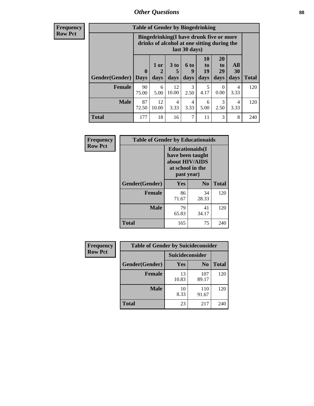# *Other Questions* **88**

**Frequency Row Pct**

| <b>Table of Gender by Bingedrinking</b> |             |                                                                                                                |                   |                   |                               |                               |                   |              |
|-----------------------------------------|-------------|----------------------------------------------------------------------------------------------------------------|-------------------|-------------------|-------------------------------|-------------------------------|-------------------|--------------|
|                                         |             | <b>Bingedrinking(I have drunk five or more</b><br>drinks of alcohol at one sitting during the<br>last 30 days) |                   |                   |                               |                               |                   |              |
| Gender(Gender)   Days                   | $\mathbf 0$ | 1 or<br>days                                                                                                   | 3 to<br>5<br>days | 6 to<br>q<br>days | <b>10</b><br>to<br>19<br>days | <b>20</b><br>to<br>29<br>days | All<br>30<br>days | <b>Total</b> |
| <b>Female</b>                           | 90<br>75.00 | 6<br>5.00                                                                                                      | 12<br>10.00       | 3<br>2.50         | 5<br>4.17                     | 0<br>0.00                     | 4<br>3.33         | 120          |
| <b>Male</b>                             | 87<br>72.50 | 12<br>10.00                                                                                                    | 4<br>3.33         | 4<br>3.33         | 6<br>5.00                     | 3<br>2.50                     | 4<br>3.33         | 120          |
| <b>Total</b>                            | 177         | 18                                                                                                             | 16                | 7                 | 11                            | 3                             | 8                 | 240          |

| Frequency      | <b>Table of Gender by Educationaids</b> |                                                                                                 |                |              |  |  |
|----------------|-----------------------------------------|-------------------------------------------------------------------------------------------------|----------------|--------------|--|--|
| <b>Row Pct</b> |                                         | <b>Educationaids</b> (I<br>have been taught<br>about HIV/AIDS<br>at school in the<br>past year) |                |              |  |  |
|                | Gender(Gender)                          | Yes                                                                                             | N <sub>0</sub> | <b>Total</b> |  |  |
|                | <b>Female</b>                           | 86<br>71.67                                                                                     | 34<br>28.33    | 120          |  |  |
|                | <b>Male</b>                             | 79<br>65.83                                                                                     | 41<br>34.17    | 120          |  |  |
|                | <b>Total</b>                            | 165                                                                                             | 75             | 240          |  |  |

| <b>Frequency</b> | <b>Table of Gender by Suicideconsider</b> |                 |                |       |  |
|------------------|-------------------------------------------|-----------------|----------------|-------|--|
| <b>Row Pct</b>   |                                           | Suicideconsider |                |       |  |
|                  | Gender(Gender)                            | Yes             | N <sub>0</sub> | Total |  |
|                  | <b>Female</b>                             | 13<br>10.83     | 107<br>89.17   | 120   |  |
|                  | <b>Male</b>                               | 10<br>8.33      | 110<br>91.67   | 120   |  |
|                  | <b>Total</b>                              | 23              | 217            | 240   |  |